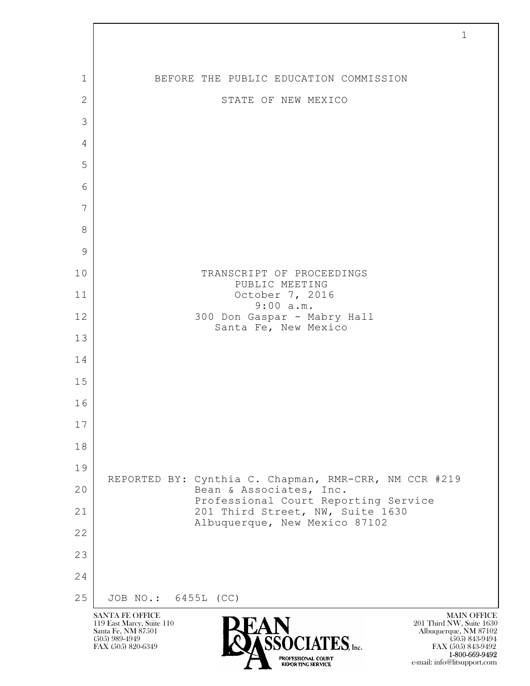|                | $\mathbf{1}$                                                                                                                                                                                                                                                                                                                 |
|----------------|------------------------------------------------------------------------------------------------------------------------------------------------------------------------------------------------------------------------------------------------------------------------------------------------------------------------------|
|                |                                                                                                                                                                                                                                                                                                                              |
| 1              | BEFORE THE PUBLIC EDUCATION COMMISSION                                                                                                                                                                                                                                                                                       |
| $\overline{2}$ | STATE OF NEW MEXICO                                                                                                                                                                                                                                                                                                          |
| 3              |                                                                                                                                                                                                                                                                                                                              |
| $\overline{4}$ |                                                                                                                                                                                                                                                                                                                              |
| 5              |                                                                                                                                                                                                                                                                                                                              |
| 6              |                                                                                                                                                                                                                                                                                                                              |
| 7              |                                                                                                                                                                                                                                                                                                                              |
| 8              |                                                                                                                                                                                                                                                                                                                              |
| 9              |                                                                                                                                                                                                                                                                                                                              |
| 10             | TRANSCRIPT OF PROCEEDINGS<br>PUBLIC MEETING                                                                                                                                                                                                                                                                                  |
| 11             | October 7, 2016<br>9:00 a.m.                                                                                                                                                                                                                                                                                                 |
| 12             | 300 Don Gaspar - Mabry Hall<br>Santa Fe, New Mexico                                                                                                                                                                                                                                                                          |
| 13             |                                                                                                                                                                                                                                                                                                                              |
| 14             |                                                                                                                                                                                                                                                                                                                              |
| 15             |                                                                                                                                                                                                                                                                                                                              |
| 16             |                                                                                                                                                                                                                                                                                                                              |
| 17             |                                                                                                                                                                                                                                                                                                                              |
| 18             |                                                                                                                                                                                                                                                                                                                              |
| 19             | REPORTED BY: Cynthia C. Chapman, RMR-CRR, NM CCR #219                                                                                                                                                                                                                                                                        |
| 20             | Bean & Associates, Inc.<br>Professional Court Reporting Service                                                                                                                                                                                                                                                              |
| 21             | 201 Third Street, NW, Suite 1630<br>Albuquerque, New Mexico 87102                                                                                                                                                                                                                                                            |
| 22             |                                                                                                                                                                                                                                                                                                                              |
| 23             |                                                                                                                                                                                                                                                                                                                              |
| 24             |                                                                                                                                                                                                                                                                                                                              |
| 25             | JOB NO.: 6455L (CC)                                                                                                                                                                                                                                                                                                          |
|                | <b>SANTA FE OFFICE</b><br><b>MAIN OFFICE</b><br>119 East Marcy, Suite 110<br>201 Third NW, Suite 1630<br>Santa Fe, NM 87501<br>Albuquerque, NM 87102<br>$\widehat{\textbf{S}}\widehat{\textbf{S}}\dot{\textbf{O}}\textbf{CIATES}$ , Inc.<br>$(505)$ 989-4949<br>$(505)$ 843-9494<br>FAX (505) 820-6349<br>FAX (505) 843-9492 |

**1-800-669-9492** e-mail: info@litsupport.com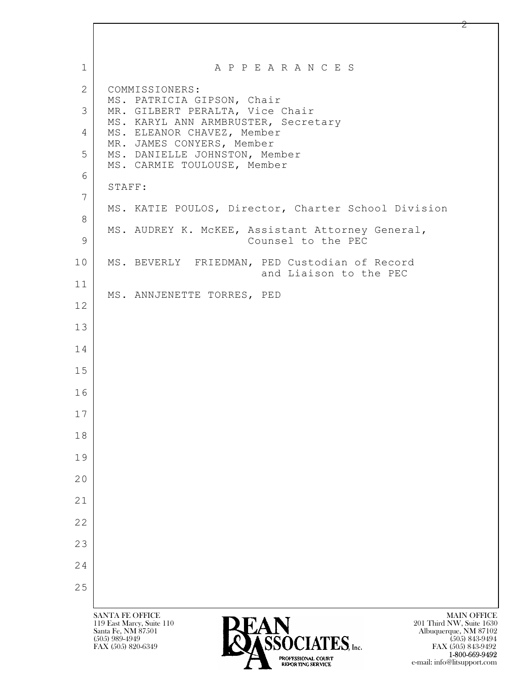$\mathbf{L}$  SANTA FE OFFICE MAIN OFFICE MAIN OFFICE MAIN OFFICE MAIN OFFICE 119 East Marcy, Suite 110<br>Santa Fe, NM 87501 Santa Fe, NM 87501 Albuquerque, NM 87102  $\sum_{\text{FAX (505) 889-4949}}$  (505) 843-9494<br>FAX (505) 820-6349 1 | A P P E A R A N C E S 2 COMMISSIONERS: MS. PATRICIA GIPSON, Chair 3 MR. GILBERT PERALTA, Vice Chair MS. KARYL ANN ARMBRUSTER, Secretary 4 MS. ELEANOR CHAVEZ, Member MR. JAMES CONYERS, Member 5 MS. DANIELLE JOHNSTON, Member MS. CARMIE TOULOUSE, Member 6 STAFF: 7 MS. KATIE POULOS, Director, Charter School Division 8 MS. AUDREY K. McKEE, Assistant Attorney General, 9 Counsel to the PEC 10 MS. BEVERLY FRIEDMAN, PED Custodian of Record and Liaison to the PEC 11 MS. ANNJENETTE TORRES, PED 12 13 14 15 16 17 18 19 20 21 22 23 24 25

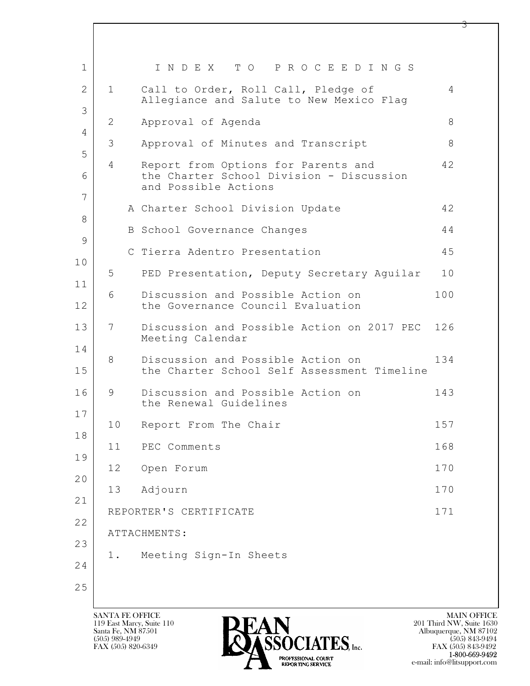| 1        |                | INDEX TO PROCEEDINGS                                                                                    |     |
|----------|----------------|---------------------------------------------------------------------------------------------------------|-----|
| 2        | $\mathbf{1}$   | Call to Order, Roll Call, Pledge of<br>Allegiance and Salute to New Mexico Flaq                         | 4   |
| 3<br>4   | 2              | Approval of Agenda                                                                                      | 8   |
| 5        | 3              | Approval of Minutes and Transcript                                                                      | 8   |
| 6<br>7   | $\overline{4}$ | Report from Options for Parents and<br>the Charter School Division - Discussion<br>and Possible Actions | 42  |
| 8        |                | A Charter School Division Update                                                                        | 42  |
| 9        |                | B School Governance Changes                                                                             | 44  |
| 10       |                | C Tierra Adentro Presentation                                                                           | 45  |
| 11       | 5              | PED Presentation, Deputy Secretary Aguilar                                                              | 10  |
| 12       | 6              | Discussion and Possible Action on<br>the Governance Council Evaluation                                  | 100 |
| 13       | 7              | Discussion and Possible Action on 2017 PEC<br>Meeting Calendar                                          | 126 |
| 14<br>15 | 8              | Discussion and Possible Action on<br>the Charter School Self Assessment Timeline                        | 134 |
| 16       | 9              | Discussion and Possible Action on<br>the Renewal Guidelines                                             | 143 |
| 17       | 10             | Report From The Chair                                                                                   | 157 |
| 18<br>19 | 11             | PEC Comments                                                                                            | 168 |
| 20       | 12             | Open Forum                                                                                              | 170 |
| 21       | 13             | Adjourn                                                                                                 | 170 |
| 22       |                | REPORTER'S CERTIFICATE                                                                                  | 171 |
| 23       |                | ATTACHMENTS:                                                                                            |     |
| 24       | 1.             | Meeting Sign-In Sheets                                                                                  |     |
| 25       |                |                                                                                                         |     |
|          |                |                                                                                                         |     |

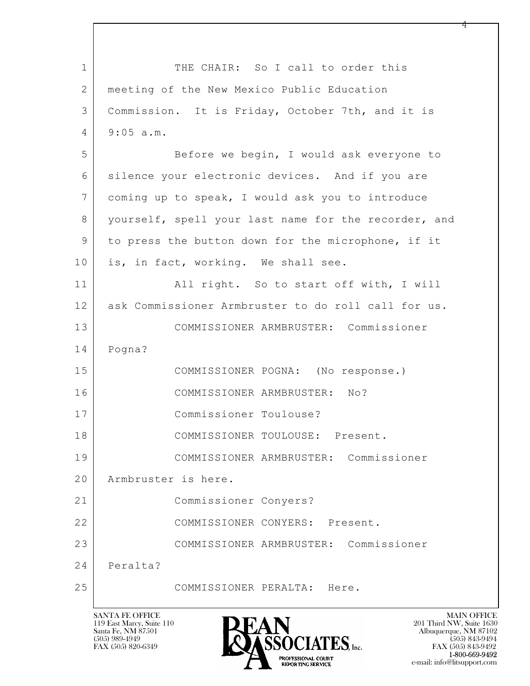$\mathbf{L}$  1 THE CHAIR: So I call to order this 2 meeting of the New Mexico Public Education 3 Commission. It is Friday, October 7th, and it is 4 9:05 a.m. 5 Before we begin, I would ask everyone to 6 silence your electronic devices. And if you are 7 coming up to speak, I would ask you to introduce 8 | yourself, spell your last name for the recorder, and 9 to press the button down for the microphone, if it 10 is, in fact, working. We shall see. 11 | All right. So to start off with, I will 12 ask Commissioner Armbruster to do roll call for us. 13 COMMISSIONER ARMBRUSTER: Commissioner 14 Pogna? 15 COMMISSIONER POGNA: (No response.) 16 COMMISSIONER ARMBRUSTER: No? 17 Commissioner Toulouse? 18 COMMISSIONER TOULOUSE: Present. 19 COMMISSIONER ARMBRUSTER: Commissioner 20 Armbruster is here. 21 Commissioner Conyers? 22 COMMISSIONER CONYERS: Present. 23 COMMISSIONER ARMBRUSTER: Commissioner 24 Peralta? 25 COMMISSIONER PERALTA: Here.



FAX (505) 843-9492 e-mail: info@litsupport.com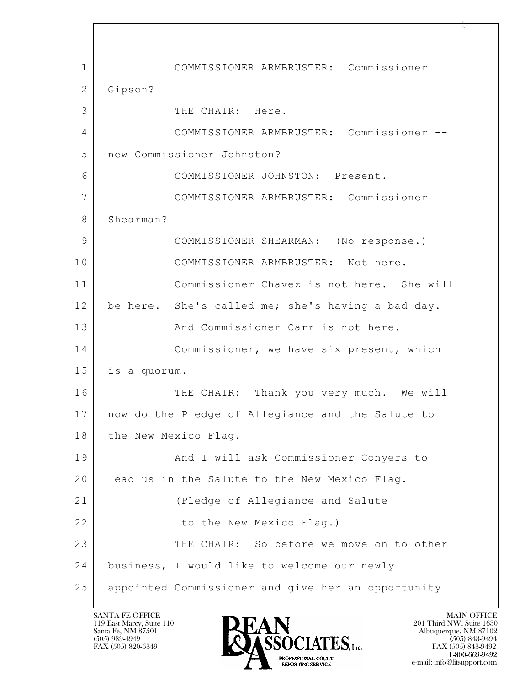$\mathbf{L}$  1 COMMISSIONER ARMBRUSTER: Commissioner 2 Gipson? 3 THE CHAIR: Here. 4 COMMISSIONER ARMBRUSTER: Commissioner -- 5 new Commissioner Johnston? 6 COMMISSIONER JOHNSTON: Present. 7 COMMISSIONER ARMBRUSTER: Commissioner 8 Shearman? 9 COMMISSIONER SHEARMAN: (No response.) 10 COMMISSIONER ARMBRUSTER: Not here. 11 Commissioner Chavez is not here. She will 12 be here. She's called me; she's having a bad day. 13 And Commissioner Carr is not here. 14 Commissioner, we have six present, which 15 is a quorum. 16 | THE CHAIR: Thank you very much. We will 17 now do the Pledge of Allegiance and the Salute to 18 the New Mexico Flag. 19 And I will ask Commissioner Conyers to 20 | lead us in the Salute to the New Mexico Flag. 21 (Pledge of Allegiance and Salute 22 to the New Mexico Flag.) 23 THE CHAIR: So before we move on to other 24 business, I would like to welcome our newly 25 appointed Commissioner and give her an opportunity

119 East Marcy, Suite 110<br>Santa Fe, NM 87501

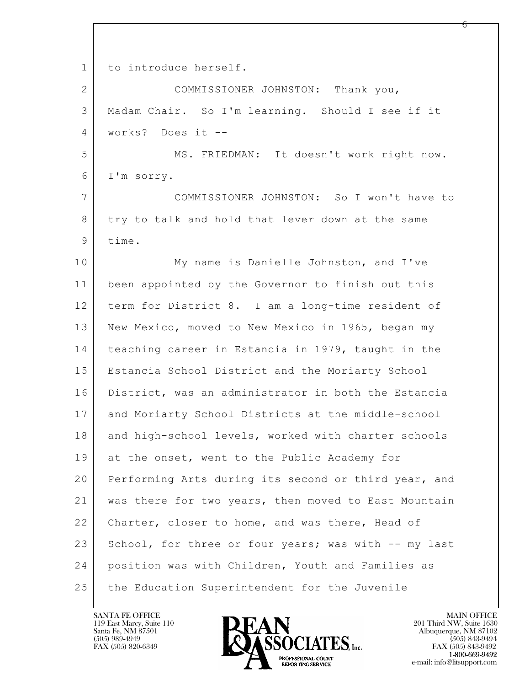$\mathbf{L}$  1 to introduce herself. 2 COMMISSIONER JOHNSTON: Thank you, 3 Madam Chair. So I'm learning. Should I see if it 4 works? Does it -- 5 MS. FRIEDMAN: It doesn't work right now. 6 I'm sorry. 7 COMMISSIONER JOHNSTON: So I won't have to 8 try to talk and hold that lever down at the same 9 time. 10 My name is Danielle Johnston, and I've 11 been appointed by the Governor to finish out this 12 term for District 8. I am a long-time resident of 13 New Mexico, moved to New Mexico in 1965, began my 14 teaching career in Estancia in 1979, taught in the 15 Estancia School District and the Moriarty School 16 District, was an administrator in both the Estancia 17 and Moriarty School Districts at the middle-school 18 and high-school levels, worked with charter schools 19 at the onset, went to the Public Academy for 20 Performing Arts during its second or third year, and 21 was there for two years, then moved to East Mountain 22 Charter, closer to home, and was there, Head of 23 School, for three or four years; was with -- my last 24 position was with Children, Youth and Families as 25 the Education Superintendent for the Juvenile

119 East Marcy, Suite 110<br>Santa Fe, NM 87501



რ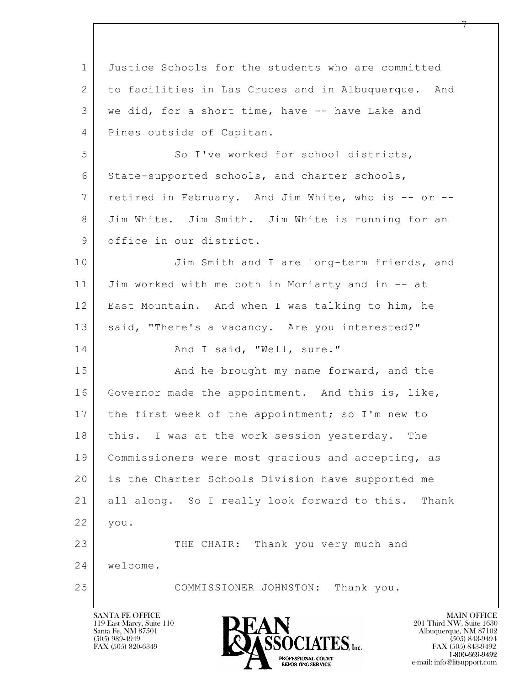$\mathbf{L}$  1 Justice Schools for the students who are committed 2 to facilities in Las Cruces and in Albuquerque. And 3 we did, for a short time, have -- have Lake and 4 Pines outside of Capitan. 5 So I've worked for school districts, 6 State-supported schools, and charter schools, 7 retired in February. And Jim White, who is -- or -- 8 Jim White. Jim Smith. Jim White is running for an 9 office in our district. 10 Jim Smith and I are long-term friends, and 11 Jim worked with me both in Moriarty and in -- at 12 East Mountain. And when I was talking to him, he 13 | said, "There's a vacancy. Are you interested?" 14 And I said, "Well, sure." 15 And he brought my name forward, and the 16 Governor made the appointment. And this is, like, 17 | the first week of the appointment; so I'm new to 18 | this. I was at the work session yesterday. The 19 Commissioners were most gracious and accepting, as 20 is the Charter Schools Division have supported me 21 all along. So I really look forward to this. Thank 22 you. 23 THE CHAIR: Thank you very much and 24 welcome. 25 COMMISSIONER JOHNSTON: Thank you.

119 East Marcy, Suite 110<br>Santa Fe, NM 87501

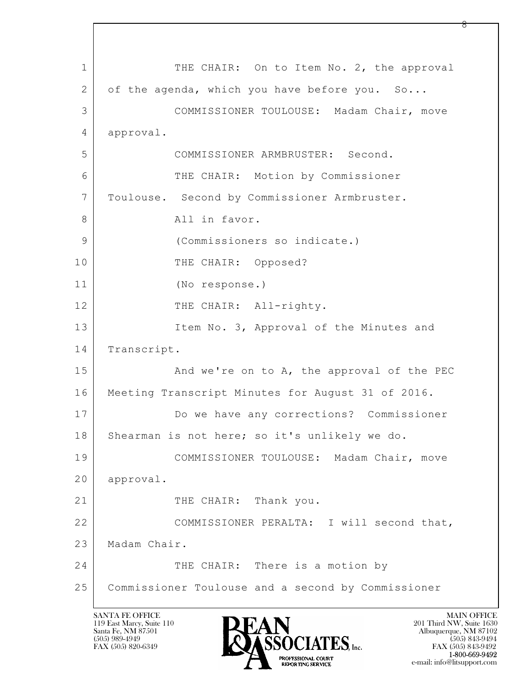$\mathbf{L}$  1 THE CHAIR: On to Item No. 2, the approval 2 of the agenda, which you have before you. So... 3 COMMISSIONER TOULOUSE: Madam Chair, move 4 approval. 5 COMMISSIONER ARMBRUSTER: Second. 6 THE CHAIR: Motion by Commissioner 7 Toulouse. Second by Commissioner Armbruster. 8 All in favor. 9 (Commissioners so indicate.) 10 THE CHAIR: Opposed? 11 (No response.) 12 THE CHAIR: All-righty. 13 Item No. 3, Approval of the Minutes and 14 Transcript. 15 | And we're on to A, the approval of the PEC 16 | Meeting Transcript Minutes for August 31 of 2016. 17 Do we have any corrections? Commissioner 18 | Shearman is not here; so it's unlikely we do. 19 COMMISSIONER TOULOUSE: Madam Chair, move 20 approval. 21 | THE CHAIR: Thank you. 22 COMMISSIONER PERALTA: I will second that, 23 Madam Chair. 24 THE CHAIR: There is a motion by 25 Commissioner Toulouse and a second by Commissioner

119 East Marcy, Suite 110<br>Santa Fe, NM 87501

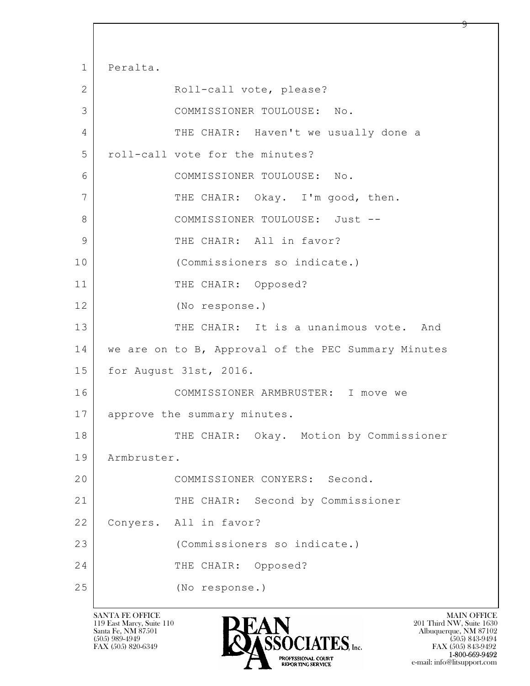$\mathbf{L}$  1 Peralta. 2 Roll-call vote, please? 3 COMMISSIONER TOULOUSE: No. 4 THE CHAIR: Haven't we usually done a 5 roll-call vote for the minutes? 6 COMMISSIONER TOULOUSE: No. 7 THE CHAIR: Okay. I'm good, then. 8 | COMMISSIONER TOULOUSE: Just --9 THE CHAIR: All in favor? 10 (Commissioners so indicate.) 11 THE CHAIR: Opposed? 12 (No response.) 13 THE CHAIR: It is a unanimous vote. And 14 we are on to B, Approval of the PEC Summary Minutes 15 for August 31st, 2016. 16 COMMISSIONER ARMBRUSTER: I move we 17 approve the summary minutes. 18 THE CHAIR: Okay. Motion by Commissioner 19 Armbruster. 20 COMMISSIONER CONYERS: Second. 21 THE CHAIR: Second by Commissioner 22 Conyers. All in favor? 23 (Commissioners so indicate.) 24 THE CHAIR: Opposed? 25 (No response.)

119 East Marcy, Suite 110<br>Santa Fe, NM 87501



 $FAX (505) 843-9492$ <br>1-800-669-9492 e-mail: info@litsupport.com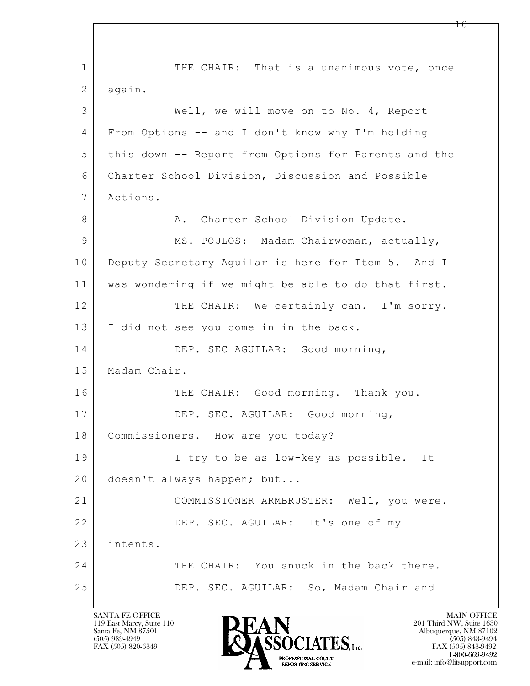$\mathbf{L}$  1 THE CHAIR: That is a unanimous vote, once 2 again. 3 Well, we will move on to No. 4, Report 4 From Options -- and I don't know why I'm holding 5 this down -- Report from Options for Parents and the 6 Charter School Division, Discussion and Possible 7 Actions. 8 | R. Charter School Division Update. 9 MS. POULOS: Madam Chairwoman, actually, 10 Deputy Secretary Aquilar is here for Item 5. And I 11 was wondering if we might be able to do that first. 12 THE CHAIR: We certainly can. I'm sorry. 13 | I did not see you come in in the back. 14 DEP. SEC AGUILAR: Good morning, 15 Madam Chair. 16 THE CHAIR: Good morning. Thank you. 17 DEP. SEC. AGUILAR: Good morning, 18 | Commissioners. How are you today? 19 I try to be as low-key as possible. It 20 doesn't always happen; but... 21 COMMISSIONER ARMBRUSTER: Well, you were. 22 DEP. SEC. AGUILAR: It's one of my 23 intents. 24 THE CHAIR: You snuck in the back there. 25 DEP. SEC. AGUILAR: So, Madam Chair and

119 East Marcy, Suite 110<br>Santa Fe, NM 87501



1 ი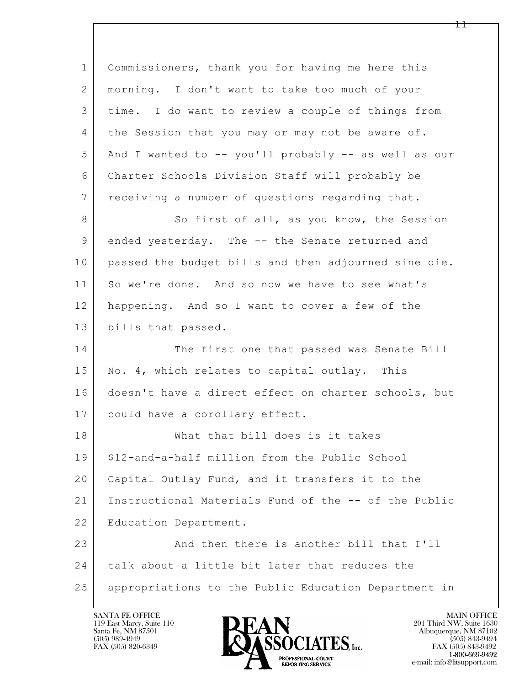| $\mathbf 1$    | Commissioners, thank you for having me here this     |
|----------------|------------------------------------------------------|
| $\overline{2}$ | morning. I don't want to take too much of your       |
| 3              | time. I do want to review a couple of things from    |
| $\overline{4}$ | the Session that you may or may not be aware of.     |
| 5              | And I wanted to -- you'll probably -- as well as our |
| 6              | Charter Schools Division Staff will probably be      |
| 7              | receiving a number of questions regarding that.      |
| 8              | So first of all, as you know, the Session            |
| 9              | ended yesterday. The -- the Senate returned and      |
| 10             | passed the budget bills and then adjourned sine die. |
| 11             | So we're done. And so now we have to see what's      |
| 12             | happening. And so I want to cover a few of the       |
| 13             | bills that passed.                                   |
| 14             | The first one that passed was Senate Bill            |
| 15             | No. 4, which relates to capital outlay. This         |
| 16             | doesn't have a direct effect on charter schools, but |
| 17             | could have a corollary effect.                       |
| 18             | What that bill does is it takes                      |
| 19             | \$12-and-a-half million from the Public School       |
| 20             | Capital Outlay Fund, and it transfers it to the      |
| 21             | Instructional Materials Fund of the -- of the Public |
| 22             | Education Department.                                |
| 23             | And then there is another bill that I'll             |
| 24             | talk about a little bit later that reduces the       |
| 25             | appropriations to the Public Education Department in |

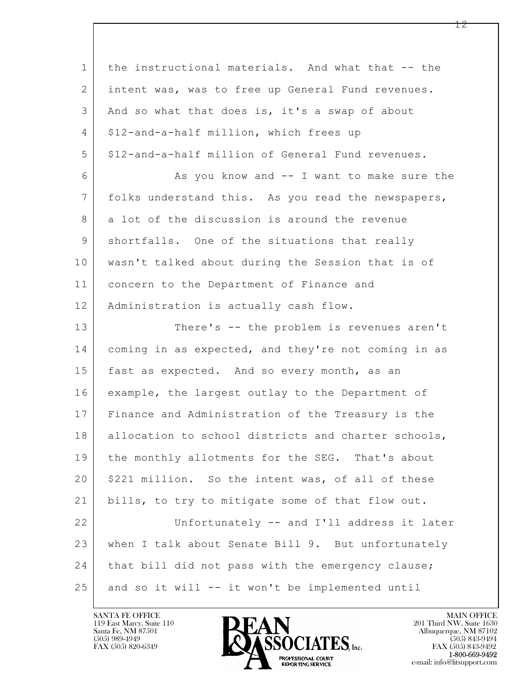$\mathbf{L}$  1 the instructional materials. And what that -- the 2 intent was, was to free up General Fund revenues. 3 And so what that does is, it's a swap of about 4 | \$12-and-a-half million, which frees up 5 \$12-and-a-half million of General Fund revenues. 6 As you know and -- I want to make sure the 7 folks understand this. As you read the newspapers, 8 a lot of the discussion is around the revenue 9 shortfalls. One of the situations that really 10 wasn't talked about during the Session that is of 11 | concern to the Department of Finance and 12 | Administration is actually cash flow. 13 There's -- the problem is revenues aren't 14 coming in as expected, and they're not coming in as 15 fast as expected. And so every month, as an 16 example, the largest outlay to the Department of 17 Finance and Administration of the Treasury is the 18 | allocation to school districts and charter schools, 19 | the monthly allotments for the SEG. That's about 20 | \$221 million. So the intent was, of all of these 21 bills, to try to mitigate some of that flow out. 22 Unfortunately -- and I'll address it later 23 when I talk about Senate Bill 9. But unfortunately 24 | that bill did not pass with the emergency clause; 25 and so it will -- it won't be implemented until

119 East Marcy, Suite 110<br>Santa Fe, NM 87501



FAX (505) 843-9492 e-mail: info@litsupport.com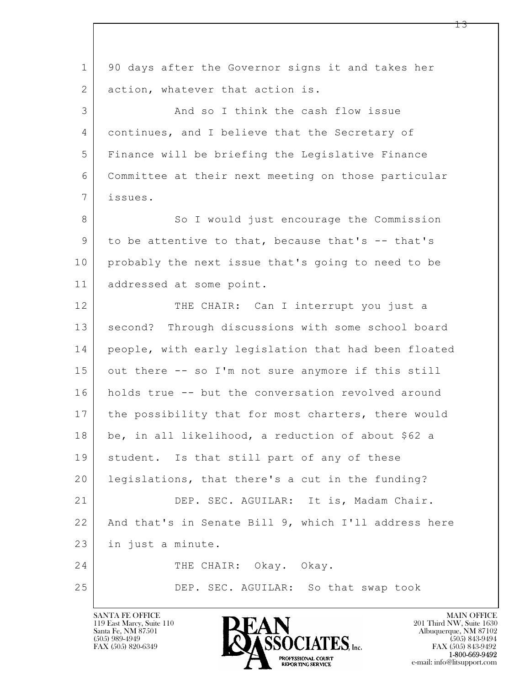$\mathbf{L}$  1 90 days after the Governor signs it and takes her 2 | action, whatever that action is. 3 And so I think the cash flow issue 4 | continues, and I believe that the Secretary of 5 Finance will be briefing the Legislative Finance 6 Committee at their next meeting on those particular 7 issues. 8 So I would just encourage the Commission 9 to be attentive to that, because that's -- that's 10 probably the next issue that's going to need to be 11 addressed at some point. 12 THE CHAIR: Can I interrupt you just a 13 | second? Through discussions with some school board 14 people, with early legislation that had been floated 15 out there -- so I'm not sure anymore if this still 16 holds true -- but the conversation revolved around 17 | the possibility that for most charters, there would 18 be, in all likelihood, a reduction of about \$62 a 19 | student. Is that still part of any of these 20 | legislations, that there's a cut in the funding? 21 DEP. SEC. AGUILAR: It is, Madam Chair. 22 And that's in Senate Bill 9, which I'll address here 23 in just a minute. 24 THE CHAIR: Okay. Okay. 25 DEP. SEC. AGUILAR: So that swap took

119 East Marcy, Suite 110<br>Santa Fe, NM 87501

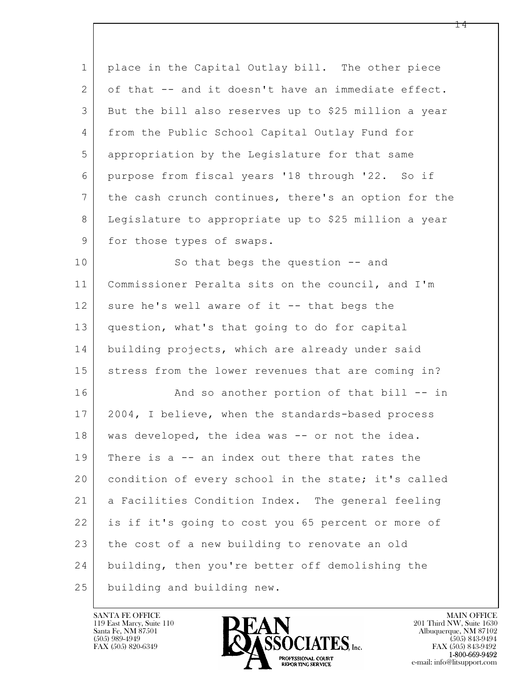| $\mathbf 1$     | place in the Capital Outlay bill. The other piece    |
|-----------------|------------------------------------------------------|
| 2               | of that -- and it doesn't have an immediate effect.  |
| 3               | But the bill also reserves up to \$25 million a year |
| $\overline{4}$  | from the Public School Capital Outlay Fund for       |
| 5               | appropriation by the Legislature for that same       |
| 6               | purpose from fiscal years '18 through '22. So if     |
| $7\phantom{.0}$ | the cash crunch continues, there's an option for the |
| 8               | Legislature to appropriate up to \$25 million a year |
| 9               | for those types of swaps.                            |
| 10              | So that begs the question -- and                     |
| 11              | Commissioner Peralta sits on the council, and I'm    |
| 12              | sure he's well aware of it -- that begs the          |
| 13              | question, what's that going to do for capital        |
| 14              | building projects, which are already under said      |
| 15              | stress from the lower revenues that are coming in?   |
| 16              | And so another portion of that bill -- in            |
| 17              | 2004, I believe, when the standards-based process    |
| 18              | was developed, the idea was -- or not the idea.      |
| 19              | There is a -- an index out there that rates the      |
| 20              | condition of every school in the state; it's called  |
| 21              | a Facilities Condition Index. The general feeling    |
| 22              | is if it's going to cost you 65 percent or more of   |
| 23              | the cost of a new building to renovate an old        |
| 24              | building, then you're better off demolishing the     |
| 25              | building and building new.                           |

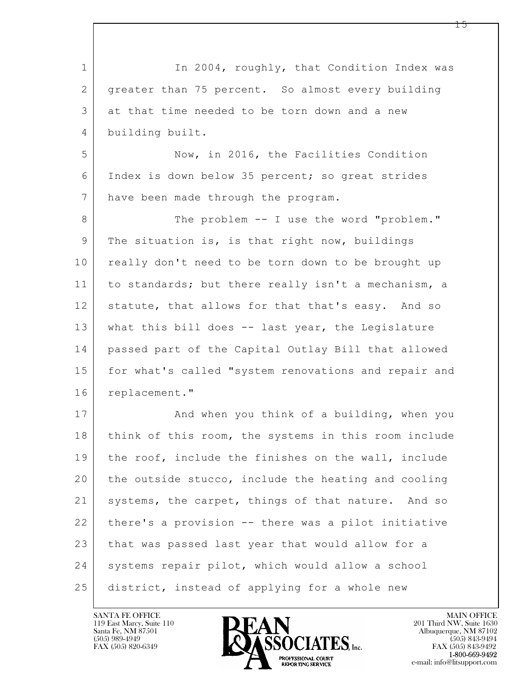| $\mathbf 1$ | In 2004, roughly, that Condition Index was           |
|-------------|------------------------------------------------------|
| 2           | greater than 75 percent. So almost every building    |
| 3           | at that time needed to be torn down and a new        |
| 4           | building built.                                      |
| 5           | Now, in 2016, the Facilities Condition               |
| 6           | Index is down below 35 percent; so great strides     |
| 7           | have been made through the program.                  |
| 8           | The problem -- I use the word "problem."             |
| $\mathsf 9$ | The situation is, is that right now, buildings       |
| 10          | really don't need to be torn down to be brought up   |
| 11          | to standards; but there really isn't a mechanism, a  |
| 12          | statute, that allows for that that's easy. And so    |
| 13          | what this bill does -- last year, the Legislature    |
| 14          | passed part of the Capital Outlay Bill that allowed  |
| 15          | for what's called "system renovations and repair and |
| 16          | replacement."                                        |
| 17          | And when you think of a building, when you           |
| 18          | think of this room, the systems in this room include |
| 19          | the roof, include the finishes on the wall, include  |
| 20          | the outside stucco, include the heating and cooling  |
| 21          | systems, the carpet, things of that nature. And so   |
| 22          | there's a provision -- there was a pilot initiative  |
| 23          | that was passed last year that would allow for a     |
| 24          | systems repair pilot, which would allow a school     |
| 25          | district, instead of applying for a whole new        |

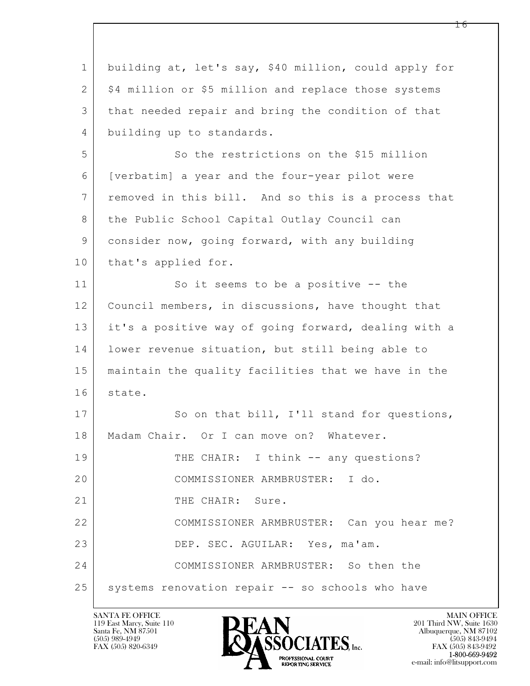| $\mathbf 1$    | building at, let's say, \$40 million, could apply for |
|----------------|-------------------------------------------------------|
| $\mathbf{2}$   | \$4 million or \$5 million and replace those systems  |
| 3              | that needed repair and bring the condition of that    |
| $\overline{4}$ | building up to standards.                             |
| 5              | So the restrictions on the \$15 million               |
| 6              | [verbatim] a year and the four-year pilot were        |
| $7\phantom{.}$ | removed in this bill. And so this is a process that   |
| 8              | the Public School Capital Outlay Council can          |
| 9              | consider now, going forward, with any building        |
| 10             | that's applied for.                                   |
| 11             | So it seems to be a positive -- the                   |
| 12             | Council members, in discussions, have thought that    |
| 13             | it's a positive way of going forward, dealing with a  |
| 14             | lower revenue situation, but still being able to      |
| 15             | maintain the quality facilities that we have in the   |
| 16             | state.                                                |
| 17             | So on that bill, I'll stand for questions,            |
| 18             | Madam Chair. Or I can move on? Whatever.              |
| 19             | THE CHAIR: I think -- any questions?                  |
| 20             | COMMISSIONER ARMBRUSTER: I do.                        |
| 21             | THE CHAIR: Sure.                                      |
| 22             | COMMISSIONER ARMBRUSTER: Can you hear me?             |
| 23             | DEP. SEC. AGUILAR: Yes, ma'am.                        |
| 24             | COMMISSIONER ARMBRUSTER: So then the                  |
| 25             | systems renovation repair -- so schools who have      |

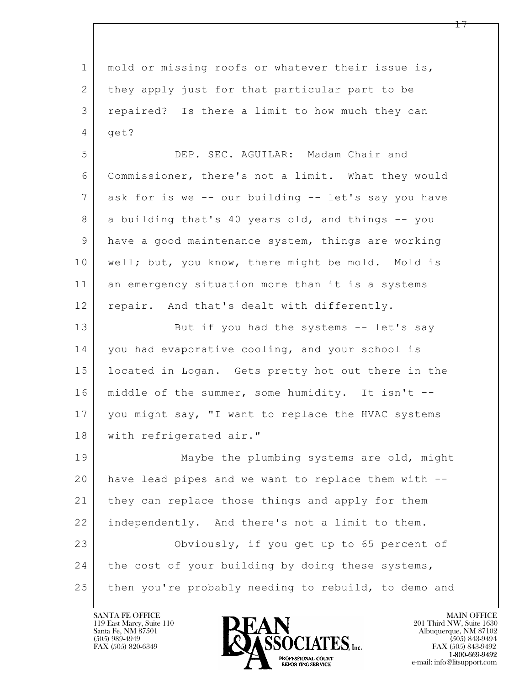| $\mathbf{1}$   | mold or missing roofs or whatever their issue is,    |
|----------------|------------------------------------------------------|
| 2              | they apply just for that particular part to be       |
| 3              | repaired? Is there a limit to how much they can      |
| 4              | get?                                                 |
| 5              | DEP. SEC. AGUILAR: Madam Chair and                   |
| 6              | Commissioner, there's not a limit. What they would   |
| 7              | ask for is we -- our building -- let's say you have  |
| 8              | a building that's 40 years old, and things -- you    |
| $\overline{9}$ | have a good maintenance system, things are working   |
| 10             | well; but, you know, there might be mold. Mold is    |
| 11             | an emergency situation more than it is a systems     |
| 12             | repair. And that's dealt with differently.           |
| 13             | But if you had the systems -- let's say              |
| 14             | you had evaporative cooling, and your school is      |
| 15             | located in Logan. Gets pretty hot out there in the   |
| 16             | middle of the summer, some humidity. It isn't --     |
| 17             | you might say, "I want to replace the HVAC systems   |
| 18             | with refrigerated air."                              |
| 19             | Maybe the plumbing systems are old, might            |
| 20             | have lead pipes and we want to replace them with --  |
| 21             | they can replace those things and apply for them     |
| 22             | independently. And there's not a limit to them.      |
| 23             | Obviously, if you get up to 65 percent of            |
| 24             | the cost of your building by doing these systems,    |
| 25             | then you're probably needing to rebuild, to demo and |

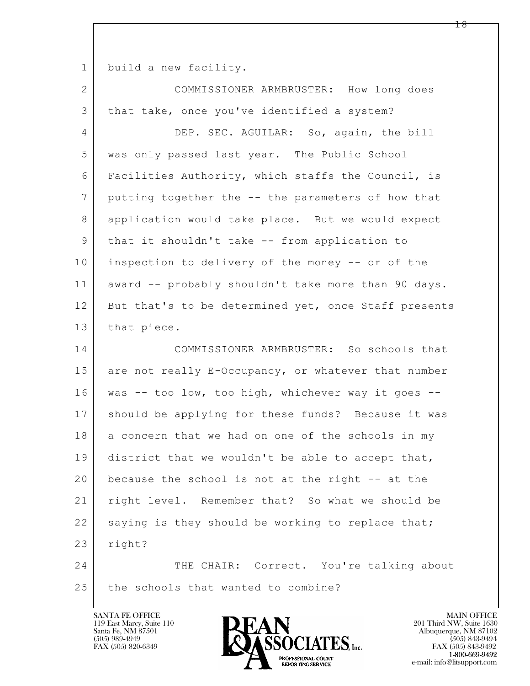1 build a new facility.

| $\mathbf{2}$   | COMMISSIONER ARMBRUSTER: How long does               |
|----------------|------------------------------------------------------|
| $\mathfrak{Z}$ | that take, once you've identified a system?          |
| 4              | DEP. SEC. AGUILAR: So, again, the bill               |
| 5              | was only passed last year. The Public School         |
| 6              | Facilities Authority, which staffs the Council, is   |
| 7              | putting together the -- the parameters of how that   |
| 8              | application would take place. But we would expect    |
| $\mathcal{G}$  | that it shouldn't take -- from application to        |
| 10             | inspection to delivery of the money -- or of the     |
| 11             | award -- probably shouldn't take more than 90 days.  |
| 12             | But that's to be determined yet, once Staff presents |
| 13             | that piece.                                          |
| 14             | COMMISSIONER ARMBRUSTER: So schools that             |
| 15             | are not really E-Occupancy, or whatever that number  |
| 16             | was -- too low, too high, whichever way it goes --   |
| 17             |                                                      |
|                | should be applying for these funds? Because it was   |
| 18             | a concern that we had on one of the schools in my    |
| 19             | district that we wouldn't be able to accept that,    |
| 20             | because the school is not at the right -- at the     |
| 21             | right level. Remember that? So what we should be     |
| 22             | saying is they should be working to replace that;    |
| 23             | right?                                               |
| 24             | THE CHAIR: Correct. You're talking about             |

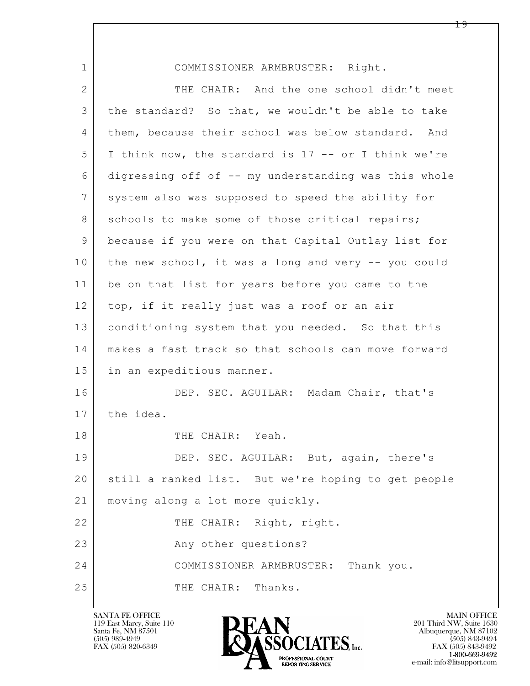| $\mathbf 1$  | COMMISSIONER ARMBRUSTER: Right.                      |
|--------------|------------------------------------------------------|
| $\mathbf{2}$ | THE CHAIR: And the one school didn't meet            |
| 3            | the standard? So that, we wouldn't be able to take   |
| 4            | them, because their school was below standard. And   |
| 5            | I think now, the standard is 17 -- or I think we're  |
| 6            | digressing off of -- my understanding was this whole |
| 7            | system also was supposed to speed the ability for    |
| 8            | schools to make some of those critical repairs;      |
| 9            | because if you were on that Capital Outlay list for  |
| 10           | the new school, it was a long and very -- you could  |
| 11           | be on that list for years before you came to the     |
| 12           | top, if it really just was a roof or an air          |
| 13           | conditioning system that you needed. So that this    |
| 14           | makes a fast track so that schools can move forward  |
| 15           | in an expeditious manner.                            |
| 16           | DEP. SEC. AGUILAR: Madam Chair, that's               |
| 17           | the idea.                                            |
| 18           | THE CHAIR: Yeah.                                     |
| 19           | DEP. SEC. AGUILAR: But, again, there's               |
| 20           | still a ranked list. But we're hoping to get people  |
| 21           | moving along a lot more quickly.                     |
| 22           | THE CHAIR: Right, right.                             |
| 23           | Any other questions?                                 |
| 24           | COMMISSIONER ARMBRUSTER: Thank you.                  |
| 25           | THE CHAIR: Thanks.                                   |

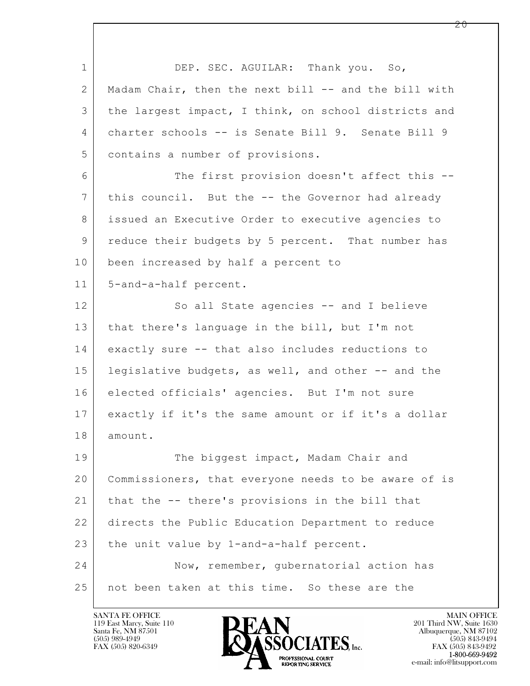$\mathbf{L}$  1 DEP. SEC. AGUILAR: Thank you. So, 2 Madam Chair, then the next bill -- and the bill with 3 the largest impact, I think, on school districts and 4 charter schools -- is Senate Bill 9. Senate Bill 9 5 contains a number of provisions. 6 The first provision doesn't affect this --7 this council. But the -- the Governor had already 8 issued an Executive Order to executive agencies to 9 reduce their budgets by 5 percent. That number has 10 been increased by half a percent to 11 5-and-a-half percent. 12 So all State agencies -- and I believe 13 that there's language in the bill, but I'm not 14 exactly sure -- that also includes reductions to 15 legislative budgets, as well, and other -- and the 16 elected officials' agencies. But I'm not sure 17 exactly if it's the same amount or if it's a dollar 18 amount. 19 The biggest impact, Madam Chair and 20 Commissioners, that everyone needs to be aware of is 21 | that the -- there's provisions in the bill that 22 directs the Public Education Department to reduce 23 the unit value by 1-and-a-half percent. 24 Now, remember, gubernatorial action has 25 not been taken at this time. So these are the

119 East Marcy, Suite 110<br>Santa Fe, NM 87501

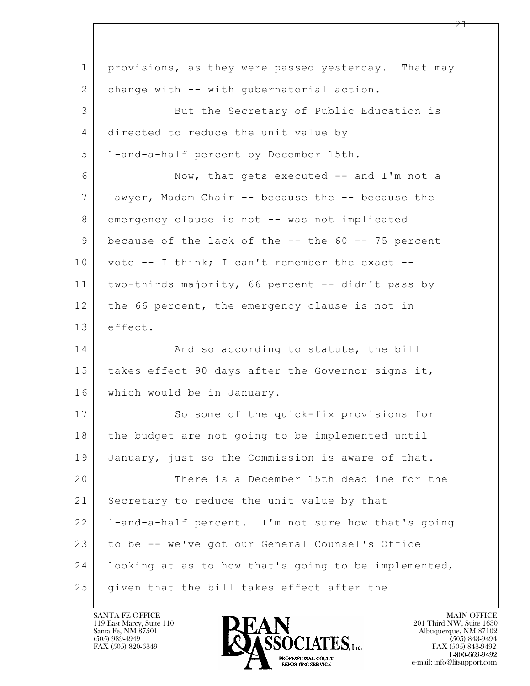$\mathbf{L}$  1 provisions, as they were passed yesterday. That may 2 | change with -- with qubernatorial action. 3 But the Secretary of Public Education is 4 directed to reduce the unit value by 5 1-and-a-half percent by December 15th. 6 Now, that gets executed -- and I'm not a 7 lawyer, Madam Chair -- because the -- because the 8 emergency clause is not -- was not implicated 9 because of the lack of the -- the 60 -- 75 percent  $10$  vote -- I think; I can't remember the exact --11 two-thirds majority, 66 percent -- didn't pass by 12 the 66 percent, the emergency clause is not in 13 effect. 14 And so according to statute, the bill 15 | takes effect 90 days after the Governor signs it, 16 which would be in January. 17 So some of the quick-fix provisions for 18 the budget are not going to be implemented until 19 January, just so the Commission is aware of that. 20 There is a December 15th deadline for the 21 Secretary to reduce the unit value by that 22 1-and-a-half percent. I'm not sure how that's going 23 to be -- we've got our General Counsel's Office 24 looking at as to how that's going to be implemented, 25 given that the bill takes effect after the

119 East Marcy, Suite 110<br>Santa Fe, NM 87501



FAX (505) 843-9492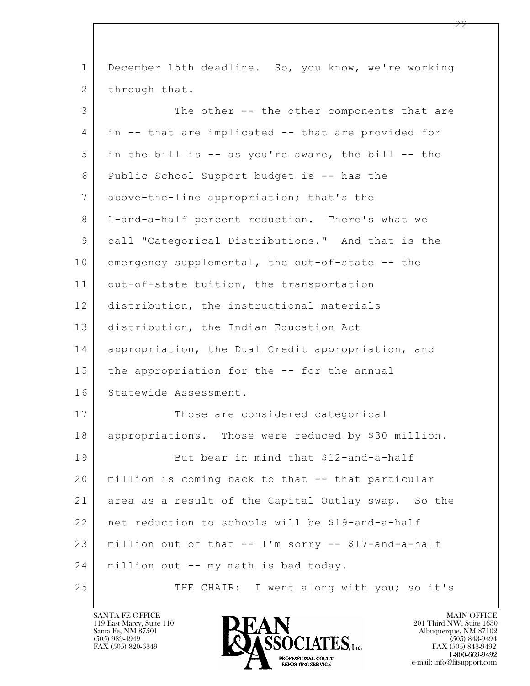| $\mathbf 1$ | December 15th deadline. So, you know, we're working |
|-------------|-----------------------------------------------------|
| 2           | through that.                                       |
| 3           | The other -- the other components that are          |
| 4           | in -- that are implicated -- that are provided for  |
| 5           | in the bill is -- as you're aware, the bill -- the  |
| 6           | Public School Support budget is -- has the          |
| 7           | above-the-line appropriation; that's the            |
| 8           | 1-and-a-half percent reduction. There's what we     |
| 9           | call "Categorical Distributions." And that is the   |
| 10          | emergency supplemental, the out-of-state -- the     |
| 11          | out-of-state tuition, the transportation            |
| 12          | distribution, the instructional materials           |
| 13          | distribution, the Indian Education Act              |
| 14          | appropriation, the Dual Credit appropriation, and   |
| 15          | the appropriation for the -- for the annual         |
| 16          | Statewide Assessment.                               |
| 17          | Those are considered categorical                    |
| 18          | appropriations. Those were reduced by \$30 million. |
| 19          | But bear in mind that \$12-and-a-half               |
| 20          | million is coming back to that -- that particular   |
| 21          | area as a result of the Capital Outlay swap. So the |
| 22          | net reduction to schools will be \$19-and-a-half    |
| 23          | million out of that -- I'm sorry -- \$17-and-a-half |
| 24          | million out -- my math is bad today.                |
| 25          | THE CHAIR: I went along with you; so it's           |

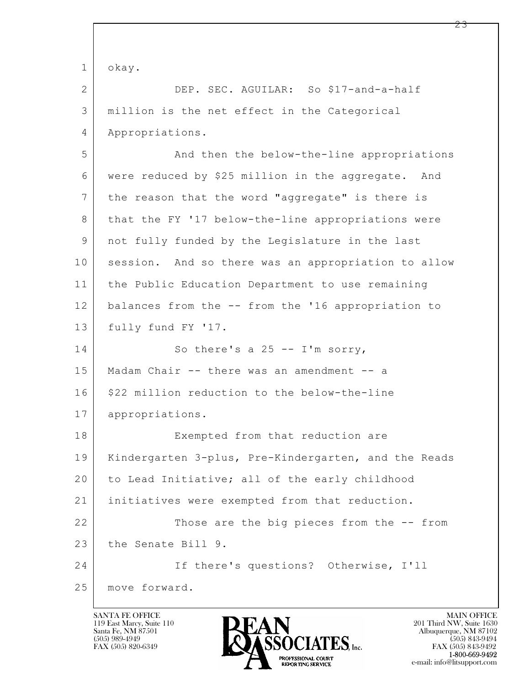| $\mathbf{1}$ | okay.                                                |
|--------------|------------------------------------------------------|
| $\mathbf{2}$ | DEP. SEC. AGUILAR: So \$17-and-a-half                |
| 3            | million is the net effect in the Categorical         |
| 4            | Appropriations.                                      |
| 5            | And then the below-the-line appropriations           |
| 6            | were reduced by \$25 million in the aggregate. And   |
| 7            | the reason that the word "aggregate" is there is     |
| 8            | that the FY '17 below-the-line appropriations were   |
| 9            | not fully funded by the Legislature in the last      |
| 10           | session. And so there was an appropriation to allow  |
| 11           | the Public Education Department to use remaining     |
| 12           | balances from the -- from the '16 appropriation to   |
| 13           | fully fund FY '17.                                   |
| 14           | So there's a $25 - -1'm$ sorry,                      |
| 15           | Madam Chair -- there was an amendment -- a           |
| 16           | \$22 million reduction to the below-the-line         |
| 17           | appropriations.                                      |
| 18           | Exempted from that reduction are                     |
| 19           | Kindergarten 3-plus, Pre-Kindergarten, and the Reads |
| 20           | to Lead Initiative; all of the early childhood       |
| 21           | initiatives were exempted from that reduction.       |
| 22           | Those are the big pieces from the -- from            |
| 23           | the Senate Bill 9.                                   |
| 24           | If there's questions? Otherwise, I'll                |
| 25           | move forward.                                        |

Г

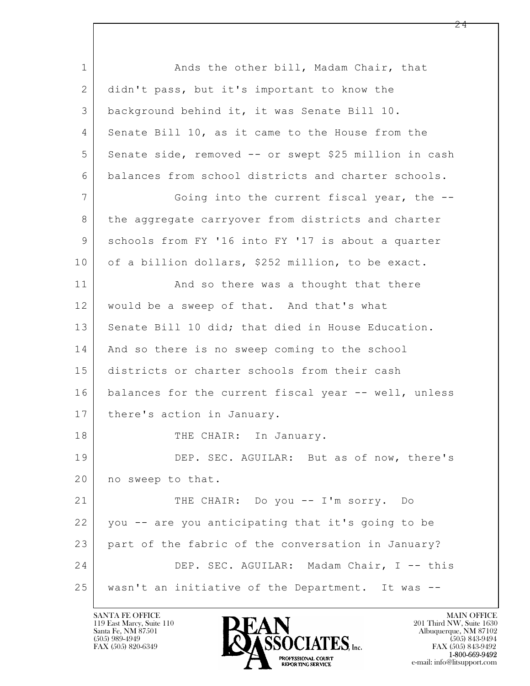$\mathbf{L}$  1 Ands the other bill, Madam Chair, that 2 didn't pass, but it's important to know the 3 background behind it, it was Senate Bill 10. 4 Senate Bill 10, as it came to the House from the 5 Senate side, removed -- or swept \$25 million in cash 6 balances from school districts and charter schools. 7 Going into the current fiscal year, the --8 the aggregate carryover from districts and charter 9 Schools from FY '16 into FY '17 is about a quarter 10 of a billion dollars, \$252 million, to be exact. 11 | And so there was a thought that there 12 would be a sweep of that. And that's what 13 Senate Bill 10 did; that died in House Education. 14 | And so there is no sweep coming to the school 15 districts or charter schools from their cash 16 balances for the current fiscal year -- well, unless 17 | there's action in January. 18 THE CHAIR: In January. 19 DEP. SEC. AGUILAR: But as of now, there's 20 no sweep to that. 21 THE CHAIR: Do you -- I'm sorry. Do 22 you -- are you anticipating that it's going to be 23 part of the fabric of the conversation in January? 24 DEP. SEC. AGUILAR: Madam Chair, I -- this 25 wasn't an initiative of the Department. It was --

119 East Marcy, Suite 110<br>Santa Fe, NM 87501

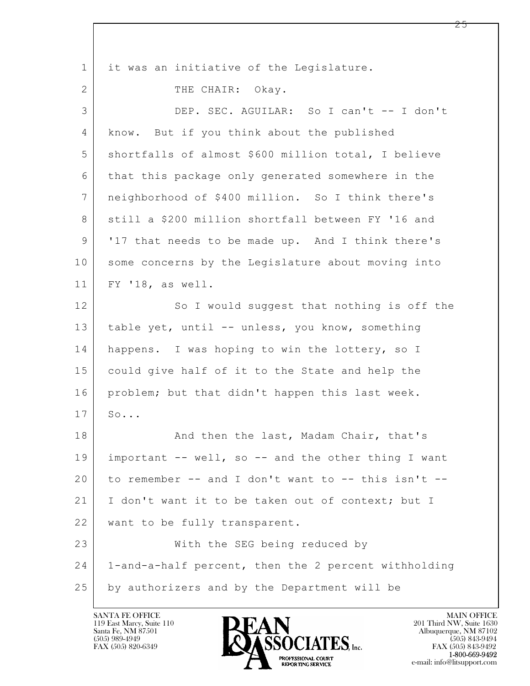$\mathbf{L}$  1 | it was an initiative of the Legislature. 2 THE CHAIR: Okay. 3 DEP. SEC. AGUILAR: So I can't -- I don't 4 know. But if you think about the published 5 shortfalls of almost \$600 million total, I believe 6 that this package only generated somewhere in the 7 neighborhood of \$400 million. So I think there's 8 still a \$200 million shortfall between FY '16 and 9 '17 that needs to be made up. And I think there's 10 some concerns by the Legislature about moving into 11 FY '18, as well. 12 So I would suggest that nothing is off the 13 table yet, until -- unless, you know, something 14 happens. I was hoping to win the lottery, so I 15 could give half of it to the State and help the 16 problem; but that didn't happen this last week.  $17 \mid \text{SO...}$ 18 | The Rand then the last, Madam Chair, that's 19 important -- well, so -- and the other thing I want 20 to remember -- and I don't want to -- this isn't -- 21 | I don't want it to be taken out of context; but I 22 | want to be fully transparent. 23 With the SEG being reduced by 24 1-and-a-half percent, then the 2 percent withholding 25 by authorizers and by the Department will be

119 East Marcy, Suite 110<br>Santa Fe, NM 87501



FAX (505) 843-9492 e-mail: info@litsupport.com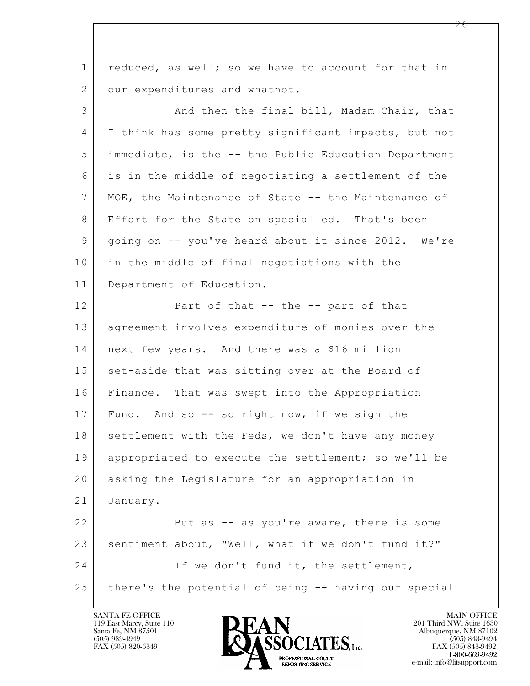| $\mathbf 1$    | reduced, as well; so we have to account for that in  |
|----------------|------------------------------------------------------|
| $\overline{2}$ | our expenditures and whatnot.                        |
| 3              | And then the final bill, Madam Chair, that           |
| 4              | I think has some pretty significant impacts, but not |
| 5              | immediate, is the -- the Public Education Department |
| 6              | is in the middle of negotiating a settlement of the  |
| $\overline{7}$ | MOE, the Maintenance of State -- the Maintenance of  |
| 8              | Effort for the State on special ed. That's been      |
| 9              | going on -- you've heard about it since 2012. We're  |
| 10             | in the middle of final negotiations with the         |
| 11             | Department of Education.                             |
| 12             | Part of that -- the -- part of that                  |
| 13             | agreement involves expenditure of monies over the    |
| 14             | next few years. And there was a \$16 million         |
| 15             | set-aside that was sitting over at the Board of      |
| 16             | Finance. That was swept into the Appropriation       |
| 17             | Fund. And so -- so right now, if we sign the         |
| 18             | settlement with the Feds, we don't have any money    |
| 19             | appropriated to execute the settlement; so we'll be  |
| 20             | asking the Legislature for an appropriation in       |
| 21             | January.                                             |
| 22             | But as -- as you're aware, there is some             |
| 23             | sentiment about, "Well, what if we don't fund it?"   |
| 24             | If we don't fund it, the settlement,                 |
| 25             | there's the potential of being -- having our special |

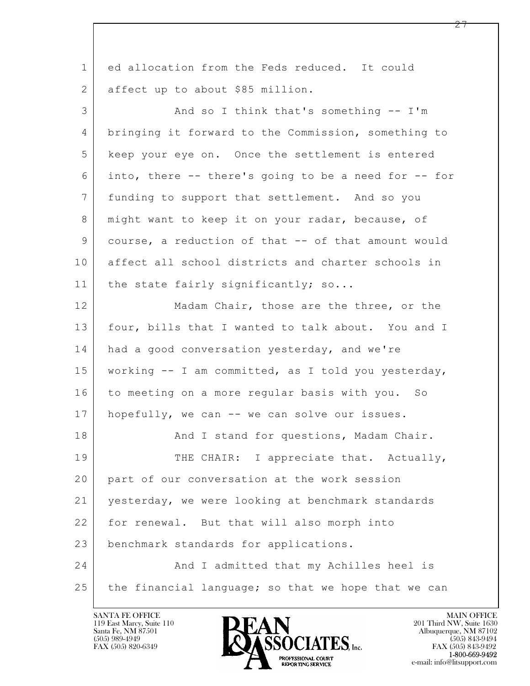| ed allocation from the Feds reduced. It could        |
|------------------------------------------------------|
| affect up to about \$85 million.                     |
| And so I think that's something -- I'm               |
| bringing it forward to the Commission, something to  |
| keep your eye on. Once the settlement is entered     |
| into, there -- there's going to be a need for -- for |
| funding to support that settlement. And so you       |
| might want to keep it on your radar, because, of     |
| course, a reduction of that -- of that amount would  |
| affect all school districts and charter schools in   |
| the state fairly significantly; so                   |
| Madam Chair, those are the three, or the             |
| four, bills that I wanted to talk about. You and I   |
| had a good conversation yesterday, and we're         |
| working -- I am committed, as I told you yesterday,  |
| to meeting on a more regular basis with you. So      |
| hopefully, we can -- we can solve our issues.        |
| And I stand for questions, Madam Chair.              |
| THE CHAIR: I appreciate that. Actually,              |
| part of our conversation at the work session         |
| yesterday, we were looking at benchmark standards    |
| for renewal. But that will also morph into           |
| benchmark standards for applications.                |
| And I admitted that my Achilles heel is              |
| the financial language; so that we hope that we can  |
|                                                      |

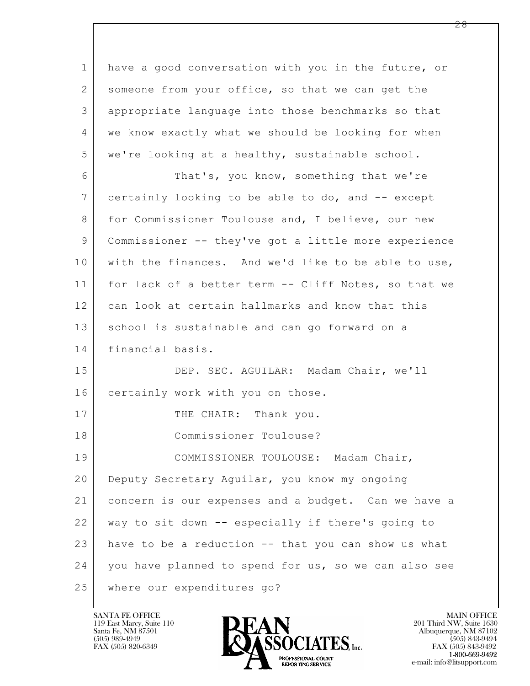$\mathbf{L}$  1 have a good conversation with you in the future, or 2 someone from your office, so that we can get the 3 appropriate language into those benchmarks so that 4 we know exactly what we should be looking for when 5 we're looking at a healthy, sustainable school. 6 That's, you know, something that we're 7 certainly looking to be able to do, and -- except 8 for Commissioner Toulouse and, I believe, our new 9 Commissioner -- they've got a little more experience 10 with the finances. And we'd like to be able to use, 11 for lack of a better term -- Cliff Notes, so that we 12 can look at certain hallmarks and know that this 13 school is sustainable and can go forward on a 14 financial basis. 15 DEP. SEC. AGUILAR: Madam Chair, we'll 16 certainly work with you on those. 17 THE CHAIR: Thank you. 18 Commissioner Toulouse? 19 | COMMISSIONER TOULOUSE: Madam Chair, 20 Deputy Secretary Aguilar, you know my ongoing 21 concern is our expenses and a budget. Can we have a 22 way to sit down -- especially if there's going to 23 have to be a reduction -- that you can show us what 24 you have planned to spend for us, so we can also see 25 where our expenditures go?

119 East Marcy, Suite 110<br>Santa Fe, NM 87501

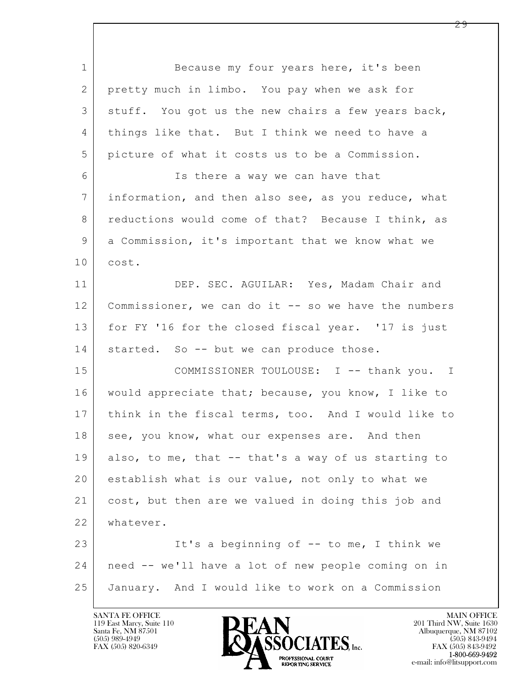$\mathbf{L}$  1 Because my four years here, it's been 2 pretty much in limbo. You pay when we ask for 3 | stuff. You got us the new chairs a few years back, 4 things like that. But I think we need to have a 5 picture of what it costs us to be a Commission. 6 | South Is there a way we can have that 7 information, and then also see, as you reduce, what 8 reductions would come of that? Because I think, as 9 a Commission, it's important that we know what we 10 cost. 11 | DEP. SEC. AGUILAR: Yes, Madam Chair and 12 | Commissioner, we can do it -- so we have the numbers 13 for FY '16 for the closed fiscal year. '17 is just 14 started. So -- but we can produce those. 15 COMMISSIONER TOULOUSE: I -- thank you. I 16 would appreciate that; because, you know, I like to 17 think in the fiscal terms, too. And I would like to 18 see, you know, what our expenses are. And then 19 also, to me, that -- that's a way of us starting to 20 | establish what is our value, not only to what we 21 cost, but then are we valued in doing this job and 22 whatever. 23 | It's a beginning of -- to me, I think we 24 need -- we'll have a lot of new people coming on in 25 January. And I would like to work on a Commission

119 East Marcy, Suite 110<br>Santa Fe, NM 87501

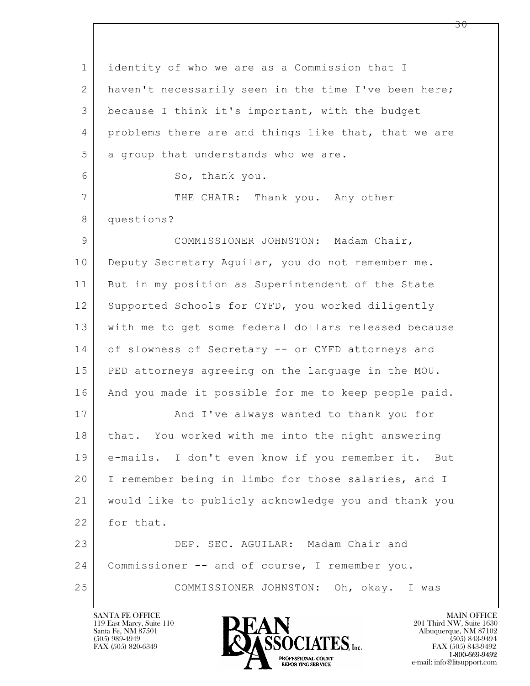$\mathbf{L}$  1 identity of who we are as a Commission that I 2 haven't necessarily seen in the time I've been here; 3 because I think it's important, with the budget 4 problems there are and things like that, that we are 5 a group that understands who we are. 6 So, thank you. 7 THE CHAIR: Thank you. Any other 8 questions? 9 COMMISSIONER JOHNSTON: Madam Chair, 10 Deputy Secretary Aquilar, you do not remember me. 11 But in my position as Superintendent of the State 12 Supported Schools for CYFD, you worked diligently 13 with me to get some federal dollars released because 14 of slowness of Secretary -- or CYFD attorneys and 15 PED attorneys agreeing on the language in the MOU. 16 | And you made it possible for me to keep people paid. 17 | And I've always wanted to thank you for 18 | that. You worked with me into the night answering 19 e-mails. I don't even know if you remember it. But 20 I remember being in limbo for those salaries, and I 21 would like to publicly acknowledge you and thank you 22 for that. 23 DEP. SEC. AGUILAR: Madam Chair and 24 Commissioner -- and of course, I remember you. 25 COMMISSIONER JOHNSTON: Oh, okay. I was

119 East Marcy, Suite 110<br>Santa Fe, NM 87501



FAX (505) 843-9492 e-mail: info@litsupport.com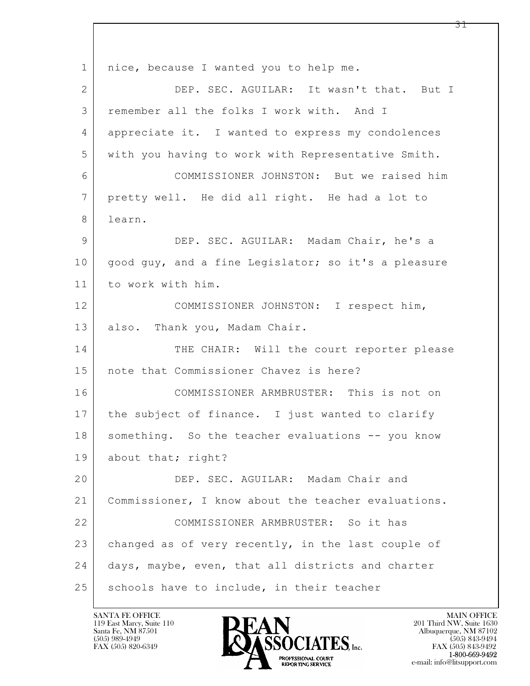$\mathbf{L}$  1 | nice, because I wanted you to help me. 2 DEP. SEC. AGUILAR: It wasn't that. But I 3 remember all the folks I work with. And I 4 appreciate it. I wanted to express my condolences 5 with you having to work with Representative Smith. 6 COMMISSIONER JOHNSTON: But we raised him 7 pretty well. He did all right. He had a lot to 8 learn. 9 DEP. SEC. AGUILAR: Madam Chair, he's a 10 good guy, and a fine Legislator; so it's a pleasure 11 to work with him. 12 COMMISSIONER JOHNSTON: I respect him, 13 also. Thank you, Madam Chair. 14 THE CHAIR: Will the court reporter please 15 note that Commissioner Chavez is here? 16 COMMISSIONER ARMBRUSTER: This is not on 17 the subject of finance. I just wanted to clarify 18 | something. So the teacher evaluations -- you know 19 about that; right? 20 DEP. SEC. AGUILAR: Madam Chair and 21 Commissioner, I know about the teacher evaluations. 22 COMMISSIONER ARMBRUSTER: So it has 23 changed as of very recently, in the last couple of 24 days, maybe, even, that all districts and charter 25 schools have to include, in their teacher

119 East Marcy, Suite 110<br>Santa Fe, NM 87501

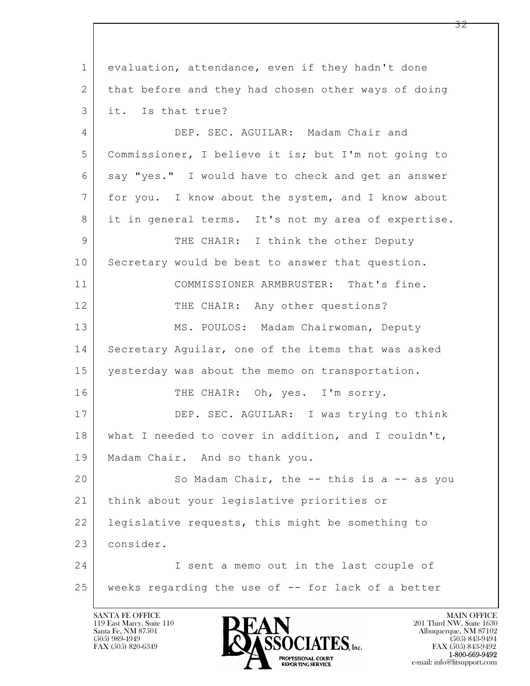$\mathbf{L}$  1 evaluation, attendance, even if they hadn't done 2 that before and they had chosen other ways of doing 3 it. Is that true? 4 DEP. SEC. AGUILAR: Madam Chair and 5 Commissioner, I believe it is; but I'm not going to 6 say "yes." I would have to check and get an answer 7 for you. I know about the system, and I know about 8 it in general terms. It's not my area of expertise. 9 THE CHAIR: I think the other Deputy 10 Secretary would be best to answer that question. 11 COMMISSIONER ARMBRUSTER: That's fine. 12 THE CHAIR: Any other questions? 13 MS. POULOS: Madam Chairwoman, Deputy 14 Secretary Aquilar, one of the items that was asked 15 yesterday was about the memo on transportation. 16 THE CHAIR: Oh, yes. I'm sorry. 17 DEP. SEC. AGUILAR: I was trying to think 18 what I needed to cover in addition, and I couldn't, 19 | Madam Chair. And so thank you. 20 So Madam Chair, the -- this is a -- as you 21 think about your legislative priorities or 22 | legislative requests, this might be something to 23 consider. 24 I sent a memo out in the last couple of 25 weeks regarding the use of -- for lack of a better

119 East Marcy, Suite 110<br>Santa Fe, NM 87501



FAX (505) 843-9492 e-mail: info@litsupport.com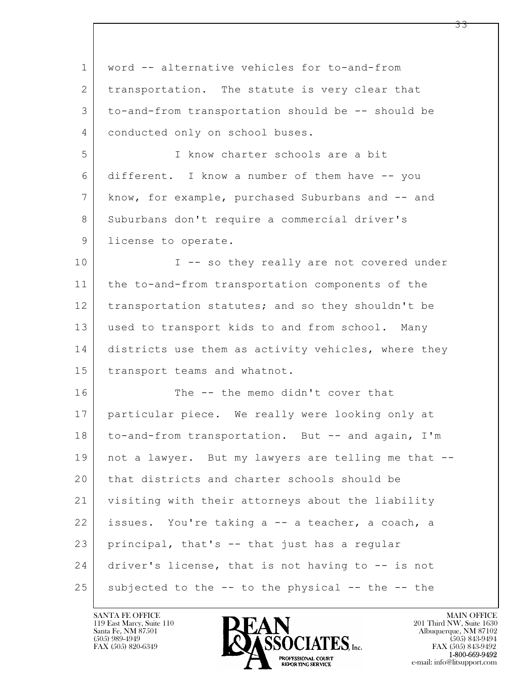| $\mathbf{1}$   | word -- alternative vehicles for to-and-from        |
|----------------|-----------------------------------------------------|
| 2              | transportation. The statute is very clear that      |
| 3              | to-and-from transportation should be -- should be   |
| 4              | conducted only on school buses.                     |
| 5              | I know charter schools are a bit                    |
| 6              | different. I know a number of them have -- you      |
| $\overline{7}$ | know, for example, purchased Suburbans and -- and   |
| 8              | Suburbans don't require a commercial driver's       |
| 9              | license to operate.                                 |
| 10             | I -- so they really are not covered under           |
| 11             | the to-and-from transportation components of the    |
| 12             | transportation statutes; and so they shouldn't be   |
| 13             | used to transport kids to and from school. Many     |
| 14             | districts use them as activity vehicles, where they |
| 15             | transport teams and whatnot.                        |
| 16             | The -- the memo didn't cover that                   |
| 17             | particular piece. We really were looking only at    |
| 18             | to-and-from transportation. But -- and again, I'm   |
| 19             | not a lawyer. But my lawyers are telling me that -- |
| 20             | that districts and charter schools should be        |
| 21             | visiting with their attorneys about the liability   |
| 22             | issues. You're taking a -- a teacher, a coach, a    |
| 23             | principal, that's -- that just has a regular        |
| 24             | driver's license, that is not having to -- is not   |
| 25             | subjected to the -- to the physical -- the -- the   |

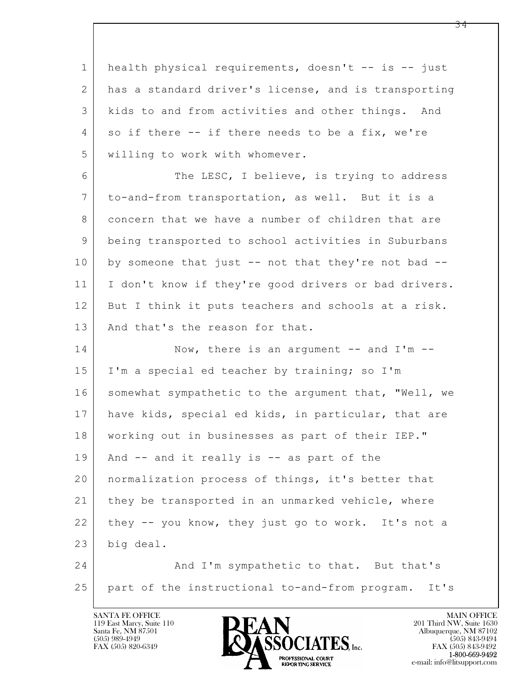1 health physical requirements, doesn't -- is -- just 2 has a standard driver's license, and is transporting 3 kids to and from activities and other things. And 4 so if there -- if there needs to be a fix, we're 5 willing to work with whomever.

6 The LESC, I believe, is trying to address 7 to-and-from transportation, as well. But it is a 8 concern that we have a number of children that are 9 being transported to school activities in Suburbans 10 by someone that just -- not that they're not bad --11 I don't know if they're good drivers or bad drivers. 12 But I think it puts teachers and schools at a risk. 13 And that's the reason for that.

 $\mathbf{L}$ 14 Now, there is an argument -- and I'm --15 | I'm a special ed teacher by training; so I'm 16 somewhat sympathetic to the argument that, "Well, we 17 have kids, special ed kids, in particular, that are 18 working out in businesses as part of their IEP." 19 | And -- and it really is -- as part of the 20 normalization process of things, it's better that 21 they be transported in an unmarked vehicle, where 22 they -- you know, they just go to work. It's not a 23 big deal. 24 And I'm sympathetic to that. But that's

 25 part of the instructional to-and-from program. It's

119 East Marcy, Suite 110<br>Santa Fe, NM 87501



FAX (505) 843-9492 **EXECUTE EXECUTE:**<br>REPORTING SERVICE e-mail: info@litsupport.com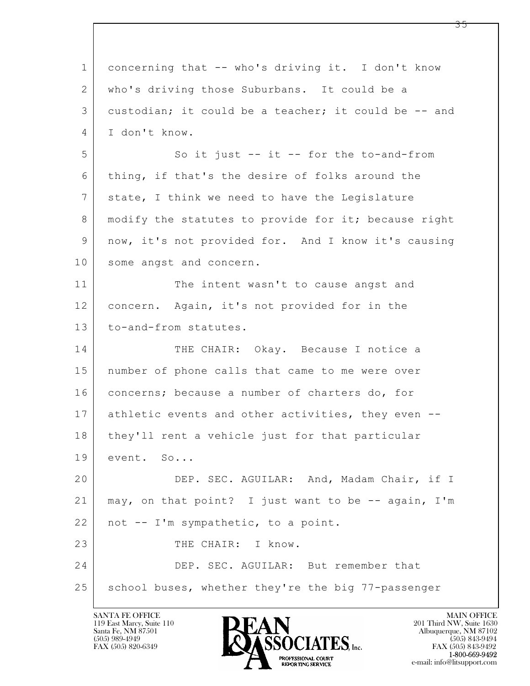$\mathbf{L}$  1 concerning that -- who's driving it. I don't know 2 who's driving those Suburbans. It could be a 3 custodian; it could be a teacher; it could be -- and 4 I don't know. 5 So it just -- it -- for the to-and-from 6 thing, if that's the desire of folks around the 7 state, I think we need to have the Legislature 8 | modify the statutes to provide for it; because right 9 now, it's not provided for. And I know it's causing 10 some angst and concern. 11 The intent wasn't to cause angst and 12 concern. Again, it's not provided for in the 13 to-and-from statutes. 14 THE CHAIR: Okay. Because I notice a 15 number of phone calls that came to me were over 16 concerns; because a number of charters do, for 17 athletic events and other activities, they even -- 18 | they'll rent a vehicle just for that particular 19 event. So... 20 DEP. SEC. AGUILAR: And, Madam Chair, if I 21 may, on that point? I just want to be -- again, I'm  $22$  not  $-$  I'm sympathetic, to a point. 23 THE CHAIR: I know. 24 DEP. SEC. AGUILAR: But remember that 25 | school buses, whether they're the big 77-passenger

119 East Marcy, Suite 110<br>Santa Fe, NM 87501

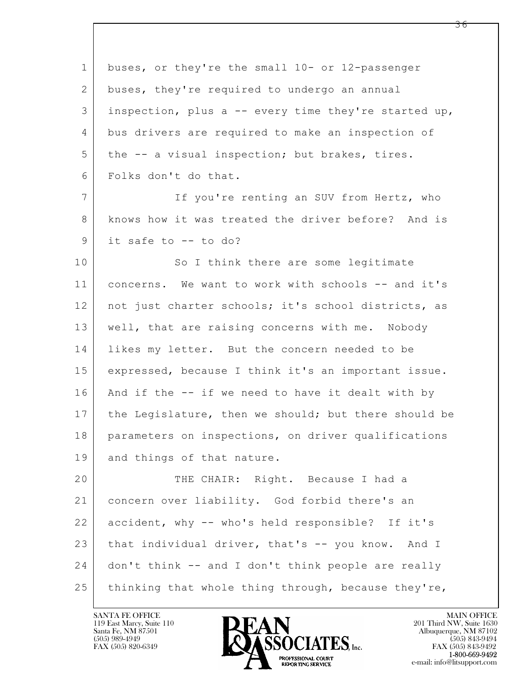| $\mathbf 1$    | buses, or they're the small 10- or 12-passenger      |
|----------------|------------------------------------------------------|
| $\overline{2}$ | buses, they're required to undergo an annual         |
| 3              | inspection, plus a -- every time they're started up, |
| 4              | bus drivers are required to make an inspection of    |
| 5              | the -- a visual inspection; but brakes, tires.       |
| 6              | Folks don't do that.                                 |
| $\overline{7}$ | If you're renting an SUV from Hertz, who             |
| 8              | knows how it was treated the driver before? And is   |
| $\mathsf 9$    | it safe to -- to do?                                 |
| 10             | So I think there are some legitimate                 |
| 11             | concerns. We want to work with schools -- and it's   |
| 12             | not just charter schools; it's school districts, as  |
| 13             | well, that are raising concerns with me. Nobody      |
| 14             | likes my letter. But the concern needed to be        |
| 15             | expressed, because I think it's an important issue.  |
| 16             | And if the -- if we need to have it dealt with by    |
| 17             | the Legislature, then we should; but there should be |
| 18             | parameters on inspections, on driver qualifications  |
| 19             | and things of that nature.                           |
| 20             | THE CHAIR: Right. Because I had a                    |
| 21             | concern over liability. God forbid there's an        |
| 22             | accident, why -- who's held responsible? If it's     |
| 23             | that individual driver, that's -- you know. And I    |
| 24             | don't think -- and I don't think people are really   |
| 25             | thinking that whole thing through, because they're,  |

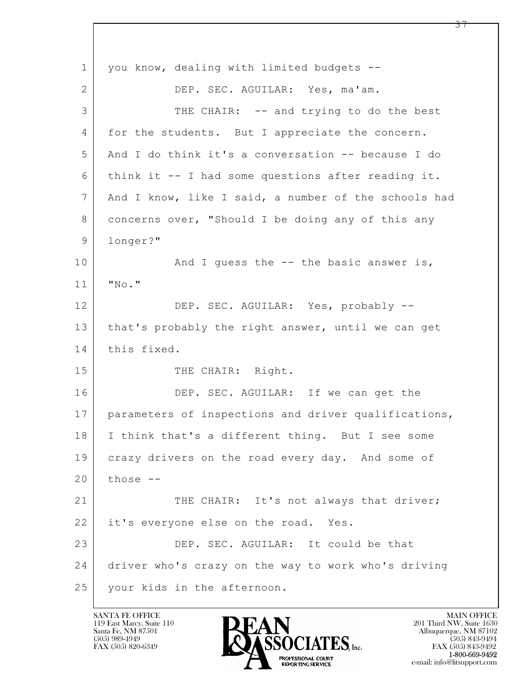$\mathbf{L}$  1 | you know, dealing with limited budgets --2 DEP. SEC. AGUILAR: Yes, ma'am. 3 THE CHAIR: -- and trying to do the best 4 for the students. But I appreciate the concern. 5 And I do think it's a conversation -- because I do  $6$  think it  $-$  I had some questions after reading it. 7 And I know, like I said, a number of the schools had 8 concerns over, "Should I be doing any of this any 9 longer?" 10 | And I quess the -- the basic answer is, 11 "No." 12 DEP. SEC. AGUILAR: Yes, probably --13 | that's probably the right answer, until we can get 14 this fixed. 15 THE CHAIR: Right. 16 DEP. SEC. AGUILAR: If we can get the 17 parameters of inspections and driver qualifications, 18 I think that's a different thing. But I see some 19 crazy drivers on the road every day. And some of  $20$  those  $-$ 21 THE CHAIR: It's not always that driver; 22 it's everyone else on the road. Yes. 23 DEP. SEC. AGUILAR: It could be that 24 driver who's crazy on the way to work who's driving 25 your kids in the afternoon.

119 East Marcy, Suite 110<br>Santa Fe, NM 87501

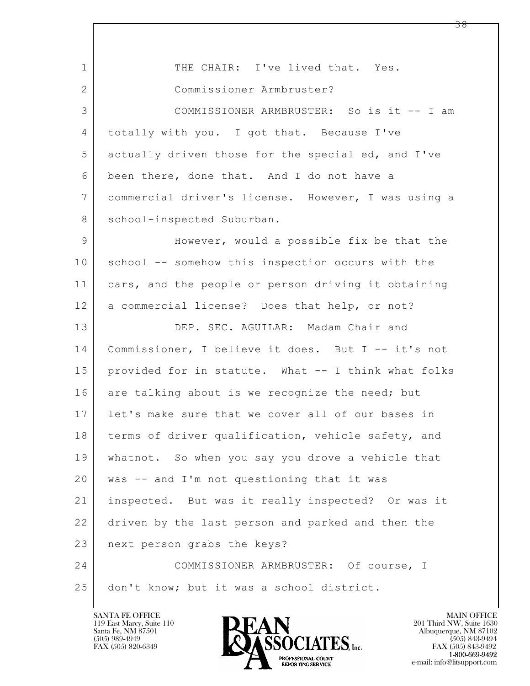| $\mathbf{1}$   | THE CHAIR: I've lived that. Yes.                    |
|----------------|-----------------------------------------------------|
| $\overline{2}$ | Commissioner Armbruster?                            |
| 3              | COMMISSIONER ARMBRUSTER: So is it -- I am           |
| 4              | totally with you. I got that. Because I've          |
| 5              | actually driven those for the special ed, and I've  |
| 6              | been there, done that. And I do not have a          |
| $7\phantom{.}$ | commercial driver's license. However, I was using a |
| 8              | school-inspected Suburban.                          |
| 9              | However, would a possible fix be that the           |
| 10             | school -- somehow this inspection occurs with the   |
| 11             | cars, and the people or person driving it obtaining |
| 12             | a commercial license? Does that help, or not?       |
| 13             | DEP. SEC. AGUILAR: Madam Chair and                  |
| 14             | Commissioner, I believe it does. But I -- it's not  |
| 15             | provided for in statute. What -- I think what folks |
| 16             | are talking about is we recognize the need; but     |
| 17             | let's make sure that we cover all of our bases in   |
| 18             | terms of driver qualification, vehicle safety, and  |
| 19             | whatnot. So when you say you drove a vehicle that   |
| 20             | was -- and I'm not questioning that it was          |
| 21             | inspected. But was it really inspected? Or was it   |
| 22             | driven by the last person and parked and then the   |
| 23             | next person grabs the keys?                         |
| 24             | COMMISSIONER ARMBRUSTER: Of course, I               |
| 25             | don't know; but it was a school district.           |

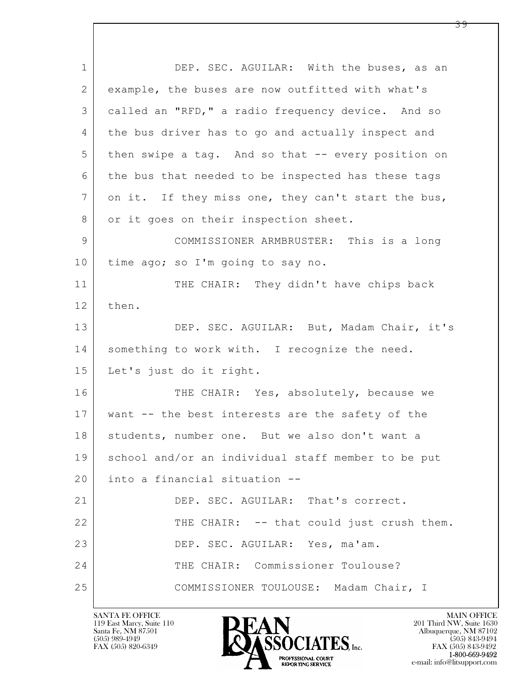$\mathbf{L}$  1 DEP. SEC. AGUILAR: With the buses, as an 2 example, the buses are now outfitted with what's 3 called an "RFD," a radio frequency device. And so 4 the bus driver has to go and actually inspect and 5 then swipe a tag. And so that -- every position on 6 the bus that needed to be inspected has these tags 7 on it. If they miss one, they can't start the bus, 8 or it goes on their inspection sheet. 9 COMMISSIONER ARMBRUSTER: This is a long 10 | time ago; so I'm going to say no. 11 THE CHAIR: They didn't have chips back 12 then. 13 DEP. SEC. AGUILAR: But, Madam Chair, it's 14 something to work with. I recognize the need. 15 Let's just do it right. 16 THE CHAIR: Yes, absolutely, because we 17 want -- the best interests are the safety of the 18 | students, number one. But we also don't want a 19 school and/or an individual staff member to be put 20 into a financial situation -- 21 DEP. SEC. AGUILAR: That's correct. 22 THE CHAIR: -- that could just crush them. 23 DEP. SEC. AGUILAR: Yes, ma'am. 24 THE CHAIR: Commissioner Toulouse? 25 COMMISSIONER TOULOUSE: Madam Chair, I

119 East Marcy, Suite 110<br>Santa Fe, NM 87501

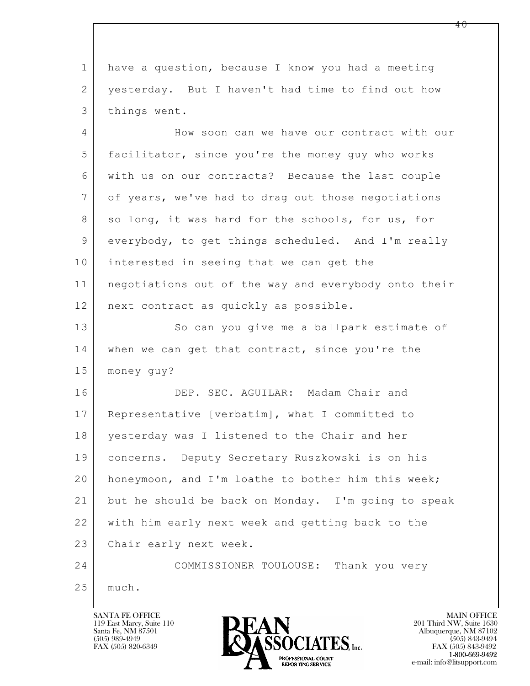$\mathbf{L}$  1 have a question, because I know you had a meeting 2 | yesterday. But I haven't had time to find out how 3 things went. 4 How soon can we have our contract with our 5 facilitator, since you're the money guy who works 6 with us on our contracts? Because the last couple 7 of years, we've had to drag out those negotiations 8 so long, it was hard for the schools, for us, for 9 everybody, to get things scheduled. And I'm really 10 interested in seeing that we can get the 11 negotiations out of the way and everybody onto their 12 | next contract as quickly as possible. 13 So can you give me a ballpark estimate of 14 when we can get that contract, since you're the 15 money guy? 16 DEP. SEC. AGUILAR: Madam Chair and 17 Representative [verbatim], what I committed to 18 yesterday was I listened to the Chair and her 19 concerns. Deputy Secretary Ruszkowski is on his 20 honeymoon, and I'm loathe to bother him this week; 21 but he should be back on Monday. I'm going to speak 22 with him early next week and getting back to the 23 Chair early next week. 24 COMMISSIONER TOULOUSE: Thank you very 25 much.

119 East Marcy, Suite 110<br>Santa Fe, NM 87501

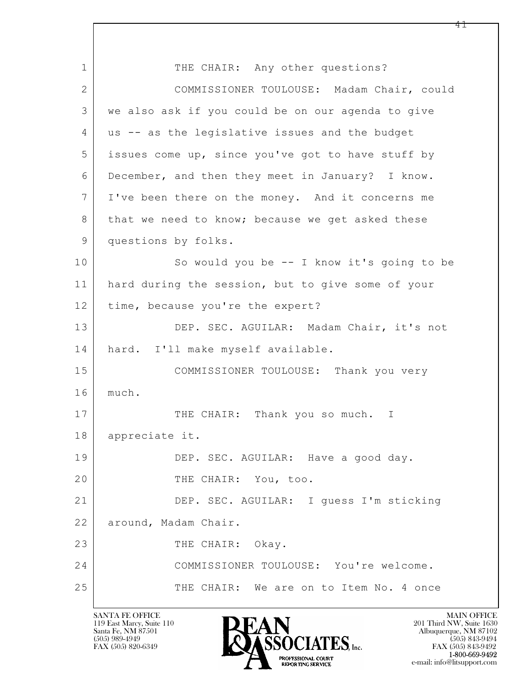$\mathbf{L}$  1 THE CHAIR: Any other questions? 2 COMMISSIONER TOULOUSE: Madam Chair, could 3 we also ask if you could be on our agenda to give 4 us -- as the legislative issues and the budget 5 issues come up, since you've got to have stuff by 6 December, and then they meet in January? I know. 7 I've been there on the money. And it concerns me 8 that we need to know; because we get asked these 9 questions by folks. 10 So would you be -- I know it's going to be 11 hard during the session, but to give some of your 12 | time, because you're the expert? 13 DEP. SEC. AGUILAR: Madam Chair, it's not 14 hard. I'll make myself available. 15 COMMISSIONER TOULOUSE: Thank you very 16 much. 17 THE CHAIR: Thank you so much. I 18 appreciate it. 19 DEP. SEC. AGUILAR: Have a good day. 20 THE CHAIR: You, too. 21 DEP. SEC. AGUILAR: I guess I'm sticking 22 around, Madam Chair. 23 THE CHAIR: Okay. 24 COMMISSIONER TOULOUSE: You're welcome. 25 THE CHAIR: We are on to Item No. 4 once

119 East Marcy, Suite 110<br>Santa Fe, NM 87501

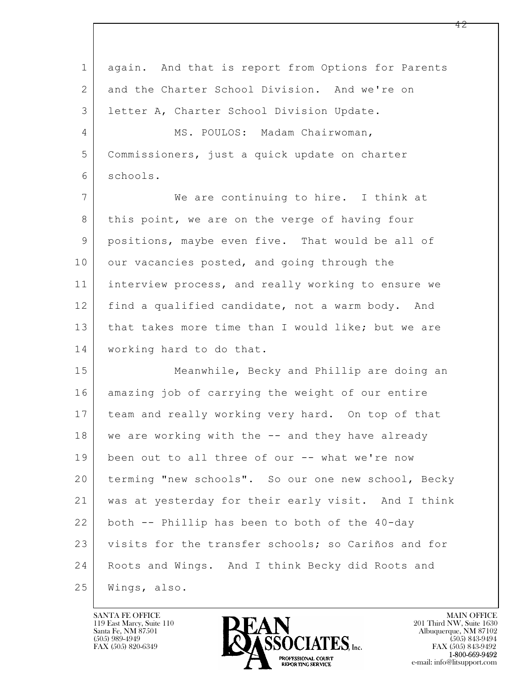$\mathbf{L}$  1 again. And that is report from Options for Parents 2 and the Charter School Division. And we're on 3 letter A, Charter School Division Update. 4 MS. POULOS: Madam Chairwoman, 5 Commissioners, just a quick update on charter 6 schools. 7 We are continuing to hire. I think at 8 this point, we are on the verge of having four 9 positions, maybe even five. That would be all of 10 our vacancies posted, and going through the 11 interview process, and really working to ensure we 12 find a qualified candidate, not a warm body. And 13 | that takes more time than I would like; but we are 14 | working hard to do that. 15 Meanwhile, Becky and Phillip are doing an 16 amazing job of carrying the weight of our entire 17 team and really working very hard. On top of that 18 we are working with the -- and they have already 19 been out to all three of our -- what we're now 20 terming "new schools". So our one new school, Becky 21 was at yesterday for their early visit. And I think 22 both -- Phillip has been to both of the 40-day 23 visits for the transfer schools; so Cariños and for 24 | Roots and Wings. And I think Becky did Roots and 25 Wings, also.

119 East Marcy, Suite 110<br>Santa Fe, NM 87501



FAX (505) 843-9492 e-mail: info@litsupport.com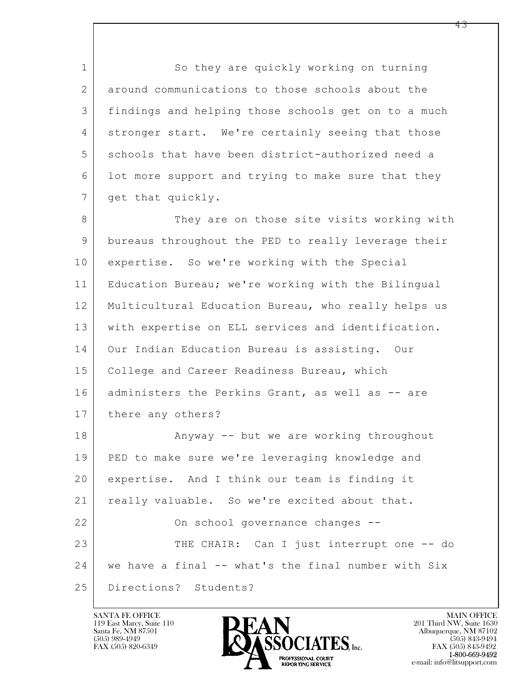1 So they are quickly working on turning 2 around communications to those schools about the 3 findings and helping those schools get on to a much 4 stronger start. We're certainly seeing that those 5 schools that have been district-authorized need a 6 lot more support and trying to make sure that they 7 | get that quickly.

8 They are on those site visits working with 9 bureaus throughout the PED to really leverage their 10 expertise. So we're working with the Special 11 Education Bureau; we're working with the Bilingual 12 Multicultural Education Bureau, who really helps us 13 with expertise on ELL services and identification. 14 Our Indian Education Bureau is assisting. Our 15 | College and Career Readiness Bureau, which 16 | administers the Perkins Grant, as well as -- are 17 | there any others?

 $\mathbf{L}$  18 | Anyway -- but we are working throughout 19 PED to make sure we're leveraging knowledge and 20 expertise. And I think our team is finding it 21 really valuable. So we're excited about that. 22 | Cn school governance changes --23 THE CHAIR: Can I just interrupt one -- do 24 | we have a final -- what's the final number with Six 25 Directions? Students?

119 East Marcy, Suite 110<br>Santa Fe, NM 87501

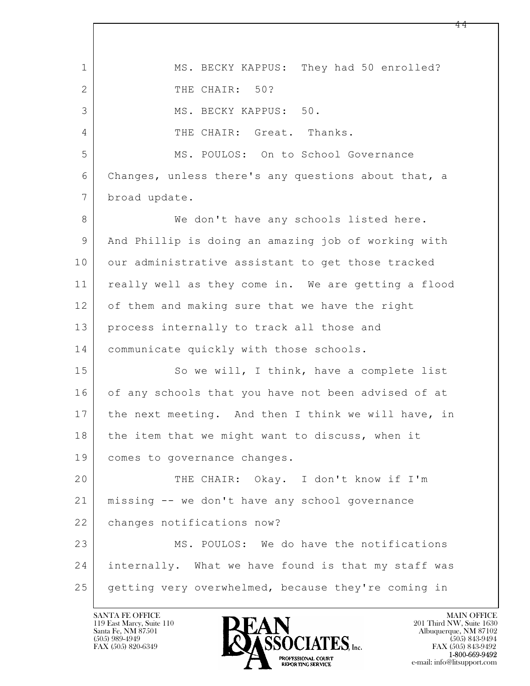$\mathbf{L}$  1 MS. BECKY KAPPUS: They had 50 enrolled? 2 THE CHAIR: 50? 3 MS. BECKY KAPPUS: 50. 4 THE CHAIR: Great. Thanks. 5 MS. POULOS: On to School Governance 6 Changes, unless there's any questions about that, a 7 broad update. 8 We don't have any schools listed here. 9 And Phillip is doing an amazing job of working with 10 our administrative assistant to get those tracked 11 really well as they come in. We are getting a flood 12 of them and making sure that we have the right 13 process internally to track all those and 14 communicate quickly with those schools. 15 So we will, I think, have a complete list 16 of any schools that you have not been advised of at 17 | the next meeting. And then I think we will have, in 18 the item that we might want to discuss, when it 19 comes to governance changes. 20 THE CHAIR: Okay. I don't know if I'm 21 missing -- we don't have any school governance 22 changes notifications now? 23 MS. POULOS: We do have the notifications 24 internally. What we have found is that my staff was 25 getting very overwhelmed, because they're coming in

119 East Marcy, Suite 110<br>Santa Fe, NM 87501

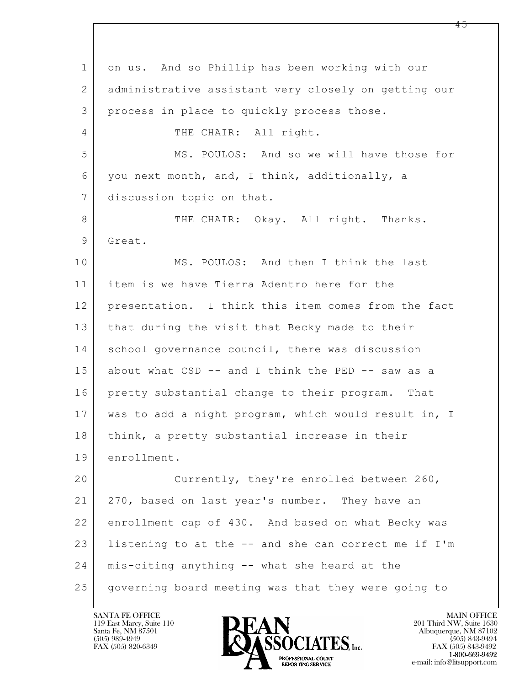$\mathbf{L}$  1 on us. And so Phillip has been working with our 2 administrative assistant very closely on getting our 3 process in place to quickly process those. 4 THE CHAIR: All right. 5 MS. POULOS: And so we will have those for 6 you next month, and, I think, additionally, a 7 discussion topic on that. 8 THE CHAIR: Okay. All right. Thanks. 9 Great. 10 MS. POULOS: And then I think the last 11 item is we have Tierra Adentro here for the 12 presentation. I think this item comes from the fact 13 | that during the visit that Becky made to their 14 school governance council, there was discussion 15 about what CSD -- and I think the PED -- saw as a 16 pretty substantial change to their program. That 17 was to add a night program, which would result in, I 18 | think, a pretty substantial increase in their 19 enrollment. 20 Currently, they're enrolled between 260, 21 270, based on last year's number. They have an 22 enrollment cap of 430. And based on what Becky was 23 listening to at the -- and she can correct me if I'm 24 mis-citing anything -- what she heard at the 25 governing board meeting was that they were going to

119 East Marcy, Suite 110<br>Santa Fe, NM 87501



FAX (505) 843-9492 e-mail: info@litsupport.com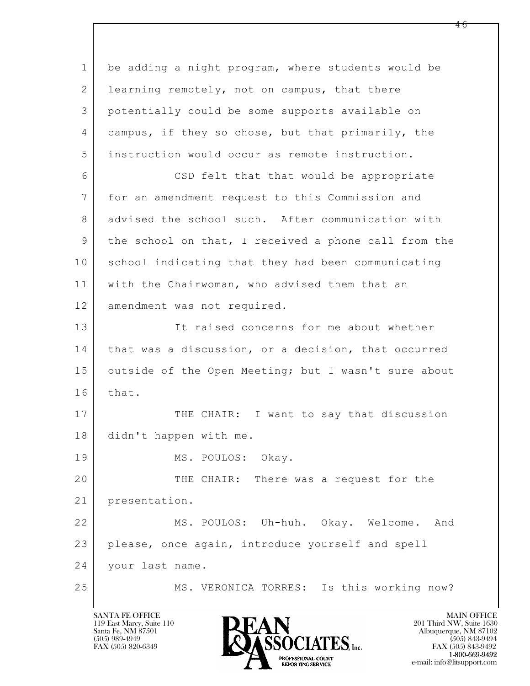$\mathbf{L}$  1 be adding a night program, where students would be 2 learning remotely, not on campus, that there 3 potentially could be some supports available on 4 campus, if they so chose, but that primarily, the 5 instruction would occur as remote instruction. 6 CSD felt that that would be appropriate 7 for an amendment request to this Commission and 8 advised the school such. After communication with 9 the school on that, I received a phone call from the 10 school indicating that they had been communicating 11 with the Chairwoman, who advised them that an 12 amendment was not required. 13 It raised concerns for me about whether 14 | that was a discussion, or a decision, that occurred 15 outside of the Open Meeting; but I wasn't sure about 16 that. 17 THE CHAIR: I want to say that discussion 18 didn't happen with me. 19 MS. POULOS: Okay. 20 THE CHAIR: There was a request for the 21 presentation. 22 MS. POULOS: Uh-huh. Okay. Welcome. And 23 please, once again, introduce yourself and spell 24 your last name. 25 MS. VERONICA TORRES: Is this working now?

119 East Marcy, Suite 110<br>Santa Fe, NM 87501

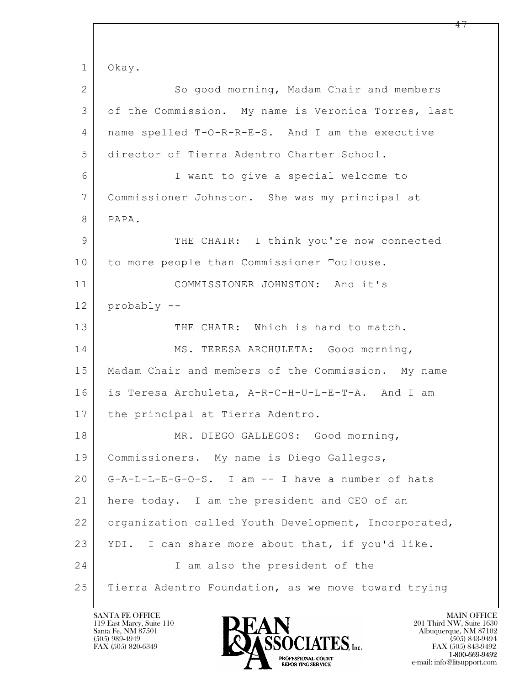$\mathbf{L}$  1 Okay. 2 So good morning, Madam Chair and members 3 of the Commission. My name is Veronica Torres, last 4 name spelled T-O-R-R-E-S. And I am the executive 5 director of Tierra Adentro Charter School. 6 I want to give a special welcome to 7 Commissioner Johnston. She was my principal at 8 PAPA. 9 THE CHAIR: I think you're now connected 10 to more people than Commissioner Toulouse. 11 COMMISSIONER JOHNSTON: And it's 12 probably -- 13 THE CHAIR: Which is hard to match. 14 MS. TERESA ARCHULETA: Good morning, 15 | Madam Chair and members of the Commission. My name 16 is Teresa Archuleta, A-R-C-H-U-L-E-T-A. And I am 17 | the principal at Tierra Adentro. 18 MR. DIEGO GALLEGOS: Good morning, 19 Commissioners. My name is Diego Gallegos, 20 G-A-L-L-E-G-O-S. I am -- I have a number of hats 21 here today. I am the president and CEO of an 22 | organization called Youth Development, Incorporated, 23 YDI. I can share more about that, if you'd like. 24 I am also the president of the 25 Tierra Adentro Foundation, as we move toward trying

119 East Marcy, Suite 110<br>Santa Fe, NM 87501

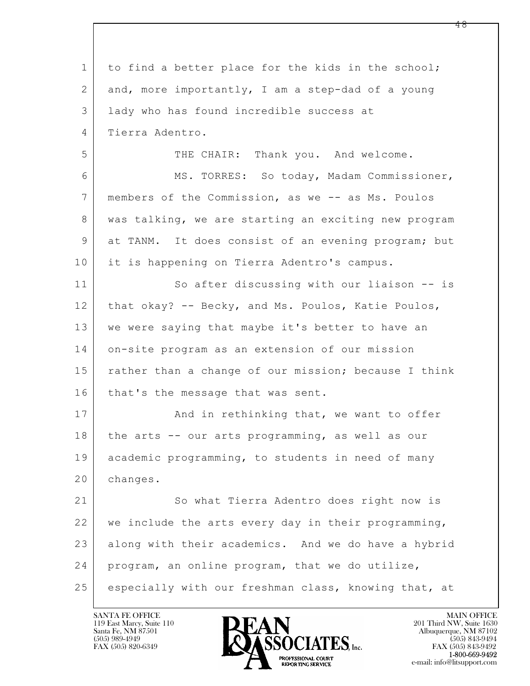$\mathbf{L}$  1 to find a better place for the kids in the school; 2 and, more importantly, I am a step-dad of a young 3 lady who has found incredible success at 4 Tierra Adentro. 5 THE CHAIR: Thank you. And welcome. 6 MS. TORRES: So today, Madam Commissioner, 7 members of the Commission, as we -- as Ms. Poulos 8 | was talking, we are starting an exciting new program 9 at TANM. It does consist of an evening program; but 10 it is happening on Tierra Adentro's campus. 11 So after discussing with our liaison -- is 12 that okay? -- Becky, and Ms. Poulos, Katie Poulos, 13 we were saying that maybe it's better to have an 14 on-site program as an extension of our mission 15 | rather than a change of our mission; because I think 16 that's the message that was sent. 17 | And in rethinking that, we want to offer 18 the arts -- our arts programming, as well as our 19 academic programming, to students in need of many 20 changes. 21 So what Tierra Adentro does right now is 22 we include the arts every day in their programming, 23 along with their academics. And we do have a hybrid 24 program, an online program, that we do utilize, 25 especially with our freshman class, knowing that, at

119 East Marcy, Suite 110<br>Santa Fe, NM 87501

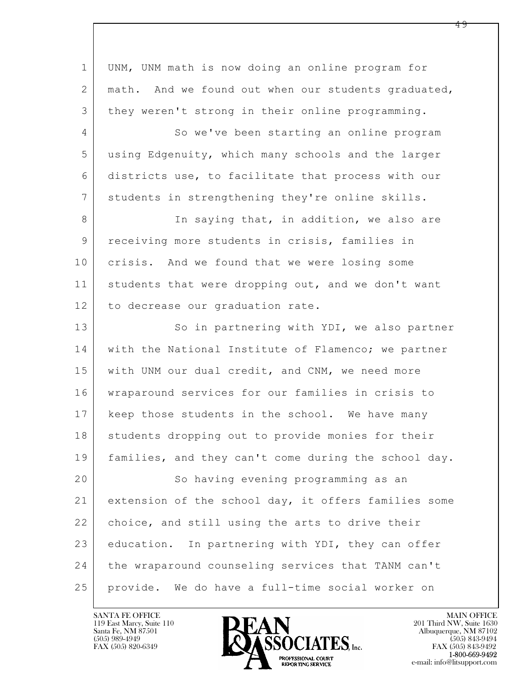| $\mathbf{1}$   | UNM, UNM math is now doing an online program for     |
|----------------|------------------------------------------------------|
| $\overline{2}$ | math. And we found out when our students graduated,  |
| 3              | they weren't strong in their online programming.     |
| 4              | So we've been starting an online program             |
| 5              | using Edgenuity, which many schools and the larger   |
| 6              | districts use, to facilitate that process with our   |
| 7              | students in strengthening they're online skills.     |
| 8              | In saying that, in addition, we also are             |
| 9              | receiving more students in crisis, families in       |
| 10             | crisis. And we found that we were losing some        |
| 11             | students that were dropping out, and we don't want   |
| 12             | to decrease our graduation rate.                     |
| 13             | So in partnering with YDI, we also partner           |
| 14             | with the National Institute of Flamenco; we partner  |
| 15             | with UNM our dual credit, and CNM, we need more      |
| 16             | wraparound services for our families in crisis to    |
| 17             | keep those students in the school. We have many      |
| 18             | students dropping out to provide monies for their    |
| 19             | families, and they can't come during the school day. |
| 20             | So having evening programming as an                  |
| 21             | extension of the school day, it offers families some |
| 22             | choice, and still using the arts to drive their      |
| 23             | education. In partnering with YDI, they can offer    |
| 24             | the wraparound counseling services that TANM can't   |
| 25             | provide. We do have a full-time social worker on     |

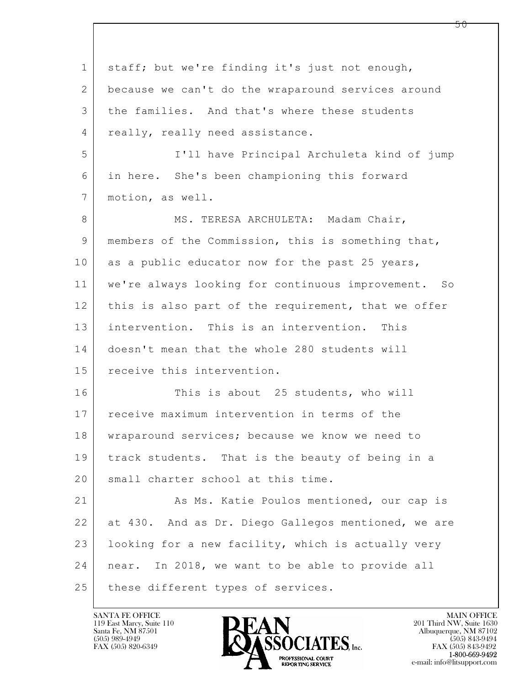$\mathbf{L}$  1 staff; but we're finding it's just not enough, 2 because we can't do the wraparound services around 3 the families. And that's where these students 4 really, really need assistance. 5 I'll have Principal Archuleta kind of jump 6 in here. She's been championing this forward 7 | motion, as well. 8 MS. TERESA ARCHULETA: Madam Chair, 9 members of the Commission, this is something that, 10 as a public educator now for the past 25 years, 11 we're always looking for continuous improvement. So 12 this is also part of the requirement, that we offer 13 intervention. This is an intervention. This 14 doesn't mean that the whole 280 students will 15 receive this intervention. 16 This is about 25 students, who will 17 receive maximum intervention in terms of the 18 wraparound services; because we know we need to 19 track students. That is the beauty of being in a 20 small charter school at this time. 21 As Ms. Katie Poulos mentioned, our cap is 22 at 430. And as Dr. Diego Gallegos mentioned, we are 23 | looking for a new facility, which is actually very 24 near. In 2018, we want to be able to provide all 25 | these different types of services.

119 East Marcy, Suite 110<br>Santa Fe, NM 87501

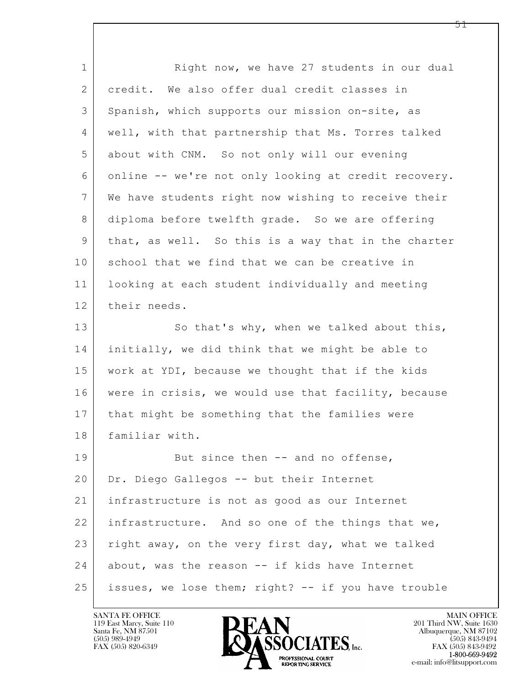$\mathbf{L}$  1 Right now, we have 27 students in our dual 2 credit. We also offer dual credit classes in 3 Spanish, which supports our mission on-site, as 4 well, with that partnership that Ms. Torres talked 5 about with CNM. So not only will our evening 6 online -- we're not only looking at credit recovery. 7 We have students right now wishing to receive their 8 diploma before twelfth grade. So we are offering 9 that, as well. So this is a way that in the charter 10 school that we find that we can be creative in 11 looking at each student individually and meeting 12 their needs. 13 So that's why, when we talked about this, 14 initially, we did think that we might be able to 15 work at YDI, because we thought that if the kids 16 | were in crisis, we would use that facility, because 17 | that might be something that the families were 18 | familiar with. 19 But since then -- and no offense, 20 Dr. Diego Gallegos -- but their Internet 21 infrastructure is not as good as our Internet 22 infrastructure. And so one of the things that we, 23 right away, on the very first day, what we talked 24 about, was the reason -- if kids have Internet 25 issues, we lose them; right? -- if you have trouble

119 East Marcy, Suite 110<br>Santa Fe, NM 87501

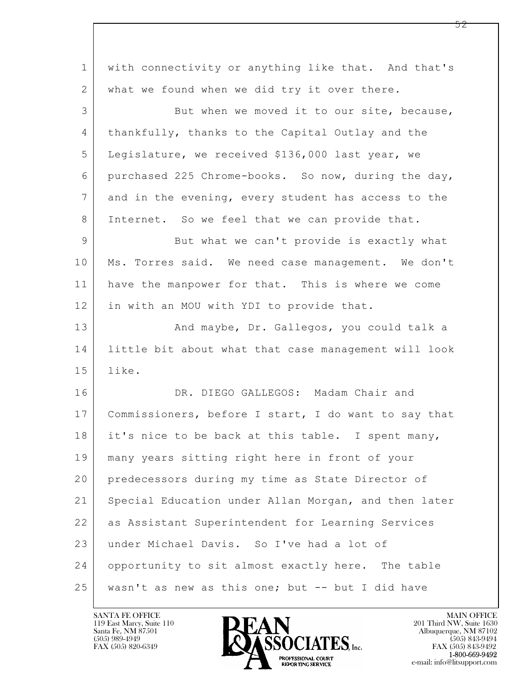| $\mathbf{1}$   | with connectivity or anything like that. And that's  |
|----------------|------------------------------------------------------|
| 2              | what we found when we did try it over there.         |
| 3              | But when we moved it to our site, because,           |
| $\overline{4}$ | thankfully, thanks to the Capital Outlay and the     |
| 5              | Legislature, we received \$136,000 last year, we     |
| 6              | purchased 225 Chrome-books. So now, during the day,  |
| 7              | and in the evening, every student has access to the  |
| 8              | Internet. So we feel that we can provide that.       |
| $\mathcal{G}$  | But what we can't provide is exactly what            |
| 10             | Ms. Torres said. We need case management. We don't   |
| 11             | have the manpower for that. This is where we come    |
| 12             | in with an MOU with YDI to provide that.             |
| 13             | And maybe, Dr. Gallegos, you could talk a            |
| 14             | little bit about what that case management will look |
| 15             | like.                                                |
| 16             | DR. DIEGO GALLEGOS: Madam Chair and                  |
| 17             | Commissioners, before I start, I do want to say that |
| 18             | it's nice to be back at this table. I spent many,    |
| 19             | many years sitting right here in front of your       |
| 20             | predecessors during my time as State Director of     |
| 21             | Special Education under Allan Morgan, and then later |
| 22             | as Assistant Superintendent for Learning Services    |
| 23             | under Michael Davis. So I've had a lot of            |
| 24             | opportunity to sit almost exactly here. The table    |
| 25             | wasn't as new as this one; but -- but I did have     |

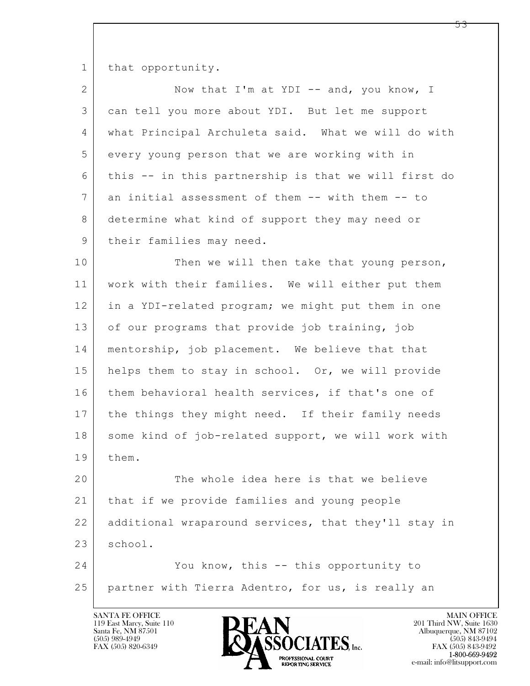1 that opportunity.

2 Now that I'm at YDI -- and, you know, I 3 can tell you more about YDI. But let me support 4 what Principal Archuleta said. What we will do with 5 every young person that we are working with in 6 this -- in this partnership is that we will first do 7 an initial assessment of them -- with them -- to 8 determine what kind of support they may need or 9 | their families may need.

10 Then we will then take that young person, 11 work with their families. We will either put them 12 in a YDI-related program; we might put them in one 13 of our programs that provide job training, job 14 | mentorship, job placement. We believe that that 15 | helps them to stay in school. Or, we will provide 16 them behavioral health services, if that's one of 17 the things they might need. If their family needs 18 | some kind of job-related support, we will work with 19 them.

20 The whole idea here is that we believe 21 that if we provide families and young people 22 additional wraparound services, that they'll stay in  $23$  school.

 $\mathbf{L}$  24 You know, this -- this opportunity to 25 partner with Tierra Adentro, for us, is really an

119 East Marcy, Suite 110<br>Santa Fe, NM 87501



FAX (505) 843-9492 e-mail: info@litsupport.com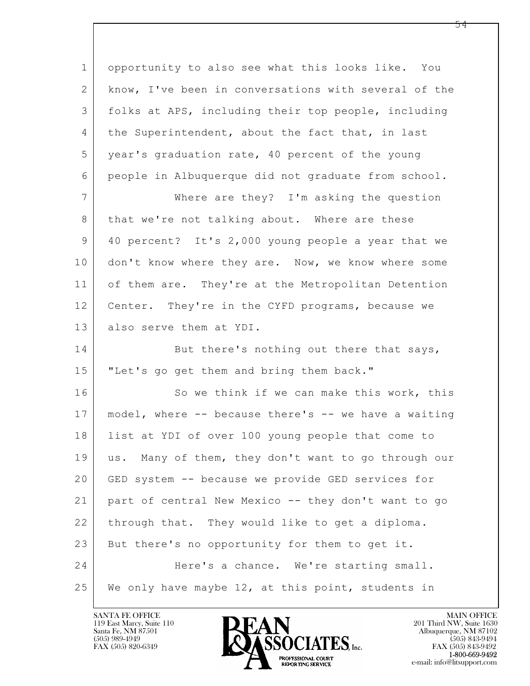$\mathbf{L}$  1 opportunity to also see what this looks like. You 2 know, I've been in conversations with several of the 3 folks at APS, including their top people, including 4 the Superintendent, about the fact that, in last 5 year's graduation rate, 40 percent of the young 6 people in Albuquerque did not graduate from school. 7 Where are they? I'm asking the question 8 | that we're not talking about. Where are these 9 40 percent? It's 2,000 young people a year that we 10 don't know where they are. Now, we know where some 11 of them are. They're at the Metropolitan Detention 12 | Center. They're in the CYFD programs, because we 13 also serve them at YDI. 14 But there's nothing out there that says, 15 | "Let's go get them and bring them back." 16 So we think if we can make this work, this 17 model, where -- because there's -- we have a waiting 18 list at YDI of over 100 young people that come to 19 us. Many of them, they don't want to go through our 20 GED system -- because we provide GED services for 21 part of central New Mexico -- they don't want to go 22 through that. They would like to get a diploma. 23 But there's no opportunity for them to get it. 24 Here's a chance. We're starting small. 25 We only have maybe 12, at this point, students in

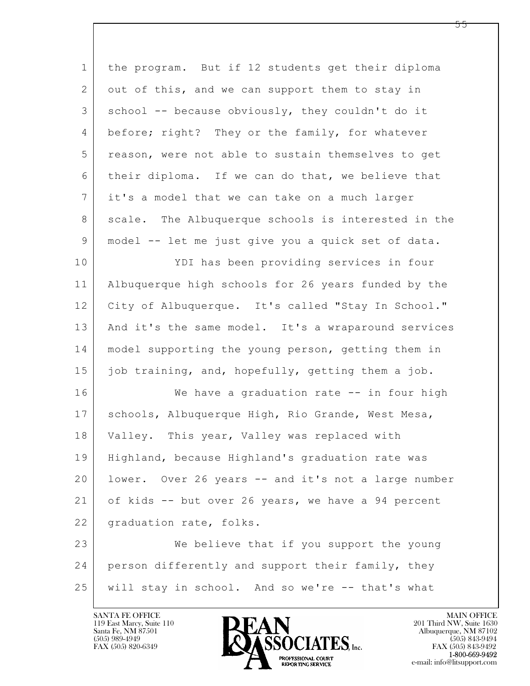| $\mathbf{1}$   | the program. But if 12 students get their diploma   |
|----------------|-----------------------------------------------------|
| 2              | out of this, and we can support them to stay in     |
| 3              | school -- because obviously, they couldn't do it    |
| 4              | before; right? They or the family, for whatever     |
| 5              | reason, were not able to sustain themselves to get  |
| 6              | their diploma. If we can do that, we believe that   |
| $\overline{7}$ | it's a model that we can take on a much larger      |
| 8              | scale. The Albuquerque schools is interested in the |
| $\mathsf 9$    | model -- let me just give you a quick set of data.  |
| 10             | YDI has been providing services in four             |
| 11             | Albuquerque high schools for 26 years funded by the |
| 12             | City of Albuquerque. It's called "Stay In School."  |
| 13             | And it's the same model. It's a wraparound services |
| 14             | model supporting the young person, getting them in  |
| 15             | job training, and, hopefully, getting them a job.   |
| 16             | We have a graduation rate -- in four high           |
| 17             | schools, Albuquerque High, Rio Grande, West Mesa,   |
| 18             | This year, Valley was replaced with<br>Valley.      |
| 19             | Highland, because Highland's graduation rate was    |
| 20             | lower. Over 26 years -- and it's not a large number |
| 21             | of kids -- but over 26 years, we have a 94 percent  |
| 22             | graduation rate, folks.                             |
| 23             | We believe that if you support the young            |
| 24             | person differently and support their family, they   |
| 25             | will stay in school. And so we're -- that's what    |

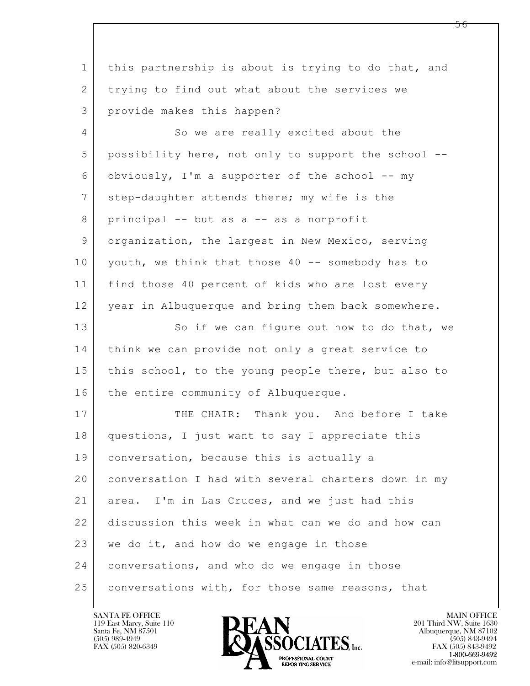| $\mathbf 1$    | this partnership is about is trying to do that, and |
|----------------|-----------------------------------------------------|
| 2              | trying to find out what about the services we       |
| 3              | provide makes this happen?                          |
| $\overline{4}$ | So we are really excited about the                  |
| 5              | possibility here, not only to support the school -- |
| 6              | obviously, I'm a supporter of the school -- my      |
| 7              | step-daughter attends there; my wife is the         |
| 8              | principal -- but as a -- as a nonprofit             |
| 9              | organization, the largest in New Mexico, serving    |
| 10             | youth, we think that those 40 -- somebody has to    |
| 11             | find those 40 percent of kids who are lost every    |
| 12             | year in Albuquerque and bring them back somewhere.  |
| 13             | So if we can figure out how to do that, we          |
| 14             | think we can provide not only a great service to    |
| 15             | this school, to the young people there, but also to |
| 16             | the entire community of Albuquerque.                |
| 17             | THE CHAIR: Thank you. And before I take             |
| 18             | questions, I just want to say I appreciate this     |
| 19             | conversation, because this is actually a            |
| 20             | conversation I had with several charters down in my |
| 21             | area. I'm in Las Cruces, and we just had this       |
| 22             | discussion this week in what can we do and how can  |
| 23             | we do it, and how do we engage in those             |
| 24             | conversations, and who do we engage in those        |
| 25             | conversations with, for those same reasons, that    |

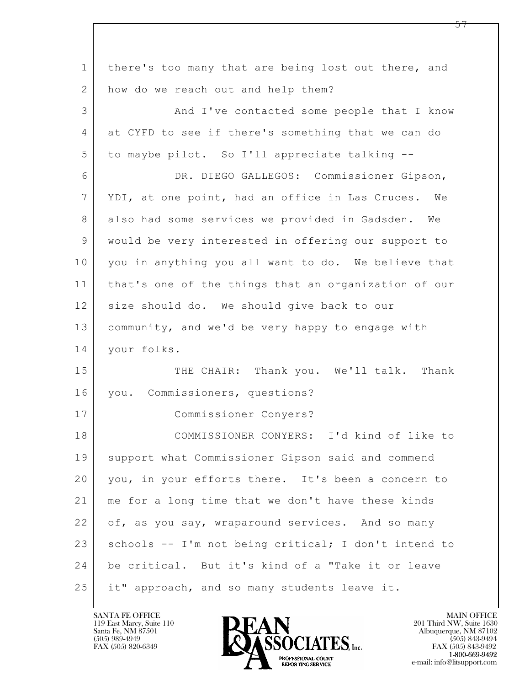| $\mathbf 1$ | there's too many that are being lost out there, and  |
|-------------|------------------------------------------------------|
| 2           | how do we reach out and help them?                   |
| 3           | And I've contacted some people that I know           |
| 4           | at CYFD to see if there's something that we can do   |
| 5           | to maybe pilot. So I'll appreciate talking --        |
| 6           | DR. DIEGO GALLEGOS: Commissioner Gipson,             |
| 7           | YDI, at one point, had an office in Las Cruces. We   |
| 8           | also had some services we provided in Gadsden. We    |
| 9           | would be very interested in offering our support to  |
| 10          | you in anything you all want to do. We believe that  |
| 11          | that's one of the things that an organization of our |
| 12          | size should do. We should give back to our           |
| 13          | community, and we'd be very happy to engage with     |
| 14          | your folks.                                          |
| 15          | THE CHAIR: Thank you. We'll talk. Thank              |
| 16          | you. Commissioners, questions?                       |
| 17          | Commissioner Conyers?                                |
| 18          | COMMISSIONER CONYERS: I'd kind of like to            |
| 19          | support what Commissioner Gipson said and commend    |
| 20          | you, in your efforts there. It's been a concern to   |
| 21          | me for a long time that we don't have these kinds    |
| 22          | of, as you say, wraparound services. And so many     |
| 23          | schools -- I'm not being critical; I don't intend to |
| 24          | be critical. But it's kind of a "Take it or leave    |
| 25          | it" approach, and so many students leave it.         |

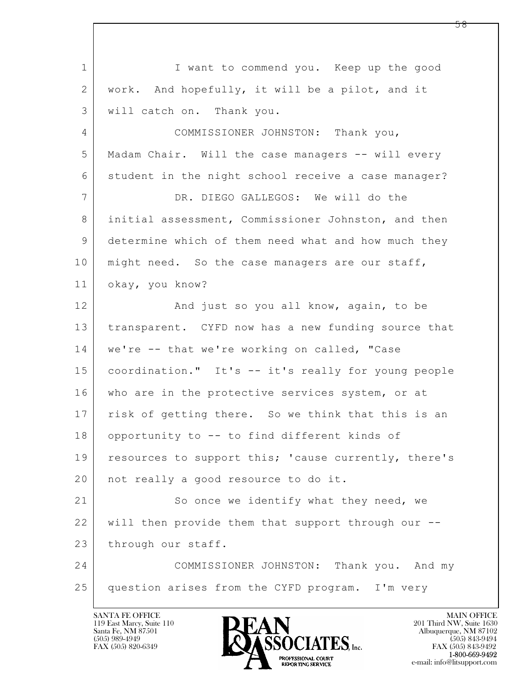$\mathbf{L}$  1 I want to commend you. Keep up the good 2 | work. And hopefully, it will be a pilot, and it 3 will catch on. Thank you. 4 COMMISSIONER JOHNSTON: Thank you, 5 Madam Chair. Will the case managers -- will every 6 student in the night school receive a case manager? 7 DR. DIEGO GALLEGOS: We will do the 8 initial assessment, Commissioner Johnston, and then 9 determine which of them need what and how much they 10 | might need. So the case managers are our staff, 11 okay, you know? 12 And just so you all know, again, to be 13 transparent. CYFD now has a new funding source that 14 | we're -- that we're working on called, "Case 15 coordination." It's -- it's really for young people 16 who are in the protective services system, or at 17 | risk of getting there. So we think that this is an 18 opportunity to -- to find different kinds of 19 | resources to support this; 'cause currently, there's 20 | not really a good resource to do it. 21 So once we identify what they need, we 22 will then provide them that support through our -- 23 through our staff. 24 COMMISSIONER JOHNSTON: Thank you. And my 25 question arises from the CYFD program. I'm very

119 East Marcy, Suite 110<br>Santa Fe, NM 87501

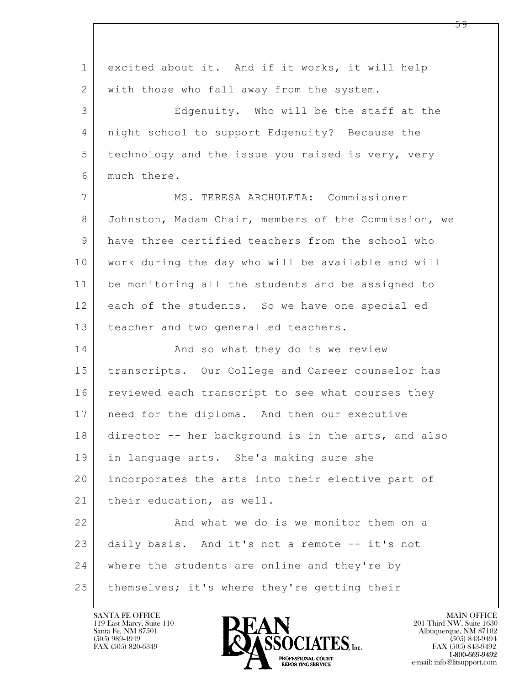| $\mathbf 1$    | excited about it. And if it works, it will help      |
|----------------|------------------------------------------------------|
| 2              | with those who fall away from the system.            |
| 3              | Edgenuity. Who will be the staff at the              |
| $\overline{4}$ | night school to support Edgenuity? Because the       |
| 5              | technology and the issue you raised is very, very    |
| 6              | much there.                                          |
| $\overline{7}$ | MS. TERESA ARCHULETA: Commissioner                   |
| 8              | Johnston, Madam Chair, members of the Commission, we |
| 9              | have three certified teachers from the school who    |
| 10             | work during the day who will be available and will   |
| 11             | be monitoring all the students and be assigned to    |
| 12             | each of the students. So we have one special ed      |
| 13             | teacher and two general ed teachers.                 |
| 14             | And so what they do is we review                     |
| 15             | transcripts. Our College and Career counselor has    |
| 16             | reviewed each transcript to see what courses they    |
| 17             | need for the diploma. And then our executive         |
| 18             | director -- her background is in the arts, and also  |
| 19             | in language arts. She's making sure she              |
| 20             | incorporates the arts into their elective part of    |
| 21             | their education, as well.                            |
| 22             | And what we do is we monitor them on a               |
| 23             | daily basis. And it's not a remote -- it's not       |
| 24             | where the students are online and they're by         |
| 25             | themselves; it's where they're getting their         |

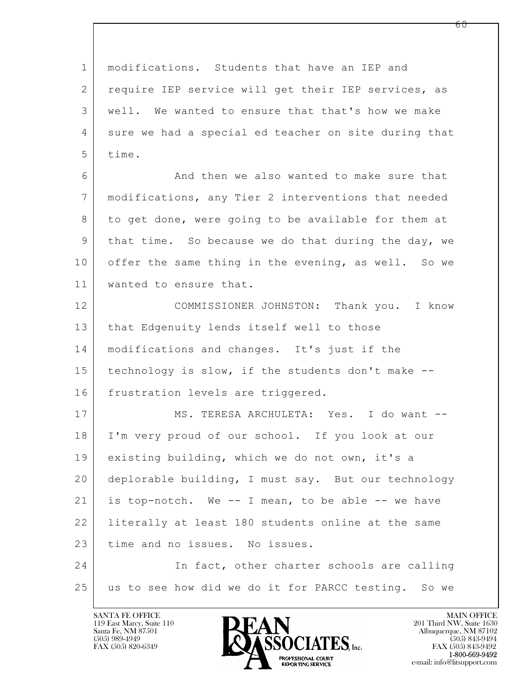$\mathbf{L}$  1 | modifications. Students that have an IEP and 2 | require IEP service will get their IEP services, as 3 well. We wanted to ensure that that's how we make 4 sure we had a special ed teacher on site during that 5 time. 6 And then we also wanted to make sure that 7 modifications, any Tier 2 interventions that needed 8 to get done, were going to be available for them at 9 that time. So because we do that during the day, we 10 offer the same thing in the evening, as well. So we 11 wanted to ensure that. 12 COMMISSIONER JOHNSTON: Thank you. I know 13 | that Edgenuity lends itself well to those 14 modifications and changes. It's just if the 15 | technology is slow, if the students don't make --16 frustration levels are triggered. 17 | MS. TERESA ARCHULETA: Yes. I do want --18 I'm very proud of our school. If you look at our 19 existing building, which we do not own, it's a 20 deplorable building, I must say. But our technology 21 is top-notch. We -- I mean, to be able -- we have 22 literally at least 180 students online at the same 23 time and no issues. No issues. 24 In fact, other charter schools are calling 25 us to see how did we do it for PARCC testing. So we

119 East Marcy, Suite 110<br>Santa Fe, NM 87501

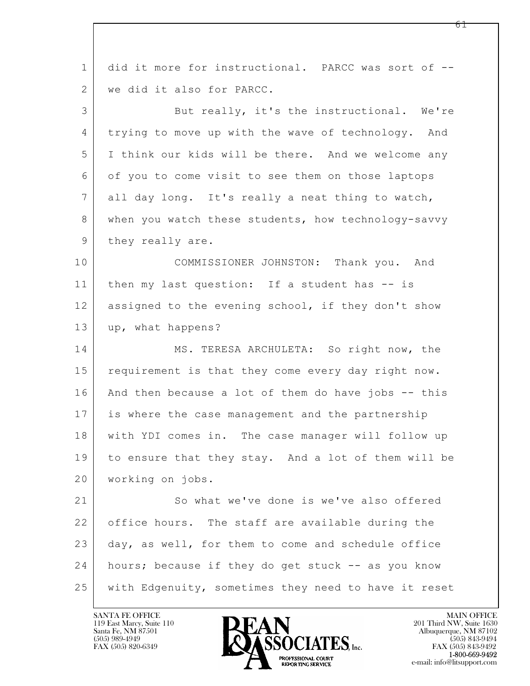| $\mathbf{1}$ | did it more for instructional. PARCC was sort of --  |
|--------------|------------------------------------------------------|
| 2            | we did it also for PARCC.                            |
| 3            | But really, it's the instructional. We're            |
| 4            | trying to move up with the wave of technology. And   |
| 5            | I think our kids will be there. And we welcome any   |
| 6            | of you to come visit to see them on those laptops    |
| 7            | all day long. It's really a neat thing to watch,     |
| 8            | when you watch these students, how technology-savvy  |
| 9            | they really are.                                     |
| 10           | COMMISSIONER JOHNSTON: Thank you. And                |
| 11           | then my last question: If a student has -- is        |
| 12           | assigned to the evening school, if they don't show   |
| 13           | up, what happens?                                    |
| 14           | MS. TERESA ARCHULETA: So right now, the              |
| 15           | requirement is that they come every day right now.   |
| 16           | And then because a lot of them do have jobs -- this  |
| 17           | is where the case management and the partnership     |
| 18           | with YDI comes in. The case manager will follow up   |
| 19           | to ensure that they stay. And a lot of them will be  |
| 20           | working on jobs.                                     |
| 21           | So what we've done is we've also offered             |
| 22           | office hours. The staff are available during the     |
| 23           | day, as well, for them to come and schedule office   |
| 24           | hours; because if they do get stuck -- as you know   |
| 25           | with Edgenuity, sometimes they need to have it reset |
|              |                                                      |

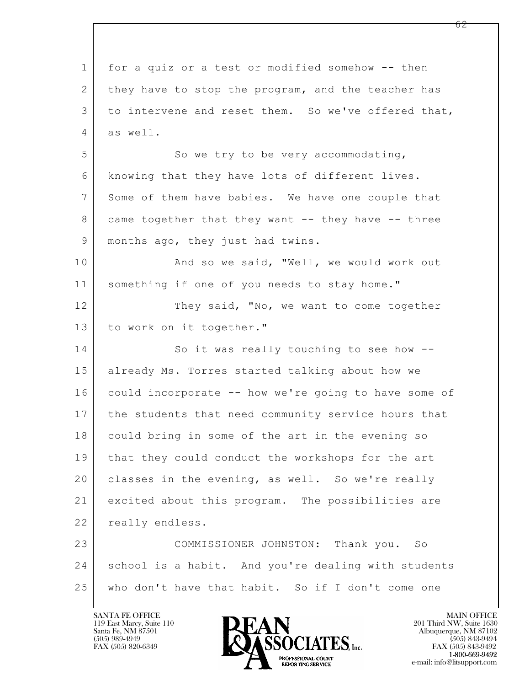$\mathbf{L}$  1 for a quiz or a test or modified somehow -- then 2 they have to stop the program, and the teacher has 3 to intervene and reset them. So we've offered that, 4 as well. 5 So we try to be very accommodating, 6 knowing that they have lots of different lives. 7 Some of them have babies. We have one couple that 8 came together that they want -- they have -- three 9 | months ago, they just had twins. 10 | Rand so we said, "Well, we would work out 11 something if one of you needs to stay home." 12 They said, "No, we want to come together 13 to work on it together." 14 So it was really touching to see how --15 | already Ms. Torres started talking about how we 16 could incorporate -- how we're going to have some of 17 the students that need community service hours that 18 could bring in some of the art in the evening so 19 that they could conduct the workshops for the art 20 classes in the evening, as well. So we're really 21 excited about this program. The possibilities are 22 | really endless. 23 COMMISSIONER JOHNSTON: Thank you. So 24 school is a habit. And you're dealing with students 25 who don't have that habit. So if I don't come one

119 East Marcy, Suite 110<br>Santa Fe, NM 87501



FAX (505) 843-9492 e-mail: info@litsupport.com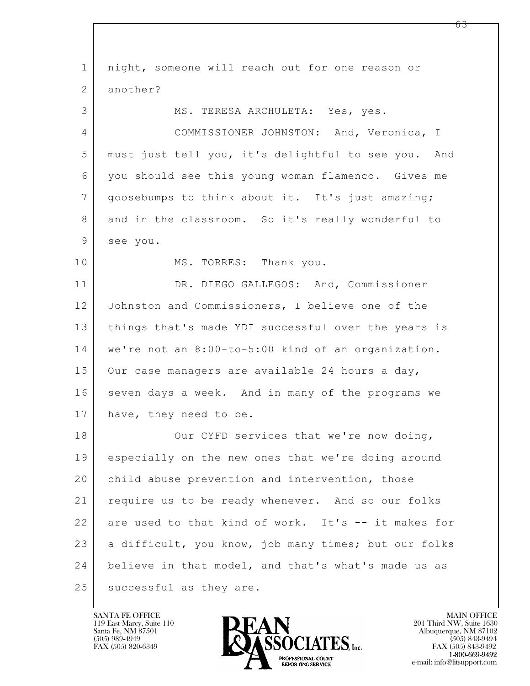$\mathbf{L}$  1 night, someone will reach out for one reason or 2 another? 3 MS. TERESA ARCHULETA: Yes, yes. 4 COMMISSIONER JOHNSTON: And, Veronica, I 5 must just tell you, it's delightful to see you. And 6 you should see this young woman flamenco. Gives me 7 goosebumps to think about it. It's just amazing; 8 and in the classroom. So it's really wonderful to 9 see you. 10 MS. TORRES: Thank you. 11 DR. DIEGO GALLEGOS: And, Commissioner 12 Johnston and Commissioners, I believe one of the 13 things that's made YDI successful over the years is 14 we're not an 8:00-to-5:00 kind of an organization. 15 Our case managers are available 24 hours a day, 16 seven days a week. And in many of the programs we 17 have, they need to be. 18 Our CYFD services that we're now doing, 19 especially on the new ones that we're doing around 20 child abuse prevention and intervention, those 21 require us to be ready whenever. And so our folks 22 are used to that kind of work. It's -- it makes for 23 a difficult, you know, job many times; but our folks 24 believe in that model, and that's what's made us as 25 | successful as they are.

119 East Marcy, Suite 110<br>Santa Fe, NM 87501



FAX (505) 843-9492 e-mail: info@litsupport.com

<u>რ3</u>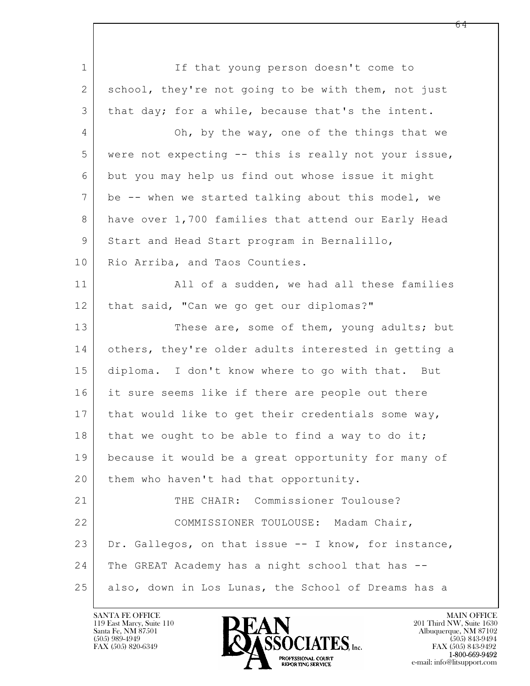$\mathbf{L}$  1 If that young person doesn't come to 2 school, they're not going to be with them, not just 3 | that day; for a while, because that's the intent. 4 Oh, by the way, one of the things that we 5 were not expecting -- this is really not your issue, 6 but you may help us find out whose issue it might 7 be -- when we started talking about this model, we 8 have over 1,700 families that attend our Early Head 9 Start and Head Start program in Bernalillo, 10 | Rio Arriba, and Taos Counties. 11 | All of a sudden, we had all these families 12 | that said, "Can we go get our diplomas?" 13 These are, some of them, young adults; but 14 others, they're older adults interested in getting a 15 diploma. I don't know where to go with that. But 16 it sure seems like if there are people out there 17 | that would like to get their credentials some way,  $18$  that we ought to be able to find a way to do it; 19 because it would be a great opportunity for many of 20 | them who haven't had that opportunity. 21 THE CHAIR: Commissioner Toulouse? 22 COMMISSIONER TOULOUSE: Madam Chair, 23 Dr. Gallegos, on that issue  $-$  I know, for instance, 24 The GREAT Academy has a night school that has -- 25 also, down in Los Lunas, the School of Dreams has a

119 East Marcy, Suite 110<br>Santa Fe, NM 87501

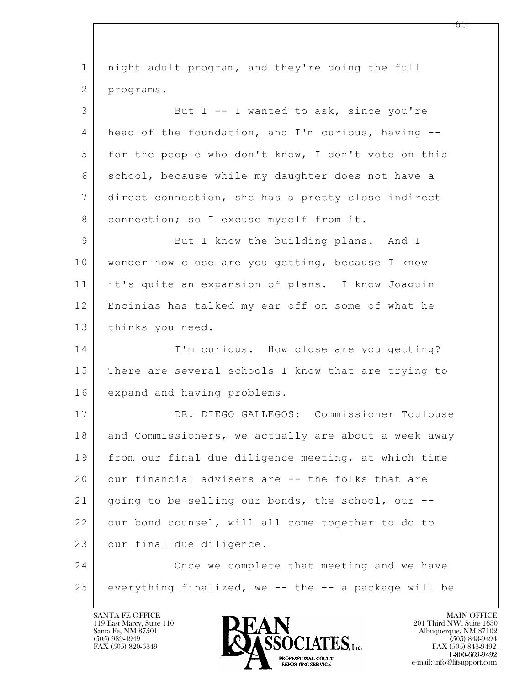$\mathbf{L}$  1 night adult program, and they're doing the full 2 programs. 3 But I -- I wanted to ask, since you're 4 head of the foundation, and I'm curious, having -- 5 | for the people who don't know, I don't vote on this 6 school, because while my daughter does not have a 7 direct connection, she has a pretty close indirect 8 | connection; so I excuse myself from it. 9 But I know the building plans. And I 10 | wonder how close are you getting, because I know 11 it's quite an expansion of plans. I know Joaquin 12 Encinias has talked my ear off on some of what he 13 thinks you need. 14 I'm curious. How close are you getting? 15 | There are several schools I know that are trying to 16 expand and having problems. 17 DR. DIEGO GALLEGOS: Commissioner Toulouse 18 and Commissioners, we actually are about a week away 19 from our final due diligence meeting, at which time 20 our financial advisers are -- the folks that are 21 going to be selling our bonds, the school, our -- 22 our bond counsel, will all come together to do to 23 our final due diligence. 24 Once we complete that meeting and we have  $25$  everything finalized, we -- the -- a package will be

119 East Marcy, Suite 110<br>Santa Fe, NM 87501

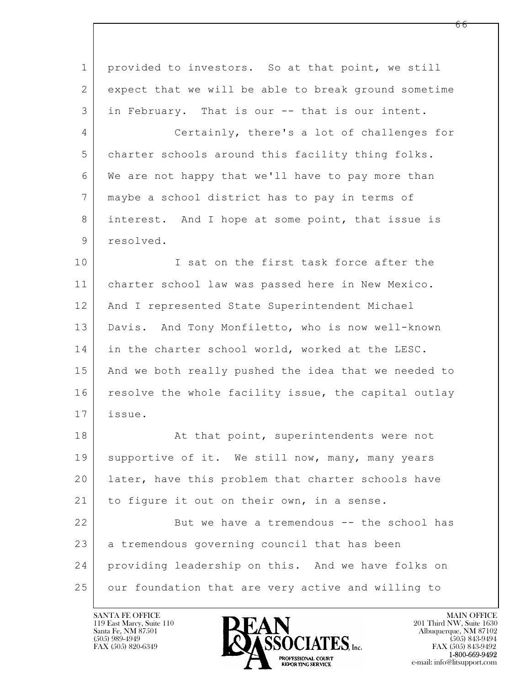| $\mathbf 1$    | provided to investors. So at that point, we still    |
|----------------|------------------------------------------------------|
| 2              | expect that we will be able to break ground sometime |
| 3              | in February. That is our -- that is our intent.      |
| $\overline{4}$ | Certainly, there's a lot of challenges for           |
| 5              | charter schools around this facility thing folks.    |
| 6              | We are not happy that we'll have to pay more than    |
| 7              | maybe a school district has to pay in terms of       |
| 8              | interest. And I hope at some point, that issue is    |
| 9              | resolved.                                            |
| 10             | I sat on the first task force after the              |
| 11             | charter school law was passed here in New Mexico.    |
| 12             | And I represented State Superintendent Michael       |
| 13             | Davis. And Tony Monfiletto, who is now well-known    |
| 14             | in the charter school world, worked at the LESC.     |
| 15             | And we both really pushed the idea that we needed to |
| 16             | resolve the whole facility issue, the capital outlay |
| 17             | issue.                                               |
| 18             | At that point, superintendents were not              |
| 19             | supportive of it. We still now, many, many years     |
| 20             | later, have this problem that charter schools have   |
| 21             | to figure it out on their own, in a sense.           |
| 22             | But we have a tremendous -- the school has           |
| 23             | a tremendous governing council that has been         |
| 24             | providing leadership on this. And we have folks on   |
| 25             | our foundation that are very active and willing to   |

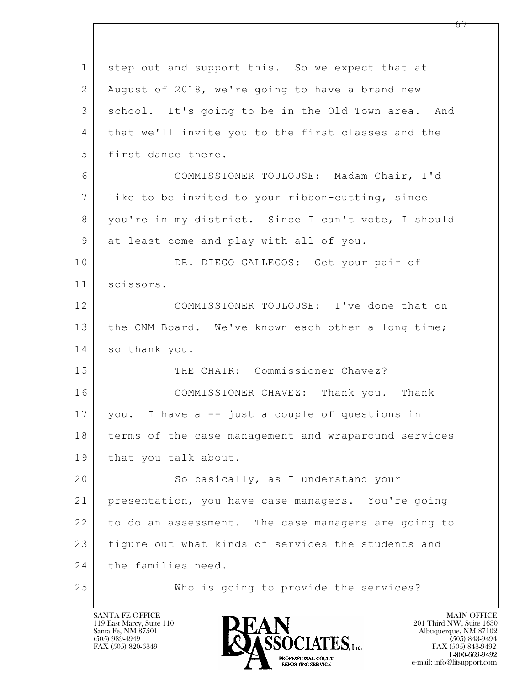$\mathbf{L}$  1 step out and support this. So we expect that at 2 August of 2018, we're going to have a brand new 3 school. It's going to be in the Old Town area. And 4 that we'll invite you to the first classes and the 5 first dance there. 6 COMMISSIONER TOULOUSE: Madam Chair, I'd 7 like to be invited to your ribbon-cutting, since 8 you're in my district. Since I can't vote, I should 9 at least come and play with all of you. 10 DR. DIEGO GALLEGOS: Get your pair of 11 scissors. 12 COMMISSIONER TOULOUSE: I've done that on 13 | the CNM Board. We've known each other a long time; 14 so thank you. 15 THE CHAIR: Commissioner Chavez? 16 COMMISSIONER CHAVEZ: Thank you. Thank 17 you. I have a -- just a couple of questions in 18 terms of the case management and wraparound services 19 | that you talk about. 20 So basically, as I understand your 21 presentation, you have case managers. You're going 22 to do an assessment. The case managers are going to 23 figure out what kinds of services the students and 24 the families need. 25 Who is going to provide the services?

119 East Marcy, Suite 110<br>Santa Fe, NM 87501

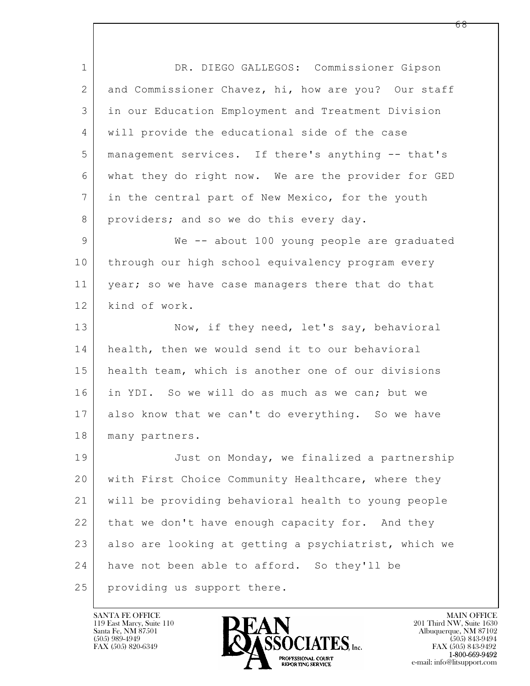$\mathbf{L}$  1 DR. DIEGO GALLEGOS: Commissioner Gipson 2 and Commissioner Chavez, hi, how are you? Our staff 3 in our Education Employment and Treatment Division 4 will provide the educational side of the case 5 management services. If there's anything -- that's 6 what they do right now. We are the provider for GED 7 in the central part of New Mexico, for the youth 8 providers; and so we do this every day. 9 We -- about 100 young people are graduated 10 through our high school equivalency program every 11 | year; so we have case managers there that do that 12 | kind of work. 13 Now, if they need, let's say, behavioral 14 health, then we would send it to our behavioral 15 health team, which is another one of our divisions 16 in YDI. So we will do as much as we can; but we 17 also know that we can't do everything. So we have 18 | many partners. 19 Just on Monday, we finalized a partnership 20 with First Choice Community Healthcare, where they 21 will be providing behavioral health to young people 22 that we don't have enough capacity for. And they 23 also are looking at getting a psychiatrist, which we 24 have not been able to afford. So they'll be 25 providing us support there.

119 East Marcy, Suite 110<br>Santa Fe, NM 87501

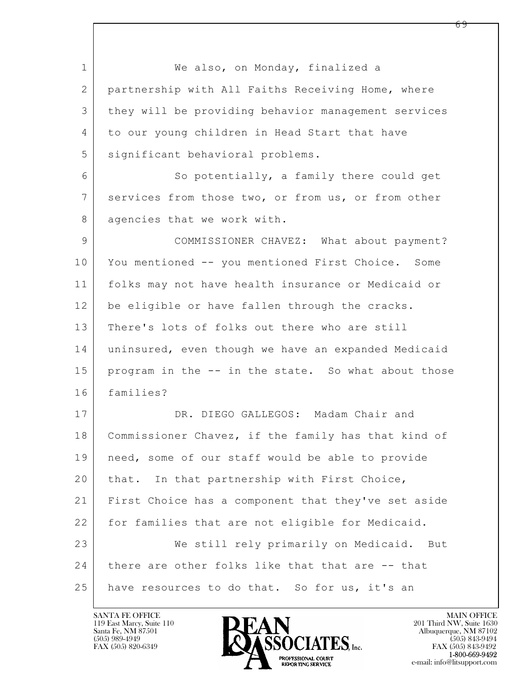$\mathbf{L}$  1 We also, on Monday, finalized a 2 partnership with All Faiths Receiving Home, where 3 they will be providing behavior management services 4 to our young children in Head Start that have 5 significant behavioral problems. 6 So potentially, a family there could get 7 services from those two, or from us, or from other 8 agencies that we work with. 9 COMMISSIONER CHAVEZ: What about payment? 10 You mentioned -- you mentioned First Choice. Some 11 folks may not have health insurance or Medicaid or 12 be eligible or have fallen through the cracks. 13 There's lots of folks out there who are still 14 | uninsured, even though we have an expanded Medicaid 15 program in the -- in the state. So what about those 16 families? 17 DR. DIEGO GALLEGOS: Madam Chair and 18 Commissioner Chavez, if the family has that kind of 19 need, some of our staff would be able to provide 20 | that. In that partnership with First Choice, 21 First Choice has a component that they've set aside 22 for families that are not eligible for Medicaid. 23 We still rely primarily on Medicaid. But 24 there are other folks like that that are -- that 25 have resources to do that. So for us, it's an

119 East Marcy, Suite 110<br>Santa Fe, NM 87501



FAX (505) 843-9492 e-mail: info@litsupport.com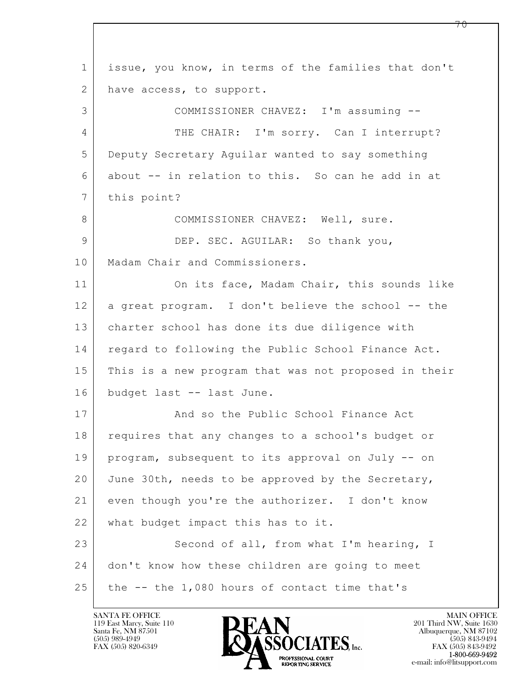$\mathbf{L}$  1 issue, you know, in terms of the families that don't 2 have access, to support. 3 COMMISSIONER CHAVEZ: I'm assuming -- 4 THE CHAIR: I'm sorry. Can I interrupt? 5 Deputy Secretary Aguilar wanted to say something 6 about -- in relation to this. So can he add in at 7 this point? 8 COMMISSIONER CHAVEZ: Well, sure. 9 DEP. SEC. AGUILAR: So thank you, 10 | Madam Chair and Commissioners. 11 On its face, Madam Chair, this sounds like 12 a great program. I don't believe the school -- the 13 charter school has done its due diligence with 14 | regard to following the Public School Finance Act. 15 This is a new program that was not proposed in their 16 budget last -- last June. 17 | And so the Public School Finance Act 18 | requires that any changes to a school's budget or 19 program, subsequent to its approval on July -- on 20 June 30th, needs to be approved by the Secretary, 21 even though you're the authorizer. I don't know 22 what budget impact this has to it. 23 Second of all, from what I'm hearing, I 24 | don't know how these children are going to meet 25 the -- the 1,080 hours of contact time that's

119 East Marcy, Suite 110<br>Santa Fe, NM 87501

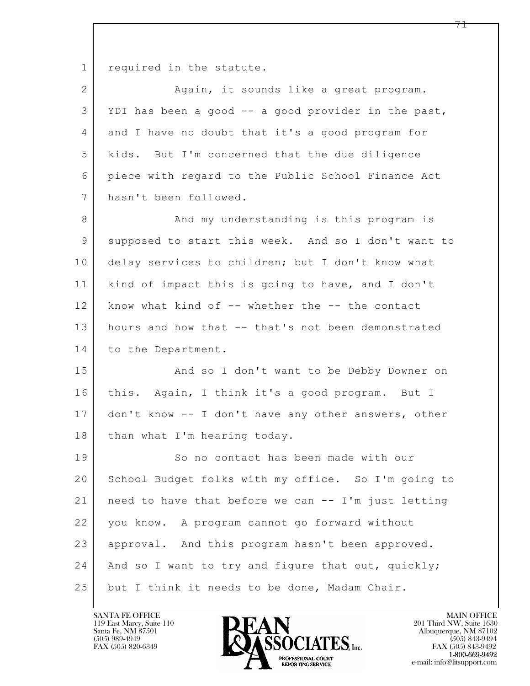1 required in the statute.

| $\overline{2}$  | Again, it sounds like a great program.              |
|-----------------|-----------------------------------------------------|
| 3               | YDI has been a good -- a good provider in the past, |
| 4               | and I have no doubt that it's a good program for    |
| 5               | kids. But I'm concerned that the due diligence      |
| 6               | piece with regard to the Public School Finance Act  |
| $7\overline{ }$ | hasn't been followed.                               |
| 8               | And my understanding is this program is             |
| $\mathsf 9$     | supposed to start this week. And so I don't want to |
| 10              | delay services to children; but I don't know what   |
| 11              | kind of impact this is going to have, and I don't   |
| 12              | know what kind of -- whether the -- the contact     |
| 13              | hours and how that -- that's not been demonstrated  |
| 14              | to the Department.                                  |
| 15              | And so I don't want to be Debby Downer on           |
| 16              | this. Again, I think it's a good program. But I     |
| 17              | don't know -- I don't have any other answers, other |
| 18              | than what I'm hearing today.                        |
| 19              | So no contact has been made with our                |
| 20              | School Budget folks with my office. So I'm going to |
| 21              | need to have that before we can -- I'm just letting |
| 22              | you know. A program cannot go forward without       |
| 23              | approval. And this program hasn't been approved.    |
| 24              | And so I want to try and figure that out, quickly;  |
| 25              | but I think it needs to be done, Madam Chair.       |

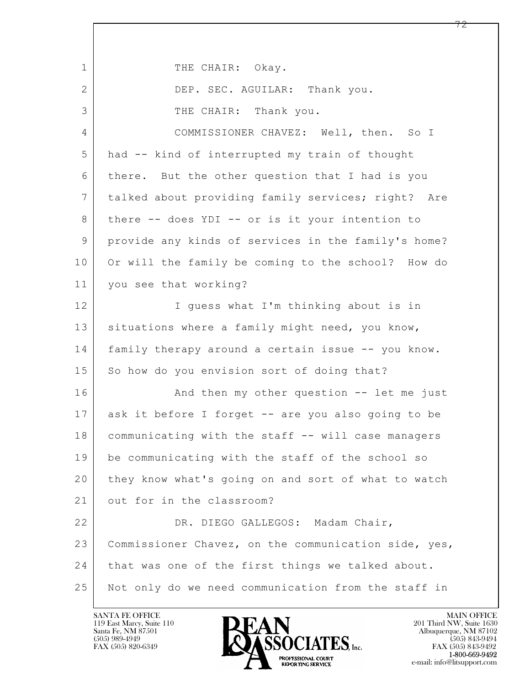| $\mathbf{1}$ | THE CHAIR: Okay.                                     |
|--------------|------------------------------------------------------|
| 2            | DEP. SEC. AGUILAR: Thank you.                        |
| 3            | THE CHAIR: Thank you.                                |
| 4            | COMMISSIONER CHAVEZ: Well, then. So I                |
| 5            | had -- kind of interrupted my train of thought       |
| 6            | there. But the other question that I had is you      |
| 7            | talked about providing family services; right? Are   |
| 8            | there -- does YDI -- or is it your intention to      |
| 9            | provide any kinds of services in the family's home?  |
| 10           | Or will the family be coming to the school? How do   |
| 11           | you see that working?                                |
| 12           | I guess what I'm thinking about is in                |
| 13           | situations where a family might need, you know,      |
| 14           | family therapy around a certain issue -- you know.   |
| 15           | So how do you envision sort of doing that?           |
| 16           | And then my other question -- let me just            |
| 17           | ask it before I forget -- are you also going to be   |
| 18           | communicating with the staff -- will case managers   |
| 19           | be communicating with the staff of the school so     |
| 20           | they know what's going on and sort of what to watch  |
| 21           | out for in the classroom?                            |
| 22           | DR. DIEGO GALLEGOS: Madam Chair,                     |
| 23           | Commissioner Chavez, on the communication side, yes, |
| 24           | that was one of the first things we talked about.    |
| 25           | Not only do we need communication from the staff in  |

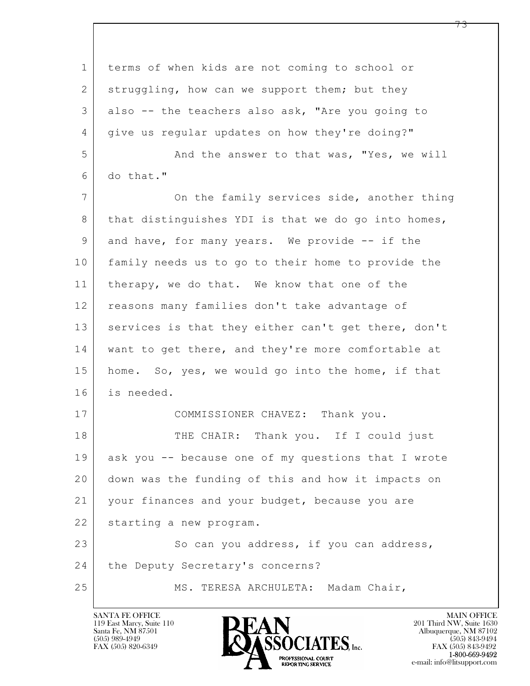| $\mathbf 1$    | terms of when kids are not coming to school or      |
|----------------|-----------------------------------------------------|
| $\overline{2}$ | struggling, how can we support them; but they       |
| 3              | also -- the teachers also ask, "Are you going to    |
| 4              | give us regular updates on how they're doing?"      |
| 5              | And the answer to that was, "Yes, we will           |
| 6              | do that."                                           |
| $\overline{7}$ | On the family services side, another thing          |
| 8              | that distinguishes YDI is that we do go into homes, |
| 9              | and have, for many years. We provide -- if the      |
| 10             | family needs us to go to their home to provide the  |
| 11             | therapy, we do that. We know that one of the        |
| 12             | reasons many families don't take advantage of       |
| 13             | services is that they either can't get there, don't |
| 14             | want to get there, and they're more comfortable at  |
| 15             | home. So, yes, we would go into the home, if that   |
| 16             | is needed.                                          |
| 17             | COMMISSIONER CHAVEZ: Thank you.                     |
| 18             | THE CHAIR: Thank you. If I could just               |
| 19             | ask you -- because one of my questions that I wrote |
| 20             | down was the funding of this and how it impacts on  |
| 21             | your finances and your budget, because you are      |
| 22             | starting a new program.                             |
| 23             | So can you address, if you can address,             |
| 24             | the Deputy Secretary's concerns?                    |
| 25             | MS. TERESA ARCHULETA: Madam Chair,                  |

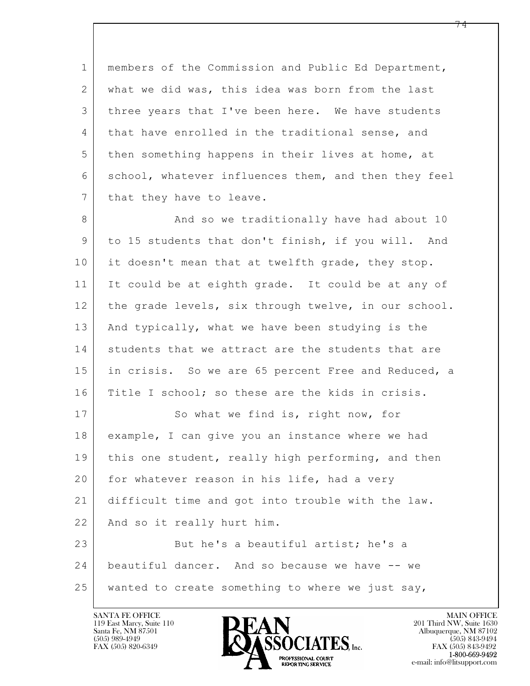1 members of the Commission and Public Ed Department, 2 what we did was, this idea was born from the last 3 three years that I've been here. We have students 4 that have enrolled in the traditional sense, and 5 then something happens in their lives at home, at 6 school, whatever influences them, and then they feel 7 | that they have to leave.

8 | And so we traditionally have had about 10 9 to 15 students that don't finish, if you will. And 10 it doesn't mean that at twelfth grade, they stop. 11 It could be at eighth grade. It could be at any of 12 the grade levels, six through twelve, in our school. 13 And typically, what we have been studying is the 14 students that we attract are the students that are 15 in crisis. So we are 65 percent Free and Reduced, a 16 Title I school; so these are the kids in crisis. 17 So what we find is, right now, for 18 example, I can give you an instance where we had 19 | this one student, really high performing, and then 20 for whatever reason in his life, had a very

21 difficult time and got into trouble with the law.

22 And so it really hurt him.

 $\mathbf{L}$  23 But he's a beautiful artist; he's a 24 beautiful dancer. And so because we have -- we 25 wanted to create something to where we just say,

119 East Marcy, Suite 110<br>Santa Fe, NM 87501



FAX (505) 843-9492 e-mail: info@litsupport.com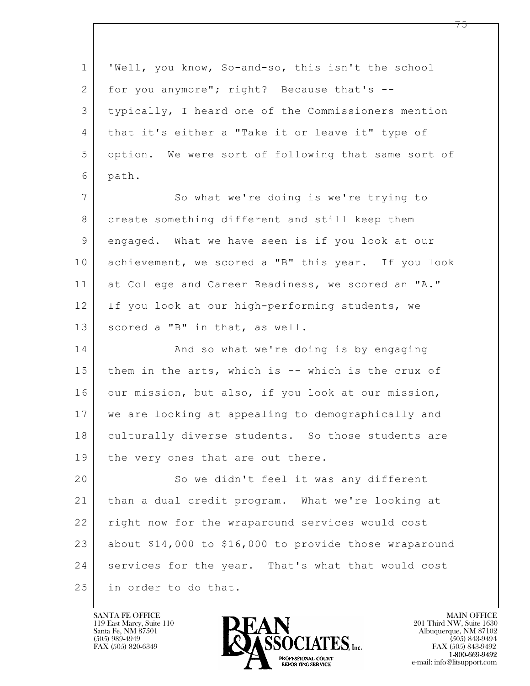$\mathbf{L}$  1 'Well, you know, So-and-so, this isn't the school 2 for you anymore"; right? Because that's  $-$ 3 typically, I heard one of the Commissioners mention 4 that it's either a "Take it or leave it" type of 5 option. We were sort of following that same sort of 6 path. 7 So what we're doing is we're trying to 8 create something different and still keep them 9 engaged. What we have seen is if you look at our 10 achievement, we scored a "B" this year. If you look 11 at College and Career Readiness, we scored an "A." 12 If you look at our high-performing students, we 13 | scored a "B" in that, as well. 14 And so what we're doing is by engaging 15 them in the arts, which is  $--$  which is the crux of 16 our mission, but also, if you look at our mission, 17 we are looking at appealing to demographically and 18 | culturally diverse students. So those students are 19 | the very ones that are out there. 20 So we didn't feel it was any different 21 than a dual credit program. What we're looking at 22 | right now for the wraparound services would cost 23 about \$14,000 to \$16,000 to provide those wraparound 24 services for the year. That's what that would cost 25 in order to do that.

119 East Marcy, Suite 110<br>Santa Fe, NM 87501

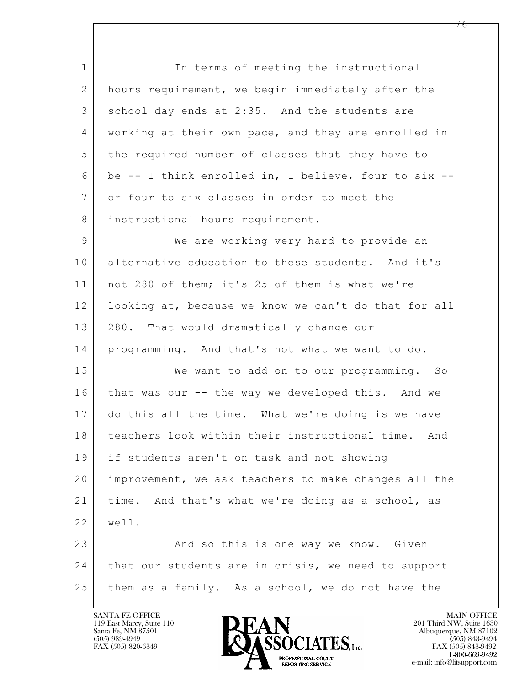$\mathbf{L}$  1 In terms of meeting the instructional 2 hours requirement, we begin immediately after the 3 school day ends at 2:35. And the students are 4 working at their own pace, and they are enrolled in 5 the required number of classes that they have to 6 be  $-$  I think enrolled in, I believe, four to six  $-$ 7 or four to six classes in order to meet the 8 instructional hours requirement. 9 We are working very hard to provide an 10 alternative education to these students. And it's 11 | not 280 of them; it's 25 of them is what we're 12 looking at, because we know we can't do that for all 13 | 280. That would dramatically change our 14 programming. And that's not what we want to do. 15 | We want to add on to our programming. So 16 that was our -- the way we developed this. And we 17 do this all the time. What we're doing is we have 18 teachers look within their instructional time. And 19 if students aren't on task and not showing 20 improvement, we ask teachers to make changes all the 21 time. And that's what we're doing as a school, as 22 well. 23 And so this is one way we know. Given 24 | that our students are in crisis, we need to support 25 them as a family. As a school, we do not have the

119 East Marcy, Suite 110<br>Santa Fe, NM 87501



FAX (505) 843-9492 e-mail: info@litsupport.com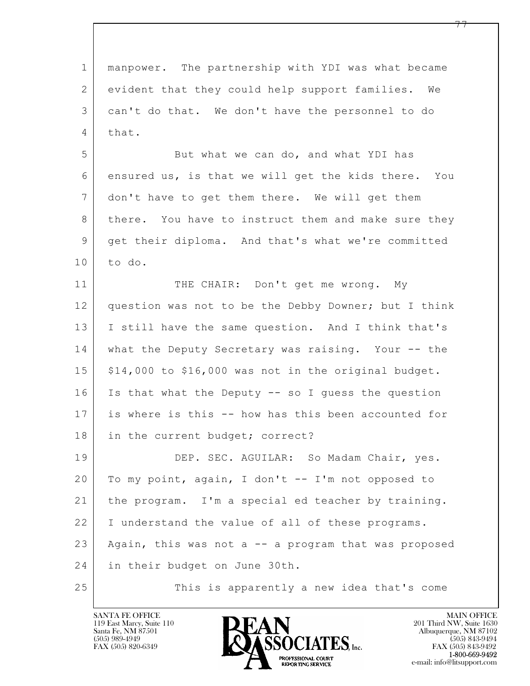| $\mathbf 1$    | manpower. The partnership with YDI was what became   |
|----------------|------------------------------------------------------|
| 2              | evident that they could help support families. We    |
| 3              | can't do that. We don't have the personnel to do     |
| $\overline{4}$ | that.                                                |
| 5              | But what we can do, and what YDI has                 |
| 6              | ensured us, is that we will get the kids there. You  |
| $7\phantom{.}$ | don't have to get them there. We will get them       |
| 8              | there. You have to instruct them and make sure they  |
| 9              | get their diploma. And that's what we're committed   |
| 10             | to do.                                               |
| 11             | THE CHAIR: Don't get me wrong. My                    |
| 12             | question was not to be the Debby Downer; but I think |
| 13             | I still have the same question. And I think that's   |
| 14             | what the Deputy Secretary was raising. Your -- the   |
| 15             | \$14,000 to \$16,000 was not in the original budget. |
| 16             | Is that what the Deputy -- so I guess the question   |
| 17             | is where is this -- how has this been accounted for  |
| 18             | in the current budget; correct?                      |
| 19             | DEP. SEC. AGUILAR: So Madam Chair, yes.              |
| 20             | To my point, again, I don't -- I'm not opposed to    |
| 21             | the program. I'm a special ed teacher by training.   |
| 22             | I understand the value of all of these programs.     |
| 23             | Again, this was not a -- a program that was proposed |
| 24             | in their budget on June 30th.                        |
| 25             | This is apparently a new idea that's come            |

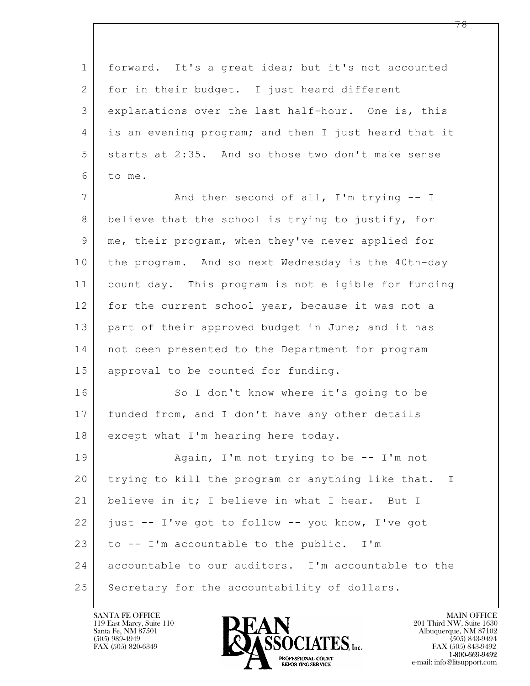$\mathbf{L}$  1 forward. It's a great idea; but it's not accounted 2 for in their budget. I just heard different 3 explanations over the last half-hour. One is, this 4 is an evening program; and then I just heard that it 5 starts at 2:35. And so those two don't make sense 6 to me. 7 | And then second of all, I'm trying -- I 8 believe that the school is trying to justify, for 9 me, their program, when they've never applied for 10 the program. And so next Wednesday is the 40th-day 11 count day. This program is not eligible for funding 12 for the current school year, because it was not a 13 | part of their approved budget in June; and it has 14 not been presented to the Department for program 15 approval to be counted for funding. 16 So I don't know where it's going to be 17 funded from, and I don't have any other details 18 | except what I'm hearing here today. 19 | Again, I'm not trying to be -- I'm not 20 trying to kill the program or anything like that. I 21 believe in it; I believe in what I hear. But I 22 just -- I've got to follow -- you know, I've got 23 to  $-$  I'm accountable to the public. I'm 24 accountable to our auditors. I'm accountable to the 25 Secretary for the accountability of dollars.

119 East Marcy, Suite 110<br>Santa Fe, NM 87501

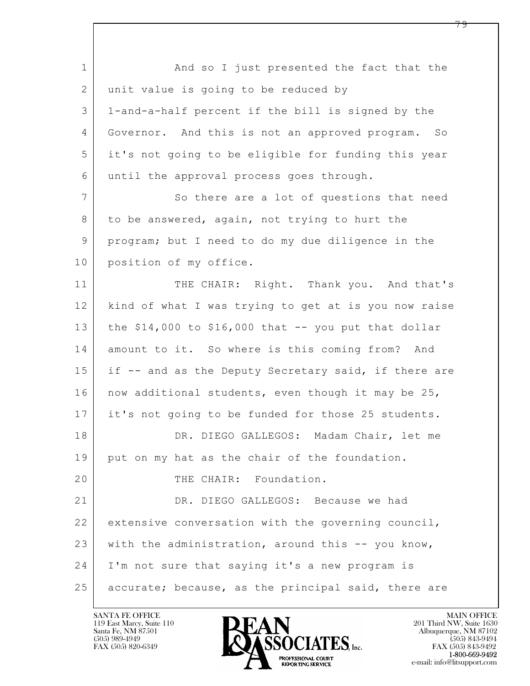$\mathbf{L}$  1 and so I just presented the fact that the 2 | unit value is going to be reduced by 3 1-and-a-half percent if the bill is signed by the 4 Governor. And this is not an approved program. So 5 it's not going to be eligible for funding this year 6 until the approval process goes through. 7 So there are a lot of questions that need 8 to be answered, again, not trying to hurt the 9 program; but I need to do my due diligence in the 10 position of my office. 11 THE CHAIR: Right. Thank you. And that's 12 kind of what I was trying to get at is you now raise 13 the  $$14,000$  to  $$16,000$  that  $-$  you put that dollar 14 amount to it. So where is this coming from? And 15 if -- and as the Deputy Secretary said, if there are 16 | now additional students, even though it may be 25, 17 it's not going to be funded for those 25 students. 18 DR. DIEGO GALLEGOS: Madam Chair, let me 19 | put on my hat as the chair of the foundation. 20 THE CHAIR: Foundation. 21 DR. DIEGO GALLEGOS: Because we had 22 extensive conversation with the governing council, 23 with the administration, around this -- you know, 24 I'm not sure that saying it's a new program is 25 accurate; because, as the principal said, there are

119 East Marcy, Suite 110<br>Santa Fe, NM 87501



FAX (505) 843-9492 e-mail: info@litsupport.com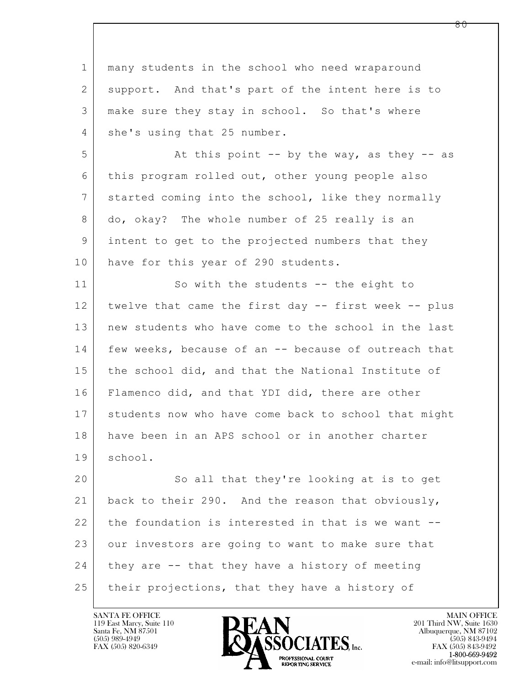$\mathbf{L}$  1 many students in the school who need wraparound 2 support. And that's part of the intent here is to 3 make sure they stay in school. So that's where 4 she's using that 25 number. 5 At this point -- by the way, as they -- as 6 this program rolled out, other young people also 7 started coming into the school, like they normally 8 do, okay? The whole number of 25 really is an 9 intent to get to the projected numbers that they 10 have for this year of 290 students. 11 So with the students -- the eight to 12 twelve that came the first day -- first week -- plus 13 new students who have come to the school in the last 14 few weeks, because of an -- because of outreach that 15 the school did, and that the National Institute of 16 Flamenco did, and that YDI did, there are other 17 students now who have come back to school that might 18 have been in an APS school or in another charter 19 school. 20 So all that they're looking at is to get 21 back to their 290. And the reason that obviously, 22 the foundation is interested in that is we want --23 our investors are going to want to make sure that 24 they are -- that they have a history of meeting 25 | their projections, that they have a history of

119 East Marcy, Suite 110<br>Santa Fe, NM 87501



FAX (505) 843-9492 e-mail: info@litsupport.com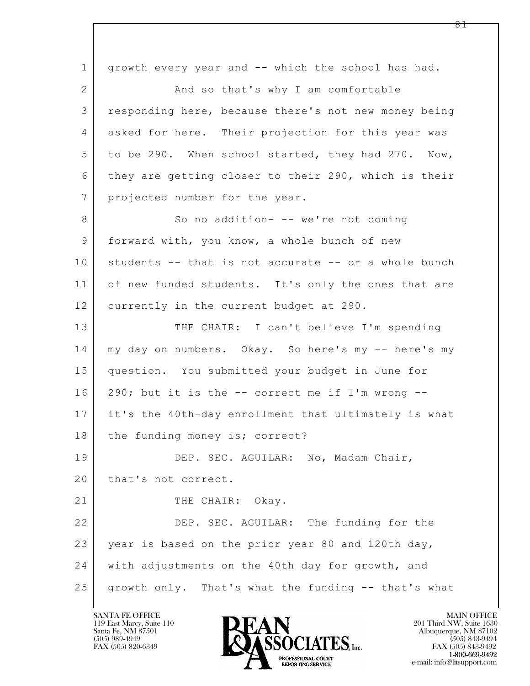$\mathbf{L}$  1 growth every year and -- which the school has had. 2 | And so that's why I am comfortable 3 responding here, because there's not new money being 4 asked for here. Their projection for this year was 5 to be 290. When school started, they had 270. Now, 6 | they are getting closer to their 290, which is their 7 | projected number for the year. 8 | So no addition- -- we're not coming 9 | forward with, you know, a whole bunch of new 10 students -- that is not accurate -- or a whole bunch 11 of new funded students. It's only the ones that are 12 currently in the current budget at 290. 13 THE CHAIR: I can't believe I'm spending 14 my day on numbers. Okay. So here's my -- here's my 15 | question. You submitted your budget in June for  $16$  290; but it is the  $-$ - correct me if I'm wrong  $-$ -17 it's the 40th-day enrollment that ultimately is what 18 the funding money is; correct? 19 DEP. SEC. AGUILAR: No, Madam Chair, 20 | that's not correct. 21 | THE CHAIR: Okay. 22 DEP. SEC. AGUILAR: The funding for the 23 year is based on the prior year 80 and 120th day, 24 with adjustments on the 40th day for growth, and 25 growth only. That's what the funding -- that's what

119 East Marcy, Suite 110<br>Santa Fe, NM 87501

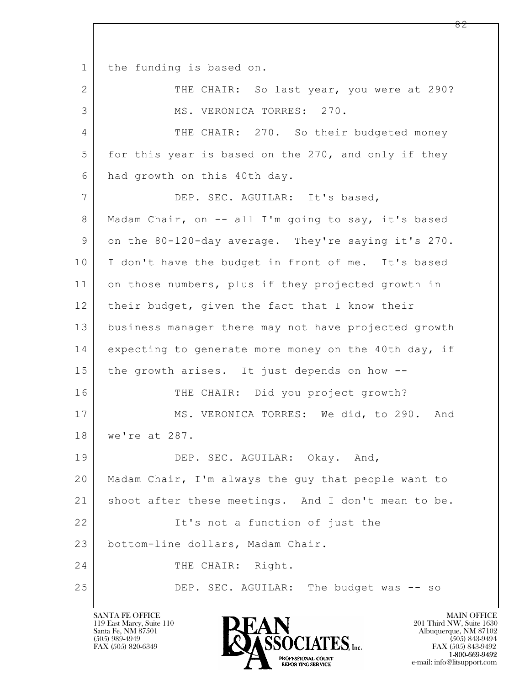1 | the funding is based on.

 $\mathbf{L}$  2 THE CHAIR: So last year, you were at 290? 3 MS. VERONICA TORRES: 270. 4 THE CHAIR: 270. So their budgeted money 5 for this year is based on the 270, and only if they 6 had growth on this 40th day. 7 DEP. SEC. AGUILAR: It's based, 8 | Madam Chair, on -- all I'm going to say, it's based 9 on the 80-120-day average. They're saying it's 270. 10 | I don't have the budget in front of me. It's based 11 on those numbers, plus if they projected growth in 12 their budget, given the fact that I know their 13 business manager there may not have projected growth 14 expecting to generate more money on the 40th day, if 15 the growth arises. It just depends on how -- 16 THE CHAIR: Did you project growth? 17 MS. VERONICA TORRES: We did, to 290. And 18 we're at 287. 19 DEP. SEC. AGUILAR: Okay. And, 20 Madam Chair, I'm always the guy that people want to 21 shoot after these meetings. And I don't mean to be. 22 | Tt's not a function of just the 23 bottom-line dollars, Madam Chair. 24 THE CHAIR: Right. 25 DEP. SEC. AGUILAR: The budget was -- so

119 East Marcy, Suite 110<br>Santa Fe, NM 87501

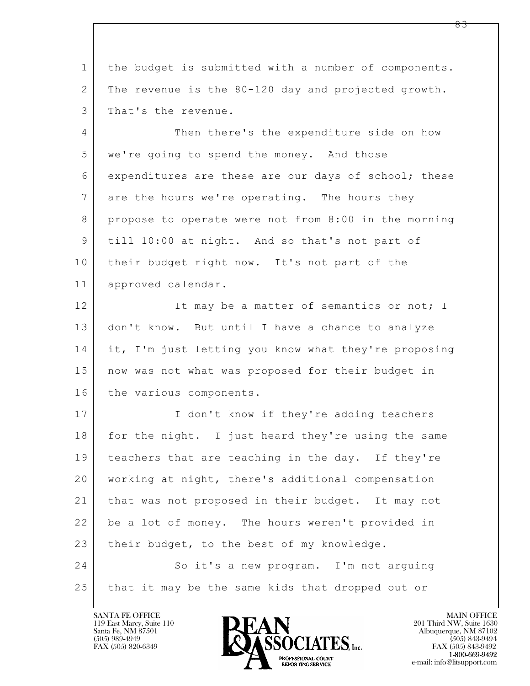$\mathbf{L}$  SANTA FE OFFICE MAIN OFFICE MAIN OFFICE MAIN OFFICE MAIN OFFICE 119 East Marcy, Suite 110<br>Santa Fe, NM 87501 Santa Fe, NM 87501 Albuquerque, NM 87102 1 the budget is submitted with a number of components. 2 The revenue is the 80-120 day and projected growth. 3 | That's the revenue. 4 Then there's the expenditure side on how 5 we're going to spend the money. And those 6 expenditures are these are our days of school; these 7 are the hours we're operating. The hours they 8 propose to operate were not from 8:00 in the morning 9 till 10:00 at night. And so that's not part of 10 their budget right now. It's not part of the 11 approved calendar. 12 It may be a matter of semantics or not; I 13 don't know. But until I have a chance to analyze 14 it, I'm just letting you know what they're proposing 15 now was not what was proposed for their budget in 16 the various components. 17 | I don't know if they're adding teachers 18 for the night. I just heard they're using the same 19 teachers that are teaching in the day. If they're 20 working at night, there's additional compensation 21 that was not proposed in their budget. It may not 22 be a lot of money. The hours weren't provided in 23 their budget, to the best of my knowledge. 24 So it's a new program. I'm not arguing 25 that it may be the same kids that dropped out or

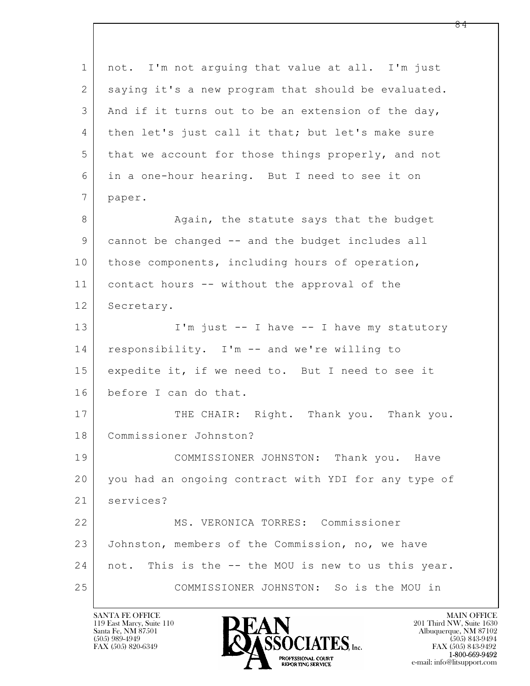$\mathbf{L}$  1 not. I'm not arguing that value at all. I'm just 2 saying it's a new program that should be evaluated. 3 And if it turns out to be an extension of the day, 4 | then let's just call it that; but let's make sure 5 that we account for those things properly, and not 6 in a one-hour hearing. But I need to see it on 7 paper. 8 Again, the statute says that the budget 9 cannot be changed -- and the budget includes all 10 | those components, including hours of operation, 11 contact hours -- without the approval of the 12 Secretary. 13 | I'm just -- I have -- I have my statutory 14 responsibility. I'm -- and we're willing to 15 expedite it, if we need to. But I need to see it 16 before I can do that. 17 THE CHAIR: Right. Thank you. Thank you. 18 Commissioner Johnston? 19 COMMISSIONER JOHNSTON: Thank you. Have 20 you had an ongoing contract with YDI for any type of 21 services? 22 MS. VERONICA TORRES: Commissioner 23 Johnston, members of the Commission, no, we have 24 not. This is the -- the MOU is new to us this year. 25 COMMISSIONER JOHNSTON: So is the MOU in

119 East Marcy, Suite 110<br>Santa Fe, NM 87501

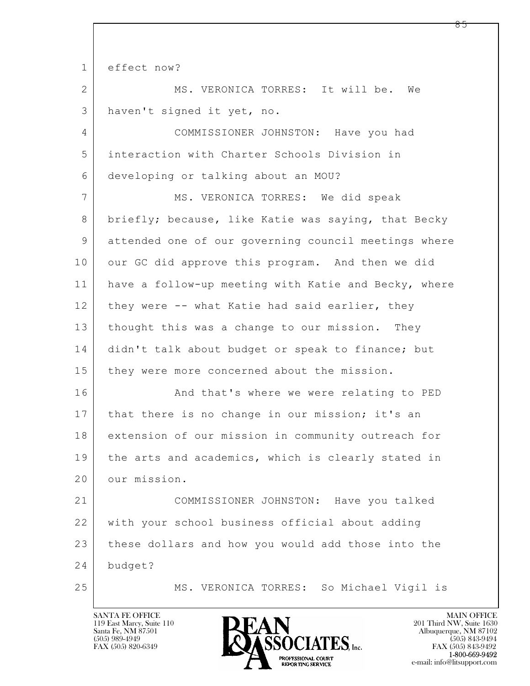$\mathbf{L}$  1 effect now? 2 MS. VERONICA TORRES: It will be. We 3 haven't signed it yet, no. 4 COMMISSIONER JOHNSTON: Have you had 5 interaction with Charter Schools Division in 6 developing or talking about an MOU? 7 MS. VERONICA TORRES: We did speak 8 briefly; because, like Katie was saying, that Becky 9 attended one of our governing council meetings where 10 our GC did approve this program. And then we did 11 have a follow-up meeting with Katie and Becky, where 12 they were -- what Katie had said earlier, they 13 thought this was a change to our mission. They 14 didn't talk about budget or speak to finance; but 15 | they were more concerned about the mission. 16 And that's where we were relating to PED 17 | that there is no change in our mission; it's an 18 extension of our mission in community outreach for 19 | the arts and academics, which is clearly stated in 20 our mission. 21 COMMISSIONER JOHNSTON: Have you talked 22 with your school business official about adding 23 these dollars and how you would add those into the 24 budget? 25 MS. VERONICA TORRES: So Michael Vigil is

119 East Marcy, Suite 110<br>Santa Fe, NM 87501

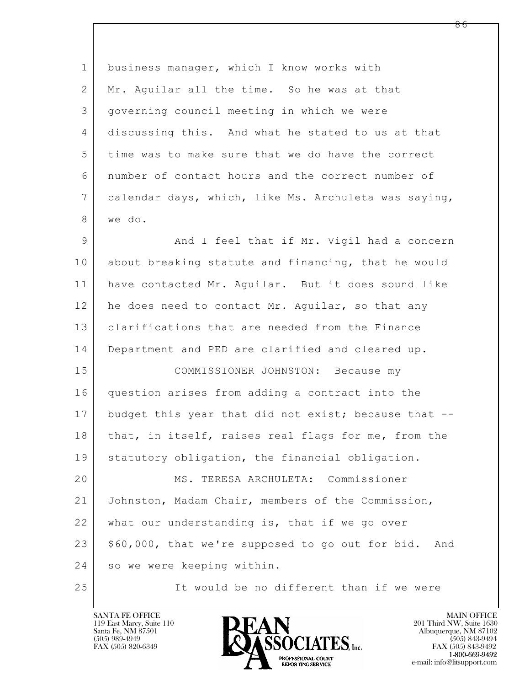$\mathbf{L}$  1 business manager, which I know works with 2 Mr. Aquilar all the time. So he was at that 3 governing council meeting in which we were 4 discussing this. And what he stated to us at that 5 time was to make sure that we do have the correct 6 number of contact hours and the correct number of 7 calendar days, which, like Ms. Archuleta was saying, 8 we do. 9 And I feel that if Mr. Vigil had a concern 10 about breaking statute and financing, that he would 11 have contacted Mr. Aguilar. But it does sound like 12 he does need to contact Mr. Aquilar, so that any 13 clarifications that are needed from the Finance 14 Department and PED are clarified and cleared up. 15 COMMISSIONER JOHNSTON: Because my 16 question arises from adding a contract into the 17 budget this year that did not exist; because that --18 | that, in itself, raises real flags for me, from the 19 | statutory obligation, the financial obligation. 20 MS. TERESA ARCHULETA: Commissioner 21 Johnston, Madam Chair, members of the Commission, 22 what our understanding is, that if we go over  $23$  \$60,000, that we're supposed to go out for bid. And 24 so we were keeping within. 25 It would be no different than if we were

119 East Marcy, Suite 110<br>Santa Fe, NM 87501

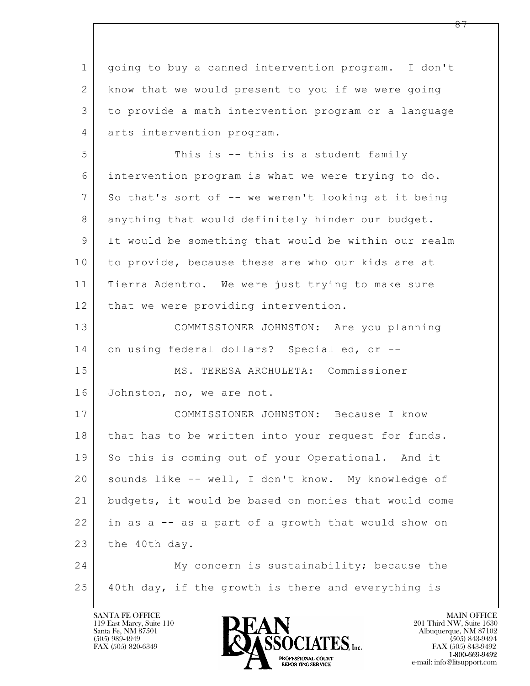$\mathbf{L}$  1 going to buy a canned intervention program. I don't 2 | know that we would present to you if we were going 3 to provide a math intervention program or a language 4 arts intervention program. 5 This is -- this is a student family 6 intervention program is what we were trying to do. 7 So that's sort of -- we weren't looking at it being 8 anything that would definitely hinder our budget. 9 It would be something that would be within our realm 10 to provide, because these are who our kids are at 11 Tierra Adentro. We were just trying to make sure 12 | that we were providing intervention. 13 COMMISSIONER JOHNSTON: Are you planning 14 on using federal dollars? Special ed, or --15 | MS. TERESA ARCHULETA: Commissioner 16 Johnston, no, we are not. 17 COMMISSIONER JOHNSTON: Because I know 18 | that has to be written into your request for funds. 19 So this is coming out of your Operational. And it 20 sounds like -- well, I don't know. My knowledge of 21 budgets, it would be based on monies that would come 22 in as a -- as a part of a growth that would show on  $23$  the 40th day. 24 My concern is sustainability; because the 25 40th day, if the growth is there and everything is

119 East Marcy, Suite 110<br>Santa Fe, NM 87501

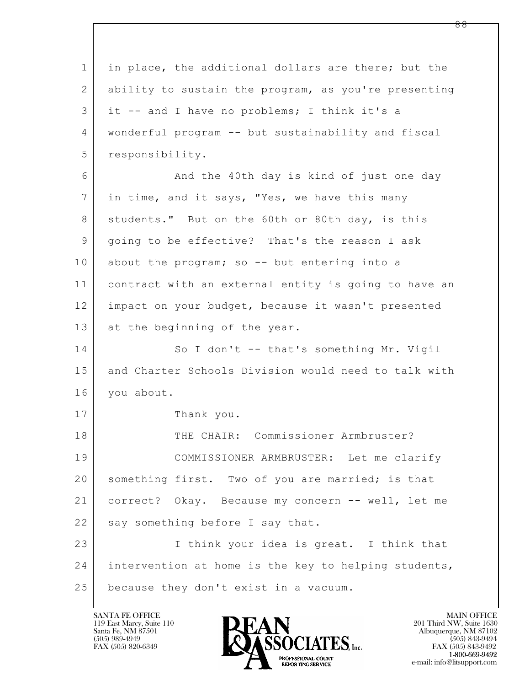$\mathbf{L}$  1 in place, the additional dollars are there; but the 2 ability to sustain the program, as you're presenting 3 it -- and I have no problems; I think it's a 4 wonderful program -- but sustainability and fiscal 5 responsibility. 6 And the 40th day is kind of just one day 7 in time, and it says, "Yes, we have this many 8 | students." But on the 60th or 80th day, is this 9 going to be effective? That's the reason I ask 10 about the program; so -- but entering into a 11 contract with an external entity is going to have an 12 impact on your budget, because it wasn't presented 13 at the beginning of the year. 14 So I don't -- that's something Mr. Vigil 15 and Charter Schools Division would need to talk with 16 you about. 17 Thank you. 18 THE CHAIR: Commissioner Armbruster? 19 COMMISSIONER ARMBRUSTER: Let me clarify 20 | something first. Two of you are married; is that 21 correct? Okay. Because my concern -- well, let me  $22$  say something before I say that. 23 I think your idea is great. I think that 24 intervention at home is the key to helping students, 25 because they don't exist in a vacuum.

119 East Marcy, Suite 110<br>Santa Fe, NM 87501

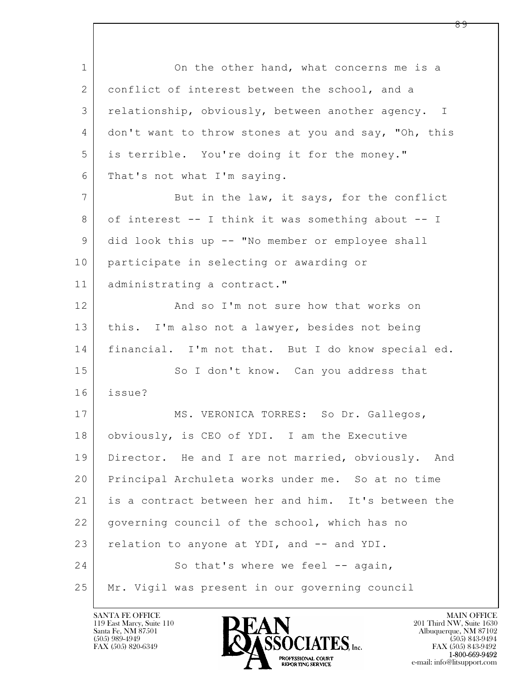$\mathbf{L}$  1 On the other hand, what concerns me is a 2 conflict of interest between the school, and a 3 relationship, obviously, between another agency. I 4 don't want to throw stones at you and say, "Oh, this 5 is terrible. You're doing it for the money." 6 That's not what I'm saying. 7 But in the law, it says, for the conflict 8 of interest -- I think it was something about -- I 9 did look this up -- "No member or employee shall 10 participate in selecting or awarding or 11 | administrating a contract." 12 And so I'm not sure how that works on 13 | this. I'm also not a lawyer, besides not being 14 financial. I'm not that. But I do know special ed. 15 So I don't know. Can you address that 16 issue? 17 | MS. VERONICA TORRES: So Dr. Gallegos, 18 obviously, is CEO of YDI. I am the Executive 19 Director. He and I are not married, obviously. And 20 Principal Archuleta works under me. So at no time 21 is a contract between her and him. It's between the 22 | governing council of the school, which has no 23 relation to anyone at YDI, and -- and YDI. 24 So that's where we feel -- again, 25 Mr. Vigil was present in our governing council

119 East Marcy, Suite 110<br>Santa Fe, NM 87501



FAX (505) 843-9492 e-mail: info@litsupport.com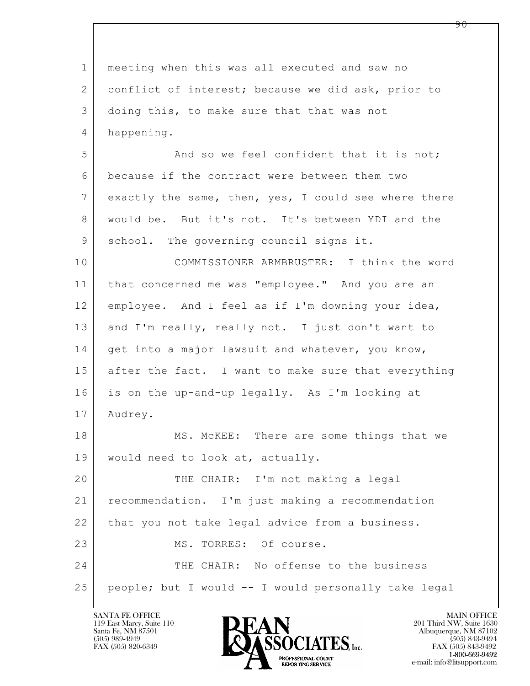| $\mathbf 1$ | meeting when this was all executed and saw no        |
|-------------|------------------------------------------------------|
| 2           | conflict of interest; because we did ask, prior to   |
| 3           | doing this, to make sure that that was not           |
| 4           | happening.                                           |
| 5           | And so we feel confident that it is not;             |
| 6           | because if the contract were between them two        |
| 7           | exactly the same, then, yes, I could see where there |
| 8           | would be. But it's not. It's between YDI and the     |
| 9           | school. The governing council signs it.              |
| 10          | COMMISSIONER ARMBRUSTER: I think the word            |
| 11          | that concerned me was "employee." And you are an     |
| 12          | employee. And I feel as if I'm downing your idea,    |
| 13          | and I'm really, really not. I just don't want to     |
| 14          | get into a major lawsuit and whatever, you know,     |
| 15          | after the fact. I want to make sure that everything  |
| 16          | is on the up-and-up legally. As I'm looking at       |
| 17          | Audrey.                                              |
| 18          | MS. MCKEE: There are some things that we             |
| 19          | would need to look at, actually.                     |
| 20          | THE CHAIR: I'm not making a legal                    |
| 21          | recommendation. I'm just making a recommendation     |
| 22          | that you not take legal advice from a business.      |
| 23          | MS. TORRES: Of course.                               |
| 24          | THE CHAIR: No offense to the business                |
| 25          | people; but I would -- I would personally take legal |

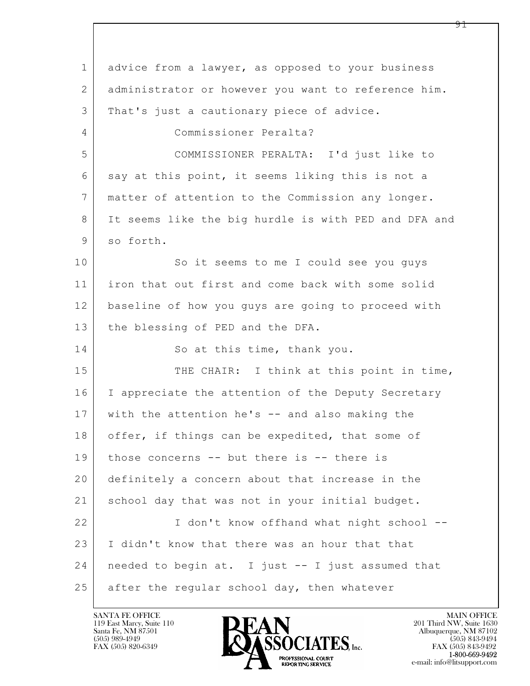$\mathbf{L}$  1 advice from a lawyer, as opposed to your business 2 administrator or however you want to reference him. 3 | That's just a cautionary piece of advice. 4 Commissioner Peralta? 5 COMMISSIONER PERALTA: I'd just like to 6 say at this point, it seems liking this is not a 7 matter of attention to the Commission any longer. 8 It seems like the big hurdle is with PED and DFA and 9 so forth. 10 So it seems to me I could see you quys 11 iron that out first and come back with some solid 12 baseline of how you guys are going to proceed with 13 the blessing of PED and the DFA. 14 So at this time, thank you. 15 THE CHAIR: I think at this point in time, 16 | I appreciate the attention of the Deputy Secretary 17 with the attention he's -- and also making the 18 | offer, if things can be expedited, that some of 19 those concerns -- but there is -- there is 20 definitely a concern about that increase in the 21 | school day that was not in your initial budget. 22 I don't know offhand what night school -- 23 I didn't know that there was an hour that that 24 needed to begin at. I just -- I just assumed that  $25$  after the regular school day, then whatever

119 East Marcy, Suite 110<br>Santa Fe, NM 87501



FAX (505) 843-9492 e-mail: info@litsupport.com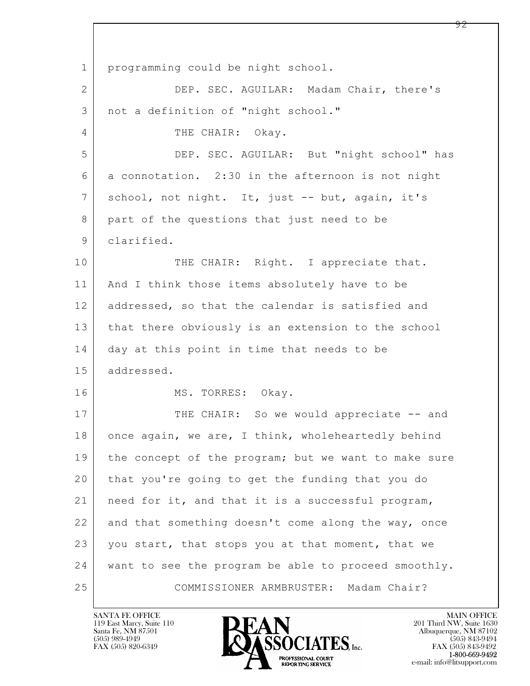$\mathbf{L}$  1 programming could be night school. 2 DEP. SEC. AGUILAR: Madam Chair, there's 3 not a definition of "night school." 4 THE CHAIR: Okay. 5 DEP. SEC. AGUILAR: But "night school" has 6 a connotation. 2:30 in the afternoon is not night 7 school, not night. It, just -- but, again, it's 8 part of the questions that just need to be 9 clarified. 10 THE CHAIR: Right. I appreciate that. 11 | And I think those items absolutely have to be 12 addressed, so that the calendar is satisfied and 13 that there obviously is an extension to the school 14 day at this point in time that needs to be 15 addressed. 16 MS. TORRES: Okay. 17 THE CHAIR: So we would appreciate -- and 18 once again, we are, I think, wholeheartedly behind 19 | the concept of the program; but we want to make sure 20 that you're going to get the funding that you do 21 need for it, and that it is a successful program, 22 and that something doesn't come along the way, once 23 you start, that stops you at that moment, that we 24 want to see the program be able to proceed smoothly. 25 COMMISSIONER ARMBRUSTER: Madam Chair?

119 East Marcy, Suite 110<br>Santa Fe, NM 87501

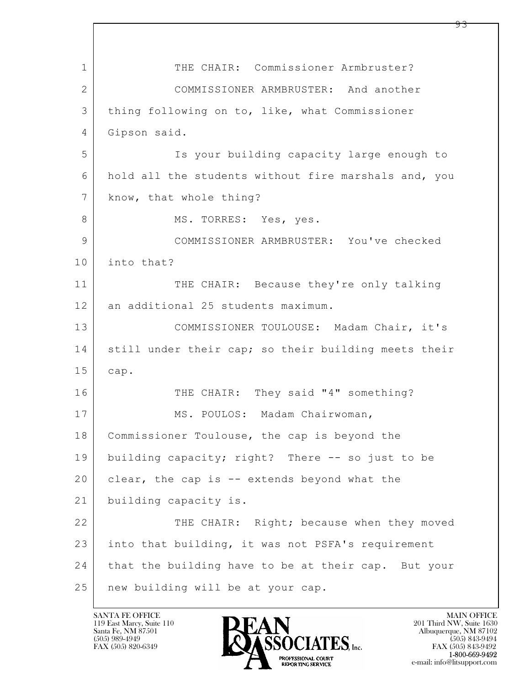$\mathbf{L}$  1 THE CHAIR: Commissioner Armbruster? 2 COMMISSIONER ARMBRUSTER: And another 3 thing following on to, like, what Commissioner 4 Gipson said. 5 Is your building capacity large enough to 6 hold all the students without fire marshals and, you 7 know, that whole thing? 8 | MS. TORRES: Yes, yes. 9 COMMISSIONER ARMBRUSTER: You've checked 10 into that? 11 THE CHAIR: Because they're only talking 12 an additional 25 students maximum. 13 COMMISSIONER TOULOUSE: Madam Chair, it's 14 still under their cap; so their building meets their 15 cap. 16 THE CHAIR: They said "4" something? 17 | MS. POULOS: Madam Chairwoman, 18 | Commissioner Toulouse, the cap is beyond the 19 building capacity; right? There -- so just to be 20 clear, the cap is -- extends beyond what the 21 building capacity is. 22 THE CHAIR: Right; because when they moved 23 into that building, it was not PSFA's requirement 24 that the building have to be at their cap. But your 25 new building will be at your cap.

119 East Marcy, Suite 110<br>Santa Fe, NM 87501

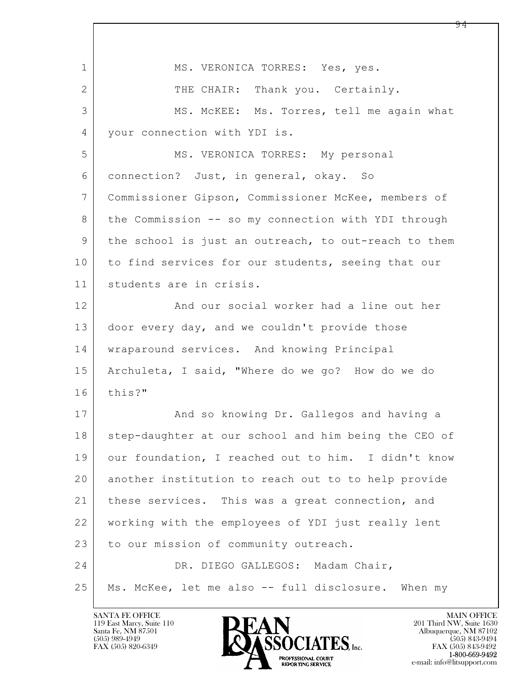| $\mathbf{1}$  | MS. VERONICA TORRES: Yes, yes.                       |
|---------------|------------------------------------------------------|
| 2             | THE CHAIR: Thank you. Certainly.                     |
| 3             | MS. MCKEE: Ms. Torres, tell me again what            |
| 4             | your connection with YDI is.                         |
| 5             | MS. VERONICA TORRES: My personal                     |
| 6             | connection? Just, in general, okay. So               |
| 7             | Commissioner Gipson, Commissioner McKee, members of  |
| 8             | the Commission -- so my connection with YDI through  |
| $\mathcal{G}$ | the school is just an outreach, to out-reach to them |
| 10            | to find services for our students, seeing that our   |
| 11            | students are in crisis.                              |
| 12            | And our social worker had a line out her             |
| 13            | door every day, and we couldn't provide those        |
| 14            | wraparound services. And knowing Principal           |
| 15            | Archuleta, I said, "Where do we go? How do we do     |
| 16            | this?"                                               |
| 17            | And so knowing Dr. Gallegos and having a             |
| 18            | step-daughter at our school and him being the CEO of |
| 19            | our foundation, I reached out to him. I didn't know  |
| 20            | another institution to reach out to to help provide  |
| 21            | these services. This was a great connection, and     |
| 22            | working with the employees of YDI just really lent   |
| 23            | to our mission of community outreach.                |
| 24            | DR. DIEGO GALLEGOS: Madam Chair,                     |
| 25            | Ms. McKee, let me also -- full disclosure. When my   |

 $\overline{\phantom{a}}$ 

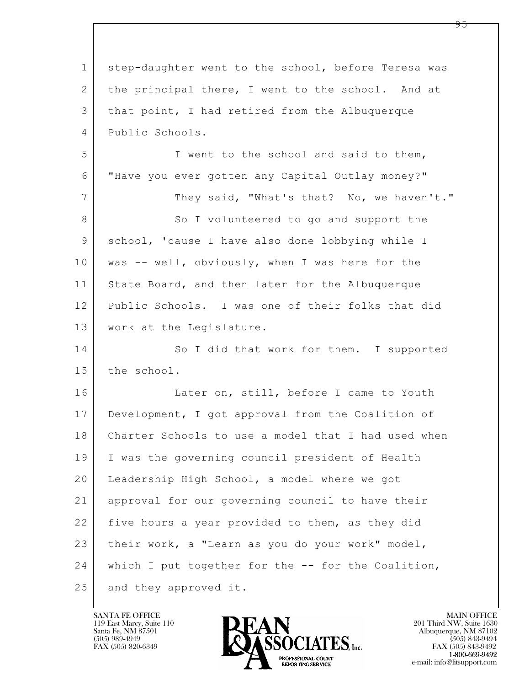$\mathbf{L}$  1 step-daughter went to the school, before Teresa was 2 | the principal there, I went to the school. And at 3 that point, I had retired from the Albuquerque 4 Public Schools. 5 I went to the school and said to them, 6 "Have you ever gotten any Capital Outlay money?" 7 They said, "What's that? No, we haven't." 8 So I volunteered to go and support the 9 school, 'cause I have also done lobbying while I 10 | was -- well, obviously, when I was here for the 11 State Board, and then later for the Albuquerque 12 Public Schools. I was one of their folks that did 13 work at the Legislature. 14 So I did that work for them. I supported 15 the school. 16 Later on, still, before I came to Youth 17 Development, I got approval from the Coalition of 18 Charter Schools to use a model that I had used when 19 I was the governing council president of Health 20 Leadership High School, a model where we got 21 approval for our governing council to have their 22 five hours a year provided to them, as they did 23 their work, a "Learn as you do your work" model, 24 which I put together for the -- for the Coalition, 25 and they approved it.

119 East Marcy, Suite 110<br>Santa Fe, NM 87501



FAX (505) 843-9492 e-mail: info@litsupport.com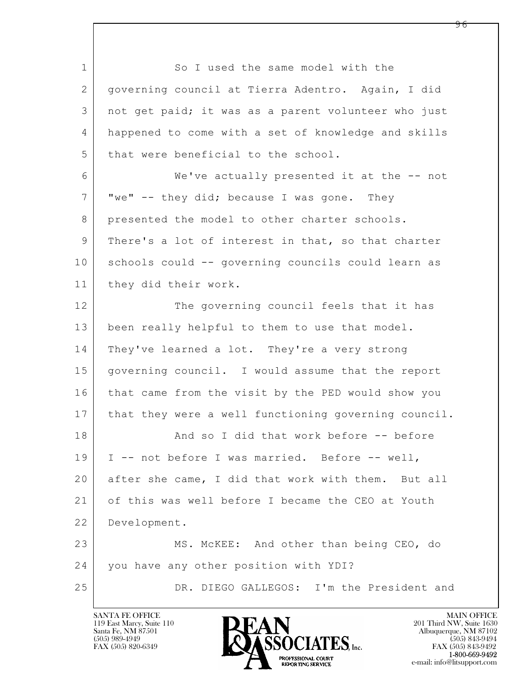$\mathbf{L}$  1 So I used the same model with the 2 governing council at Tierra Adentro. Again, I did 3 not get paid; it was as a parent volunteer who just 4 happened to come with a set of knowledge and skills 5 that were beneficial to the school. 6 We've actually presented it at the -- not  $7$  "we" -- they did; because I was gone. They 8 presented the model to other charter schools. 9 There's a lot of interest in that, so that charter 10 schools could -- governing councils could learn as 11 they did their work. 12 The governing council feels that it has 13 been really helpful to them to use that model. 14 They've learned a lot. They're a very strong 15 governing council. I would assume that the report 16 that came from the visit by the PED would show you 17 | that they were a well functioning governing council. 18 And so I did that work before -- before 19 | I -- not before I was married. Before -- well, 20 after she came, I did that work with them. But all 21 of this was well before I became the CEO at Youth 22 Development. 23 MS. McKEE: And other than being CEO, do 24 you have any other position with YDI? 25 DR. DIEGO GALLEGOS: I'm the President and

119 East Marcy, Suite 110<br>Santa Fe, NM 87501

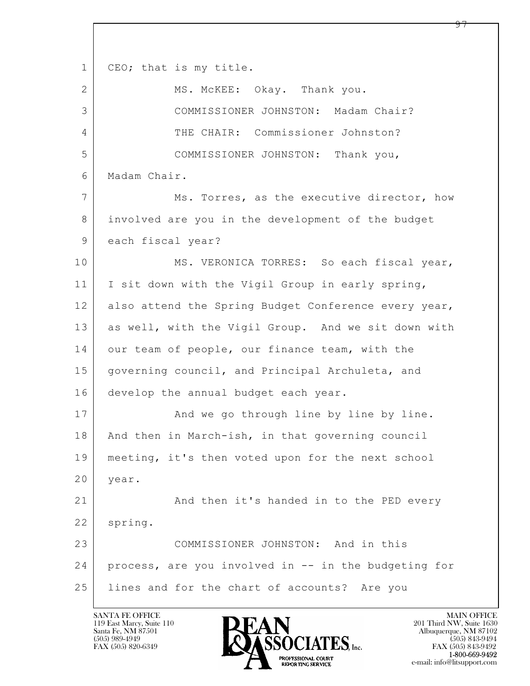$\mathbf{L}$  1 | CEO; that is my title. 2 MS. McKEE: Okay. Thank you. 3 COMMISSIONER JOHNSTON: Madam Chair? 4 THE CHAIR: Commissioner Johnston? 5 COMMISSIONER JOHNSTON: Thank you, 6 Madam Chair. 7 Ms. Torres, as the executive director, how 8 involved are you in the development of the budget 9 each fiscal year? 10 MS. VERONICA TORRES: So each fiscal year, 11 I sit down with the Vigil Group in early spring, 12 also attend the Spring Budget Conference every year, 13 as well, with the Vigil Group. And we sit down with 14 our team of people, our finance team, with the 15 | governing council, and Principal Archuleta, and 16 develop the annual budget each year. 17 | And we go through line by line by line. 18 | And then in March-ish, in that governing council 19 meeting, it's then voted upon for the next school 20 | year. 21 And then it's handed in to the PED every 22 | spring. 23 COMMISSIONER JOHNSTON: And in this 24 process, are you involved in -- in the budgeting for 25 lines and for the chart of accounts? Are you

119 East Marcy, Suite 110<br>Santa Fe, NM 87501

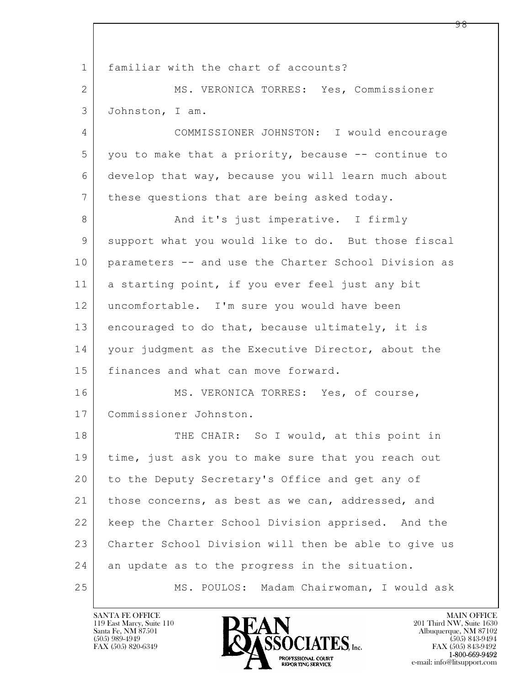$\mathbf{L}$  1 familiar with the chart of accounts? 2 MS. VERONICA TORRES: Yes, Commissioner 3 Johnston, I am. 4 COMMISSIONER JOHNSTON: I would encourage 5 you to make that a priority, because -- continue to 6 develop that way, because you will learn much about 7 | these questions that are being asked today. 8 | Rand it's just imperative. I firmly 9 support what you would like to do. But those fiscal 10 parameters -- and use the Charter School Division as 11 a starting point, if you ever feel just any bit 12 uncomfortable. I'm sure you would have been 13 encouraged to do that, because ultimately, it is 14 | your judgment as the Executive Director, about the 15 finances and what can move forward. 16 MS. VERONICA TORRES: Yes, of course, 17 Commissioner Johnston. 18 THE CHAIR: So I would, at this point in 19 | time, just ask you to make sure that you reach out 20 to the Deputy Secretary's Office and get any of 21 | those concerns, as best as we can, addressed, and 22 keep the Charter School Division apprised. And the 23 Charter School Division will then be able to give us 24 an update as to the progress in the situation. 25 MS. POULOS: Madam Chairwoman, I would ask

119 East Marcy, Suite 110<br>Santa Fe, NM 87501

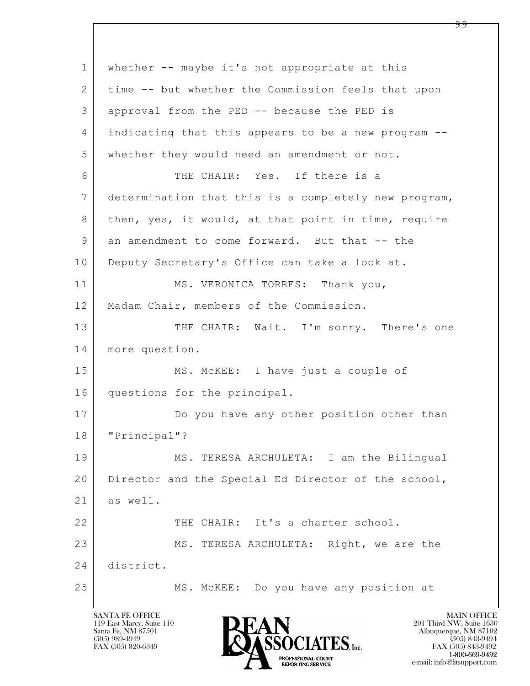$\mathbf{L}$  1 whether -- maybe it's not appropriate at this 2 time -- but whether the Commission feels that upon 3 approval from the PED -- because the PED is 4 indicating that this appears to be a new program -- 5 whether they would need an amendment or not. 6 THE CHAIR: Yes. If there is a 7 determination that this is a completely new program, 8 | then, yes, it would, at that point in time, require 9 an amendment to come forward. But that -- the 10 Deputy Secretary's Office can take a look at. 11 MS. VERONICA TORRES: Thank you, 12 | Madam Chair, members of the Commission. 13 THE CHAIR: Wait. I'm sorry. There's one 14 more question. 15 | MS. McKEE: I have just a couple of 16 questions for the principal. 17 Do you have any other position other than 18 "Principal"? 19 MS. TERESA ARCHULETA: I am the Bilingual 20 | Director and the Special Ed Director of the school, 21 as well. 22 THE CHAIR: It's a charter school. 23 MS. TERESA ARCHULETA: Right, we are the 24 district. 25 MS. McKEE: Do you have any position at

119 East Marcy, Suite 110<br>Santa Fe, NM 87501

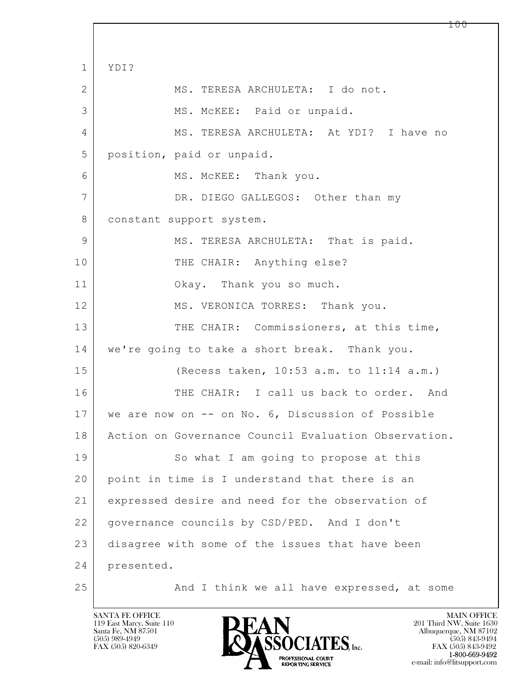$\mathbf{L}$  1 YDI? 2 MS. TERESA ARCHULETA: I do not. 3 MS. McKEE: Paid or unpaid. 4 MS. TERESA ARCHULETA: At YDI? I have no 5 position, paid or unpaid. 6 MS. McKEE: Thank you. 7 DR. DIEGO GALLEGOS: Other than my 8 constant support system. 9 MS. TERESA ARCHULETA: That is paid. 10 THE CHAIR: Anything else? 11 Okay. Thank you so much. 12 MS. VERONICA TORRES: Thank you. 13 THE CHAIR: Commissioners, at this time, 14 we're going to take a short break. Thank you. 15 (Recess taken, 10:53 a.m. to 11:14 a.m.) 16 THE CHAIR: I call us back to order. And 17 we are now on -- on No. 6, Discussion of Possible 18 | Action on Governance Council Evaluation Observation. 19 So what I am going to propose at this 20 point in time is I understand that there is an 21 expressed desire and need for the observation of 22 governance councils by CSD/PED. And I don't 23 disagree with some of the issues that have been 24 presented. 25 And I think we all have expressed, at some

119 East Marcy, Suite 110<br>Santa Fe, NM 87501

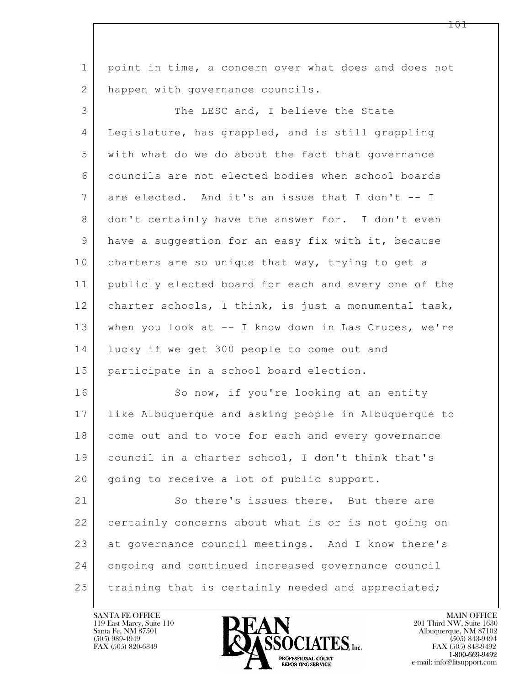$\mathbf{L}$  1 point in time, a concern over what does and does not 2 | happen with governance councils. 3 The LESC and, I believe the State 4 Legislature, has grappled, and is still grappling 5 with what do we do about the fact that governance 6 councils are not elected bodies when school boards 7 are elected. And it's an issue that I don't -- I 8 don't certainly have the answer for. I don't even 9 have a suggestion for an easy fix with it, because 10 charters are so unique that way, trying to get a 11 publicly elected board for each and every one of the 12 | charter schools, I think, is just a monumental task, 13 when you look at -- I know down in Las Cruces, we're 14 lucky if we get 300 people to come out and 15 participate in a school board election. 16 So now, if you're looking at an entity 17 like Albuquerque and asking people in Albuquerque to 18 come out and to vote for each and every governance 19 council in a charter school, I don't think that's 20 | going to receive a lot of public support. 21 | So there's issues there. But there are 22 certainly concerns about what is or is not going on 23 at governance council meetings. And I know there's 24 ongoing and continued increased governance council 25 training that is certainly needed and appreciated;

119 East Marcy, Suite 110<br>Santa Fe, NM 87501



 $FAX (505) 843-9492$ <br>1-800-669-9492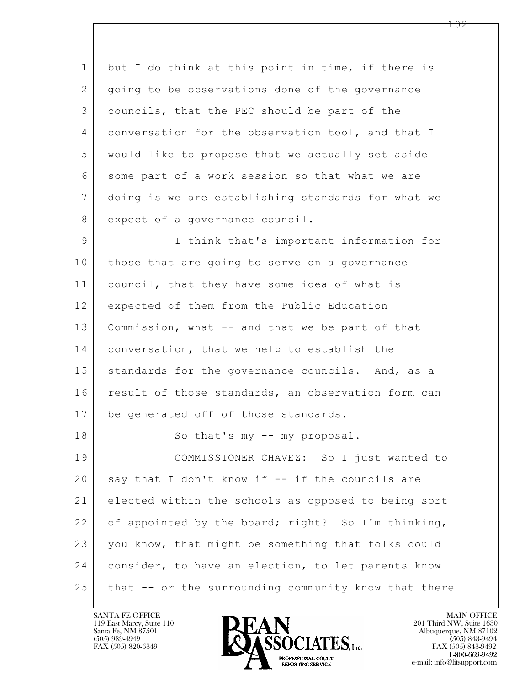$\mathbf{L}$  1 but I do think at this point in time, if there is 2 going to be observations done of the governance 3 councils, that the PEC should be part of the 4 conversation for the observation tool, and that I 5 would like to propose that we actually set aside 6 some part of a work session so that what we are 7 doing is we are establishing standards for what we 8 expect of a governance council. 9 I think that's important information for 10 those that are going to serve on a governance 11 council, that they have some idea of what is 12 expected of them from the Public Education 13 | Commission, what -- and that we be part of that 14 conversation, that we help to establish the 15 | standards for the governance councils. And, as a 16 result of those standards, an observation form can 17 | be generated off of those standards. 18 | So that's my -- my proposal. 19 COMMISSIONER CHAVEZ: So I just wanted to  $20$  say that I don't know if  $-$  if the councils are 21 elected within the schools as opposed to being sort 22 of appointed by the board; right? So I'm thinking, 23 you know, that might be something that folks could 24 consider, to have an election, to let parents know  $25$  that  $-$  or the surrounding community know that there

119 East Marcy, Suite 110<br>Santa Fe, NM 87501



FAX (505) 843-9492 e-mail: info@litsupport.com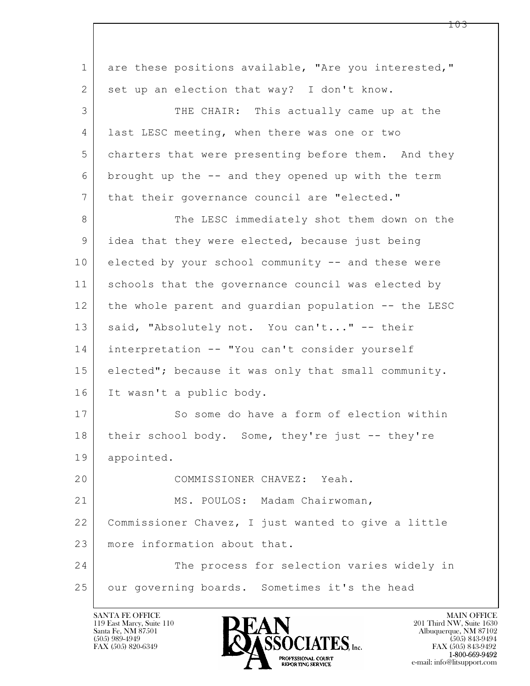| $\mathbf 1$    | are these positions available, "Are you interested," |
|----------------|------------------------------------------------------|
| 2              | set up an election that way? I don't know.           |
| 3              | THE CHAIR: This actually came up at the              |
| 4              | last LESC meeting, when there was one or two         |
| 5              | charters that were presenting before them. And they  |
| 6              | brought up the -- and they opened up with the term   |
| $7\phantom{.}$ | that their governance council are "elected."         |
| 8              | The LESC immediately shot them down on the           |
| 9              | idea that they were elected, because just being      |
| 10             | elected by your school community -- and these were   |
| 11             | schools that the governance council was elected by   |
| 12             | the whole parent and guardian population -- the LESC |
| 13             | said, "Absolutely not. You can't" -- their           |
| 14             | interpretation -- "You can't consider yourself       |
| 15             | elected"; because it was only that small community.  |
| 16             | It wasn't a public body.                             |
| 17             | So some do have a form of election within            |
| 18             | their school body. Some, they're just -- they're     |
| 19             | appointed.                                           |
| 20             | COMMISSIONER CHAVEZ: Yeah.                           |
| 21             | MS. POULOS: Madam Chairwoman,                        |
| 22             | Commissioner Chavez, I just wanted to give a little  |
| 23             | more information about that.                         |
| 24             | The process for selection varies widely in           |
| 25             | our governing boards. Sometimes it's the head        |

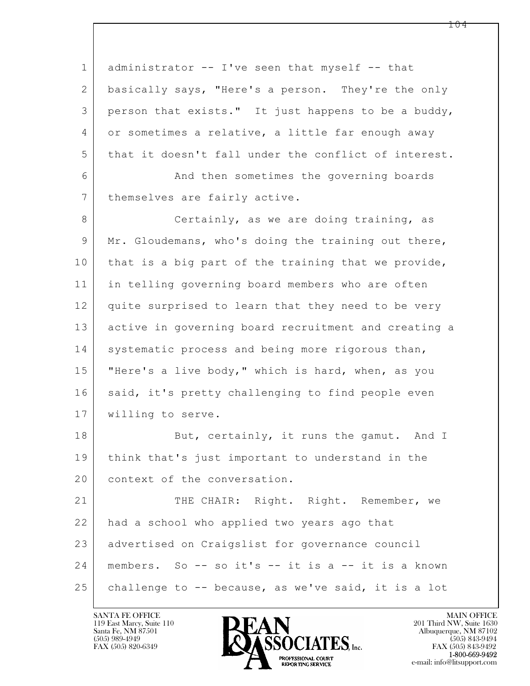$\mathbf{L}$  1 administrator -- I've seen that myself -- that 2 basically says, "Here's a person. They're the only 3 person that exists." It just happens to be a buddy, 4 or sometimes a relative, a little far enough away 5 that it doesn't fall under the conflict of interest. 6 And then sometimes the governing boards 7 | themselves are fairly active. 8 Certainly, as we are doing training, as 9 Mr. Gloudemans, who's doing the training out there, 10 that is a big part of the training that we provide, 11 in telling governing board members who are often 12 quite surprised to learn that they need to be very 13 active in governing board recruitment and creating a 14 systematic process and being more rigorous than, 15 | "Here's a live body," which is hard, when, as you 16 said, it's pretty challenging to find people even 17 | willing to serve. 18 But, certainly, it runs the gamut. And I 19 think that's just important to understand in the 20 context of the conversation. 21 THE CHAIR: Right. Right. Remember, we 22 had a school who applied two years ago that 23 advertised on Craigslist for governance council  $24$  members. So -- so it's -- it is a -- it is a known 25 challenge to -- because, as we've said, it is a lot

119 East Marcy, Suite 110<br>Santa Fe, NM 87501

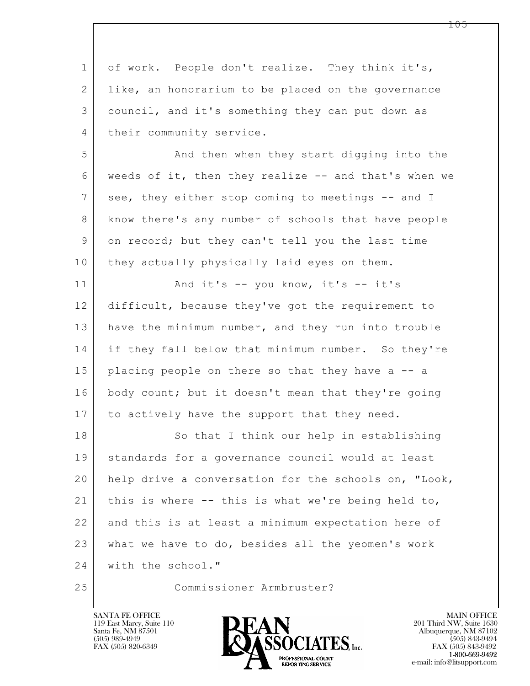| $\mathbf{1}$   | of work. People don't realize. They think it's,      |
|----------------|------------------------------------------------------|
| 2              | like, an honorarium to be placed on the governance   |
| 3              | council, and it's something they can put down as     |
| 4              | their community service.                             |
| 5              | And then when they start digging into the            |
| 6              | weeds of it, then they realize -- and that's when we |
| $7\phantom{.}$ | see, they either stop coming to meetings -- and I    |
| 8              | know there's any number of schools that have people  |
| 9              | on record; but they can't tell you the last time     |
| 10             | they actually physically laid eyes on them.          |
| 11             | And it's -- you know, it's -- it's                   |
| 12             | difficult, because they've got the requirement to    |
| 13             | have the minimum number, and they run into trouble   |
| 14             | if they fall below that minimum number. So they're   |
| 15             | placing people on there so that they have a -- a     |
| 16             | body count; but it doesn't mean that they're going   |
| 17             | to actively have the support that they need.         |
| 18             | So that I think our help in establishing             |
| 19             | standards for a governance council would at least    |
| 20             | help drive a conversation for the schools on, "Look, |
| 21             | this is where -- this is what we're being held to,   |
| 22             | and this is at least a minimum expectation here of   |
| 23             | what we have to do, besides all the yeomen's work    |
| 24             | with the school."                                    |
| 25             | Commissioner Armbruster?                             |

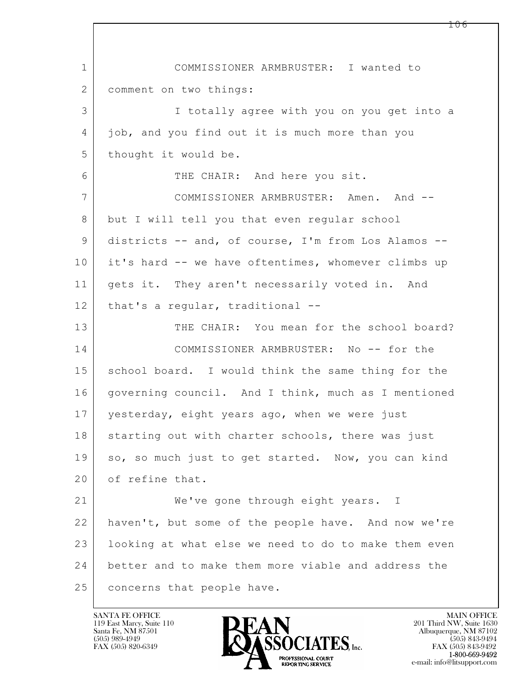$\mathbf{L}$  1 COMMISSIONER ARMBRUSTER: I wanted to 2 comment on two things: 3 I totally agree with you on you get into a 4 job, and you find out it is much more than you 5 | thought it would be. 6 THE CHAIR: And here you sit. 7 COMMISSIONER ARMBRUSTER: Amen. And -- 8 but I will tell you that even regular school 9 districts -- and, of course, I'm from Los Alamos -- 10 it's hard -- we have oftentimes, whomever climbs up 11 | gets it. They aren't necessarily voted in. And 12 | that's a regular, traditional --13 THE CHAIR: You mean for the school board? 14 COMMISSIONER ARMBRUSTER: No -- for the 15 | school board. I would think the same thing for the 16 | governing council. And I think, much as I mentioned 17 yesterday, eight years ago, when we were just 18 | starting out with charter schools, there was just 19 so, so much just to get started. Now, you can kind 20 of refine that. 21 We've gone through eight years. I 22 haven't, but some of the people have. And now we're 23 | looking at what else we need to do to make them even 24 better and to make them more viable and address the 25 concerns that people have.

119 East Marcy, Suite 110<br>Santa Fe, NM 87501

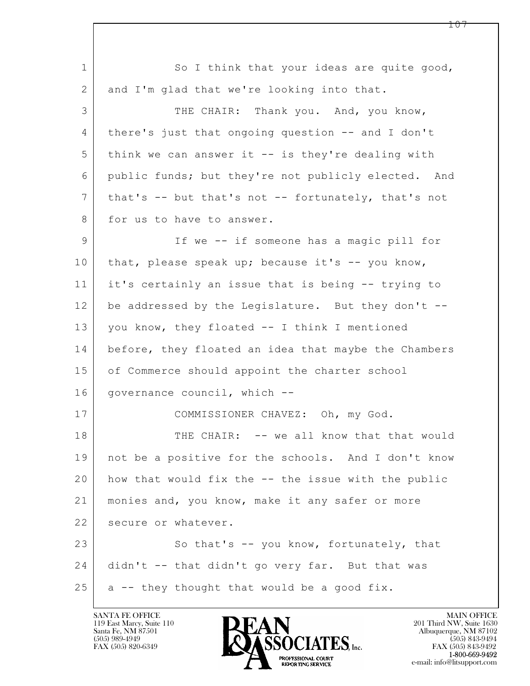$\mathbf{L}$  1 So I think that your ideas are quite good, 2 and I'm glad that we're looking into that. 3 THE CHAIR: Thank you. And, you know, 4 there's just that ongoing question -- and I don't 5 think we can answer it -- is they're dealing with 6 public funds; but they're not publicly elected. And 7 that's -- but that's not -- fortunately, that's not 8 for us to have to answer. 9 If we -- if someone has a magic pill for 10 that, please speak up; because it's -- you know, 11 it's certainly an issue that is being -- trying to 12 be addressed by the Legislature. But they don't -- 13 you know, they floated -- I think I mentioned 14 before, they floated an idea that maybe the Chambers 15 of Commerce should appoint the charter school 16 | governance council, which --17 COMMISSIONER CHAVEZ: Oh, my God. 18 THE CHAIR: -- we all know that that would 19 not be a positive for the schools. And I don't know 20 how that would fix the -- the issue with the public 21 monies and, you know, make it any safer or more 22 secure or whatever. 23 So that's -- you know, fortunately, that 24 didn't -- that didn't go very far. But that was  $25$  a -- they thought that would be a good fix.



FAX (505) 843-9492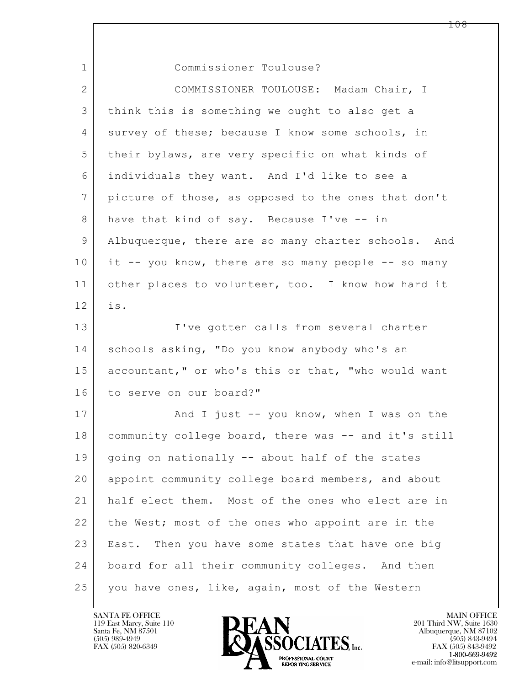| $\mathbf{1}$   | Commissioner Toulouse?                               |
|----------------|------------------------------------------------------|
| $\overline{2}$ | COMMISSIONER TOULOUSE: Madam Chair, I                |
| 3              | think this is something we ought to also get a       |
| 4              | survey of these; because I know some schools, in     |
| 5              | their bylaws, are very specific on what kinds of     |
| 6              | individuals they want. And I'd like to see a         |
| 7              | picture of those, as opposed to the ones that don't  |
| 8              | have that kind of say. Because I've -- in            |
| 9              | Albuquerque, there are so many charter schools. And  |
| 10             | it -- you know, there are so many people -- so many  |
| 11             | other places to volunteer, too. I know how hard it   |
| 12             | is.                                                  |
| 13             | I've gotten calls from several charter               |
| 14             | schools asking, "Do you know anybody who's an        |
| 15             | accountant," or who's this or that, "who would want  |
| 16             | to serve on our board?"                              |
| 17             | And I just -- you know, when I was on the            |
| 18             | community college board, there was -- and it's still |
| 19             | going on nationally -- about half of the states      |
| 20             | appoint community college board members, and about   |
| 21             | half elect them. Most of the ones who elect are in   |
| 22             | the West; most of the ones who appoint are in the    |
| 23             | East. Then you have some states that have one big    |
| 24             | board for all their community colleges. And then     |
| 25             | you have ones, like, again, most of the Western      |

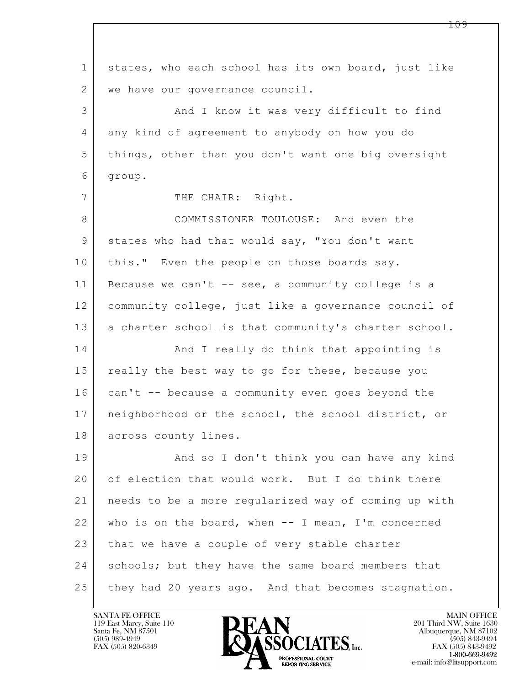$\mathbf{L}$  1 states, who each school has its own board, just like 2 | we have our governance council. 3 And I know it was very difficult to find 4 any kind of agreement to anybody on how you do 5 things, other than you don't want one big oversight 6 group. 7 THE CHAIR: Right. 8 COMMISSIONER TOULOUSE: And even the 9 states who had that would say, "You don't want 10 | this." Even the people on those boards say. 11 Because we can't -- see, a community college is a 12 community college, just like a governance council of 13 a charter school is that community's charter school. 14 | And I really do think that appointing is 15 really the best way to go for these, because you 16 can't -- because a community even goes beyond the 17 neighborhood or the school, the school district, or 18 across county lines. 19 | And so I don't think you can have any kind 20 of election that would work. But I do think there 21 needs to be a more regularized way of coming up with 22 who is on the board, when -- I mean, I'm concerned 23 that we have a couple of very stable charter 24 | schools; but they have the same board members that 25 they had 20 years ago. And that becomes stagnation.

119 East Marcy, Suite 110<br>Santa Fe, NM 87501



FAX (505) 843-9492 e-mail: info@litsupport.com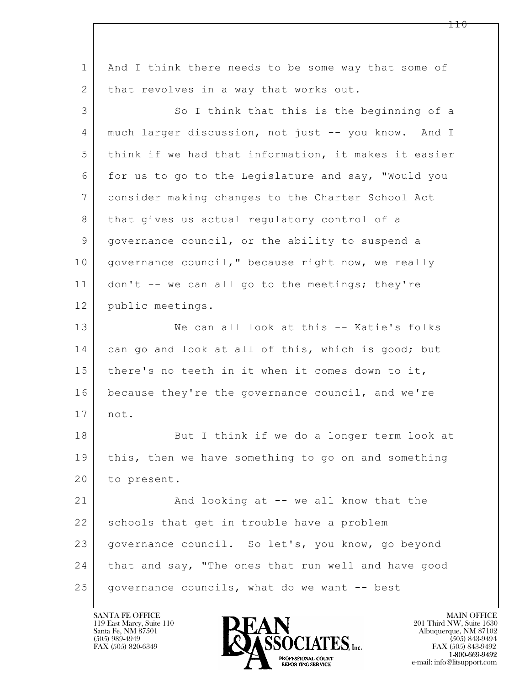$\mathbf{L}$  1 | And I think there needs to be some way that some of 2 | that revolves in a way that works out. 3 So I think that this is the beginning of a 4 much larger discussion, not just -- you know. And I 5 think if we had that information, it makes it easier 6 for us to go to the Legislature and say, "Would you 7 consider making changes to the Charter School Act 8 | that gives us actual regulatory control of a 9 governance council, or the ability to suspend a 10 governance council," because right now, we really 11 don't -- we can all go to the meetings; they're 12 public meetings. 13 We can all look at this -- Katie's folks 14 can go and look at all of this, which is good; but 15 | there's no teeth in it when it comes down to it, 16 because they're the governance council, and we're 17 not. 18 But I think if we do a longer term look at 19 | this, then we have something to go on and something 20 to present. 21 And looking at -- we all know that the 22 schools that get in trouble have a problem 23 governance council. So let's, you know, go beyond 24 that and say, "The ones that run well and have good  $25$  governance councils, what do we want  $-$  best

119 East Marcy, Suite 110<br>Santa Fe, NM 87501

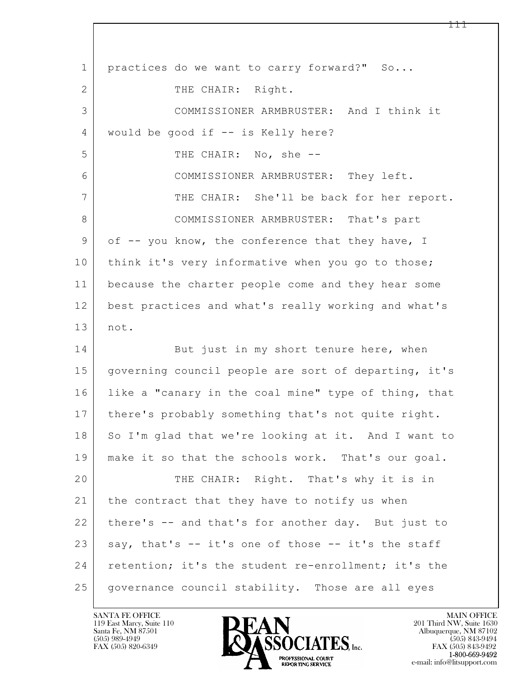| $\mathbf{1}$ | practices do we want to carry forward?" So           |
|--------------|------------------------------------------------------|
| 2            | THE CHAIR: Right.                                    |
| 3            | COMMISSIONER ARMBRUSTER: And I think it              |
| 4            | would be good if -- is Kelly here?                   |
| 5            | THE CHAIR: No, she --                                |
| 6            | COMMISSIONER ARMBRUSTER: They left.                  |
| 7            | THE CHAIR: She'll be back for her report.            |
| 8            | COMMISSIONER ARMBRUSTER: That's part                 |
| 9            | of -- you know, the conference that they have, I     |
| 10           | think it's very informative when you go to those;    |
| 11           | because the charter people come and they hear some   |
| 12           | best practices and what's really working and what's  |
| 13           | not.                                                 |
| 14           | But just in my short tenure here, when               |
| 15           | governing council people are sort of departing, it's |
| 16           | like a "canary in the coal mine" type of thing, that |
| 17           | there's probably something that's not quite right.   |
| 18           | So I'm glad that we're looking at it. And I want to  |
| 19           | make it so that the schools work. That's our goal.   |
| 20           | THE CHAIR: Right. That's why it is in                |
| 21           | the contract that they have to notify us when        |
| 22           | there's -- and that's for another day. But just to   |
| 23           | say, that's -- it's one of those -- it's the staff   |
| 24           | retention; it's the student re-enrollment; it's the  |
| 25           | governance council stability. Those are all eyes     |

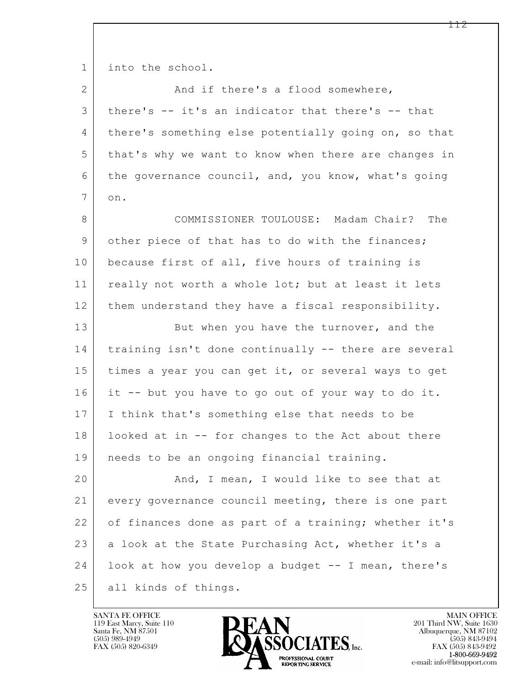$\mathbf{L}$  1 into the school. 2 And if there's a flood somewhere, 3 there's -- it's an indicator that there's -- that 4 there's something else potentially going on, so that 5 that's why we want to know when there are changes in 6 the governance council, and, you know, what's going 7 on. 8 COMMISSIONER TOULOUSE: Madam Chair? The 9 other piece of that has to do with the finances; 10 because first of all, five hours of training is 11 | really not worth a whole lot; but at least it lets 12 them understand they have a fiscal responsibility. 13 But when you have the turnover, and the 14 training isn't done continually -- there are several 15 times a year you can get it, or several ways to get 16 it -- but you have to go out of your way to do it. 17 I think that's something else that needs to be 18 looked at in -- for changes to the Act about there 19 needs to be an ongoing financial training. 20 And, I mean, I would like to see that at 21 every governance council meeting, there is one part 22 of finances done as part of a training; whether it's 23 a look at the State Purchasing Act, whether it's a 24 look at how you develop a budget -- I mean, there's 25 all kinds of things.

119 East Marcy, Suite 110<br>Santa Fe, NM 87501

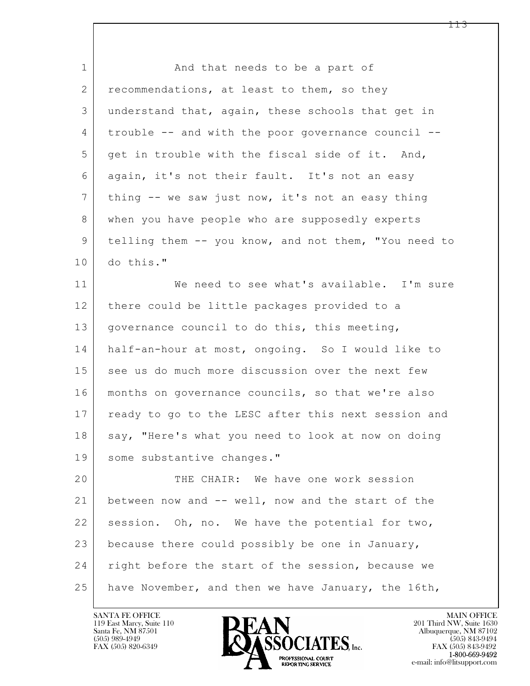$\mathbf{L}$  1 and that needs to be a part of 2 recommendations, at least to them, so they 3 understand that, again, these schools that get in 4 trouble -- and with the poor governance council -- 5 get in trouble with the fiscal side of it. And, 6 again, it's not their fault. It's not an easy 7 | thing -- we saw just now, it's not an easy thing 8 when you have people who are supposedly experts 9 | telling them -- you know, and not them, "You need to 10 do this." 11 We need to see what's available. I'm sure 12 there could be little packages provided to a 13 | governance council to do this, this meeting, 14 half-an-hour at most, ongoing. So I would like to 15 see us do much more discussion over the next few 16 months on governance councils, so that we're also 17 | ready to go to the LESC after this next session and 18 say, "Here's what you need to look at now on doing 19 some substantive changes." 20 THE CHAIR: We have one work session 21 between now and -- well, now and the start of the 22 session. Oh, no. We have the potential for two, 23 because there could possibly be one in January, 24 | right before the start of the session, because we 25 have November, and then we have January, the 16th,

119 East Marcy, Suite 110<br>Santa Fe, NM 87501



FAX (505) 843-9492 e-mail: info@litsupport.com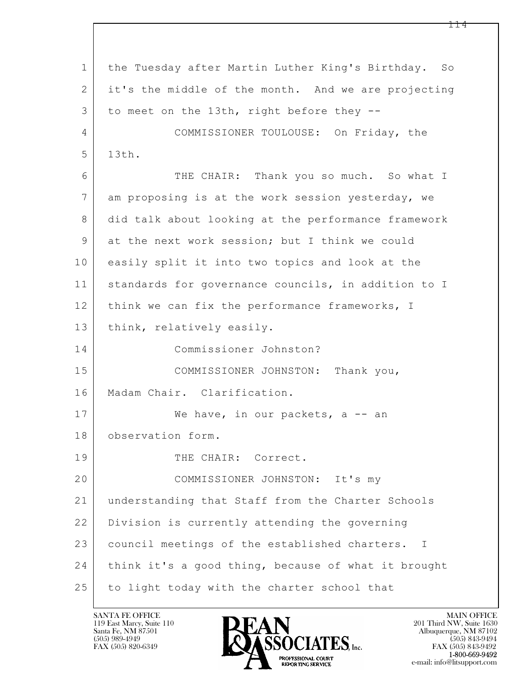$\mathbf{L}$  1 the Tuesday after Martin Luther King's Birthday. So 2 | it's the middle of the month. And we are projecting 3 to meet on the 13th, right before they --4 COMMISSIONER TOULOUSE: On Friday, the 5 13th. 6 THE CHAIR: Thank you so much. So what I 7 am proposing is at the work session yesterday, we 8 did talk about looking at the performance framework 9 at the next work session; but I think we could 10 easily split it into two topics and look at the 11 standards for governance councils, in addition to I 12 think we can fix the performance frameworks, I 13 | think, relatively easily. 14 Commissioner Johnston? 15 | COMMISSIONER JOHNSTON: Thank you, 16 Madam Chair. Clarification. 17 | We have, in our packets, a -- an 18 observation form. 19 THE CHAIR: Correct. 20 COMMISSIONER JOHNSTON: It's my 21 understanding that Staff from the Charter Schools 22 Division is currently attending the governing 23 | council meetings of the established charters. I 24 think it's a good thing, because of what it brought 25 to light today with the charter school that

119 East Marcy, Suite 110<br>Santa Fe, NM 87501



FAX (505) 843-9492 e-mail: info@litsupport.com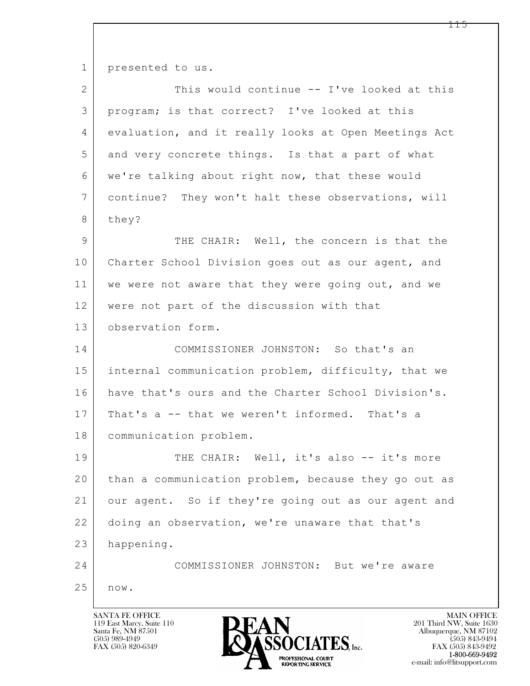1 presented to us.

| $\overline{2}$ | This would continue -- I've looked at this           |
|----------------|------------------------------------------------------|
| 3              | program; is that correct? I've looked at this        |
| 4              | evaluation, and it really looks at Open Meetings Act |
| 5              | and very concrete things. Is that a part of what     |
| 6              | we're talking about right now, that these would      |
| 7              | continue? They won't halt these observations, will   |
| 8              | they?                                                |
| 9              | THE CHAIR: Well, the concern is that the             |
| 10             | Charter School Division goes out as our agent, and   |
| 11             | we were not aware that they were going out, and we   |
| 12             | were not part of the discussion with that            |
| 13             | observation form.                                    |
| 14             | COMMISSIONER JOHNSTON: So that's an                  |
| 15             | internal communication problem, difficulty, that we  |
| 16             | have that's ours and the Charter School Division's.  |
| 17             | That's a -- that we weren't informed. That's a       |
| 18             | communication problem.                               |
| 19             | THE CHAIR: Well, it's also -- it's more              |
| 20             | than a communication problem, because they go out as |
| 21             | our agent. So if they're going out as our agent and  |
| 22             | doing an observation, we're unaware that that's      |
| 23             | happening.                                           |
| 24             | COMMISSIONER JOHNSTON: But we're aware               |
| 25             | $\texttt{now.}$                                      |
|                |                                                      |

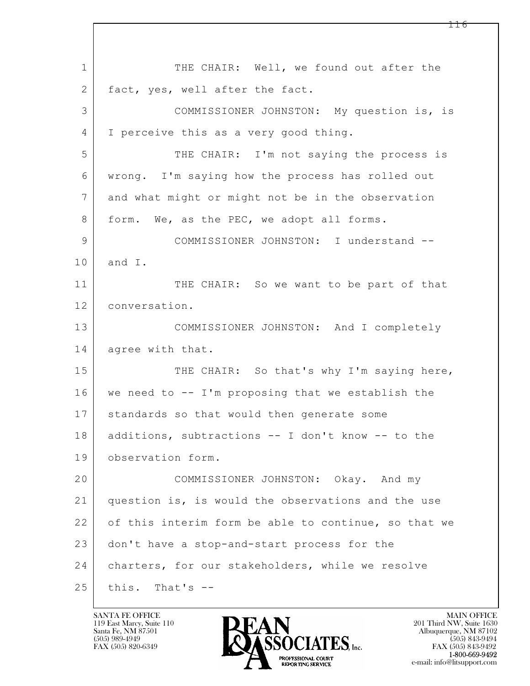$\mathbf{L}$  1 THE CHAIR: Well, we found out after the 2 fact, yes, well after the fact. 3 COMMISSIONER JOHNSTON: My question is, is 4 I perceive this as a very good thing. 5 THE CHAIR: I'm not saying the process is 6 wrong. I'm saying how the process has rolled out 7 and what might or might not be in the observation 8 form. We, as the PEC, we adopt all forms. 9 COMMISSIONER JOHNSTON: I understand -- 10 and I. 11 THE CHAIR: So we want to be part of that 12 conversation. 13 COMMISSIONER JOHNSTON: And I completely 14 agree with that. 15 THE CHAIR: So that's why I'm saying here, 16 we need to -- I'm proposing that we establish the 17 standards so that would then generate some 18 additions, subtractions -- I don't know -- to the 19 observation form. 20 COMMISSIONER JOHNSTON: Okay. And my 21 question is, is would the observations and the use 22 of this interim form be able to continue, so that we 23 don't have a stop-and-start process for the 24 | charters, for our stakeholders, while we resolve  $25$  this. That's  $-$ 

119 East Marcy, Suite 110<br>Santa Fe, NM 87501

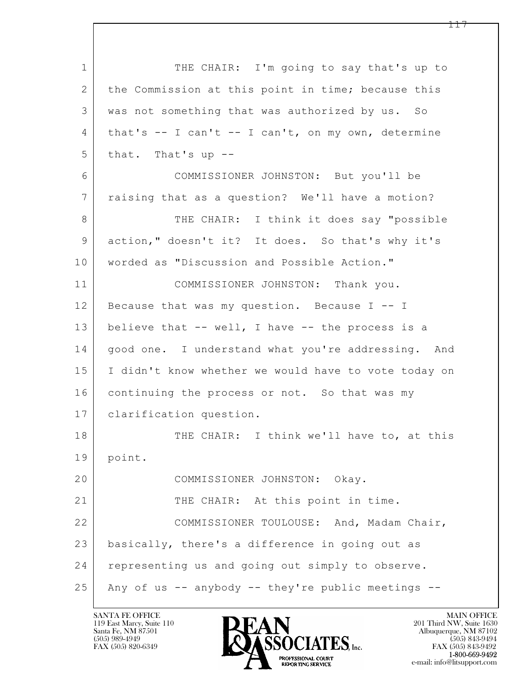$\mathbf{L}$  1 THE CHAIR: I'm going to say that's up to 2 | the Commission at this point in time; because this 3 was not something that was authorized by us. So 4 that's -- I can't -- I can't, on my own, determine  $5$  that. That's up  $-$ 6 COMMISSIONER JOHNSTON: But you'll be 7 raising that as a question? We'll have a motion? 8 THE CHAIR: I think it does say "possible 9 action," doesn't it? It does. So that's why it's 10 | worded as "Discussion and Possible Action." 11 COMMISSIONER JOHNSTON: Thank you. 12 Because that was my question. Because I -- I 13 believe that -- well, I have -- the process is a 14 | good one. I understand what you're addressing. And 15 I didn't know whether we would have to vote today on 16 continuing the process or not. So that was my 17 clarification question. 18 THE CHAIR: I think we'll have to, at this 19 point. 20 COMMISSIONER JOHNSTON: Okay. 21 THE CHAIR: At this point in time. 22 | COMMISSIONER TOULOUSE: And, Madam Chair, 23 basically, there's a difference in going out as 24 representing us and going out simply to observe. 25 Any of us -- anybody -- they're public meetings --

119 East Marcy, Suite 110<br>Santa Fe, NM 87501

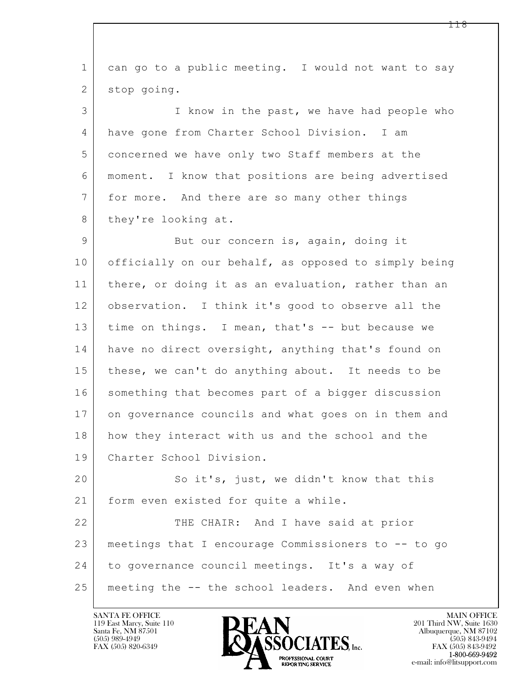| $\mathbf 1$    | can go to a public meeting. I would not want to say  |
|----------------|------------------------------------------------------|
| 2              | stop going.                                          |
| 3              | I know in the past, we have had people who           |
| 4              | have gone from Charter School Division. I am         |
| 5              | concerned we have only two Staff members at the      |
| 6              | moment. I know that positions are being advertised   |
| $7\phantom{.}$ | for more. And there are so many other things         |
| 8              | they're looking at.                                  |
| 9              | But our concern is, again, doing it                  |
| 10             | officially on our behalf, as opposed to simply being |
| 11             | there, or doing it as an evaluation, rather than an  |
| 12             | observation. I think it's good to observe all the    |
| 13             | time on things. I mean, that's -- but because we     |
| 14             | have no direct oversight, anything that's found on   |
| 15             | these, we can't do anything about. It needs to be    |
| 16             | something that becomes part of a bigger discussion   |
| 17             | on governance councils and what goes on in them and  |
| 18             | how they interact with us and the school and the     |
| 19             | Charter School Division.                             |
| 20             | So it's, just, we didn't know that this              |
| 21             | form even existed for quite a while.                 |
| 22             | THE CHAIR: And I have said at prior                  |
| 23             | meetings that I encourage Commissioners to -- to go  |
| 24             | to governance council meetings. It's a way of        |
| 25             | meeting the -- the school leaders. And even when     |

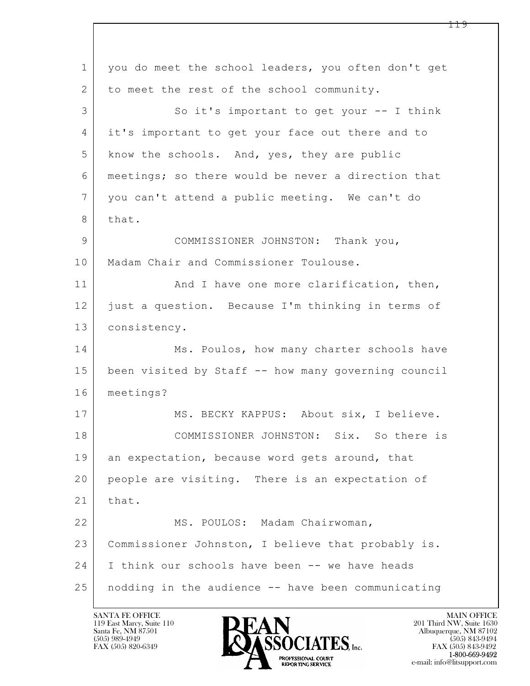$\mathbf{L}$  1 you do meet the school leaders, you often don't get 2 to meet the rest of the school community. 3 So it's important to get your -- I think 4 it's important to get your face out there and to 5 know the schools. And, yes, they are public 6 meetings; so there would be never a direction that 7 you can't attend a public meeting. We can't do 8 that. 9 COMMISSIONER JOHNSTON: Thank you, 10 | Madam Chair and Commissioner Toulouse. 11 | And I have one more clarification, then, 12 just a question. Because I'm thinking in terms of 13 consistency. 14 Ms. Poulos, how many charter schools have 15 been visited by Staff -- how many governing council 16 meetings? 17 | MS. BECKY KAPPUS: About six, I believe. 18 COMMISSIONER JOHNSTON: Six. So there is 19 an expectation, because word gets around, that 20 people are visiting. There is an expectation of 21 | that. 22 MS. POULOS: Madam Chairwoman, 23 Commissioner Johnston, I believe that probably is. 24 I think our schools have been -- we have heads 25 nodding in the audience -- have been communicating

119 East Marcy, Suite 110<br>Santa Fe, NM 87501



FAX (505) 843-9492 e-mail: info@litsupport.com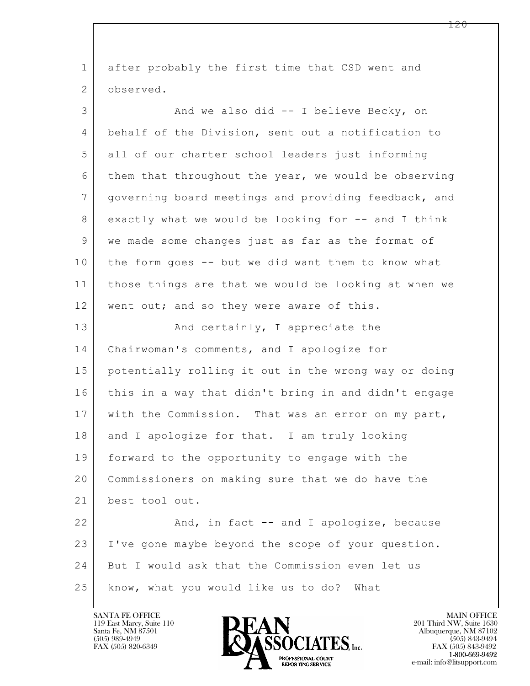| $\mathbf 1$    | after probably the first time that CSD went and      |
|----------------|------------------------------------------------------|
| $\overline{2}$ | observed.                                            |
| 3              | And we also did -- I believe Becky, on               |
| 4              | behalf of the Division, sent out a notification to   |
| 5              | all of our charter school leaders just informing     |
| 6              | them that throughout the year, we would be observing |
| 7              | governing board meetings and providing feedback, and |
| 8              | exactly what we would be looking for -- and I think  |
| 9              | we made some changes just as far as the format of    |
| 10             | the form goes -- but we did want them to know what   |
| 11             | those things are that we would be looking at when we |
| 12             | went out; and so they were aware of this.            |
| 13             | And certainly, I appreciate the                      |
| 14             | Chairwoman's comments, and I apologize for           |
| 15             | potentially rolling it out in the wrong way or doing |
| 16             | this in a way that didn't bring in and didn't engage |
| 17             | with the Commission. That was an error on my part,   |
| 18             | and I apologize for that. I am truly looking         |
| 19             | forward to the opportunity to engage with the        |
| 20             | Commissioners on making sure that we do have the     |
| 21             | best tool out.                                       |
| 22             | And, in fact -- and I apologize, because             |
| 23             | I've gone maybe beyond the scope of your question.   |
| 24             | But I would ask that the Commission even let us      |
| 25             | know, what you would like us to do?<br>What          |

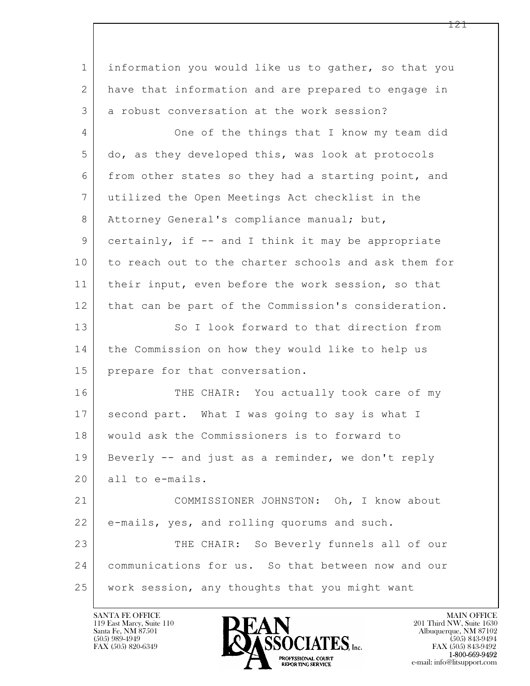$\mathbf{L}$  1 information you would like us to gather, so that you 2 have that information and are prepared to engage in 3 a robust conversation at the work session? 4 One of the things that I know my team did 5 do, as they developed this, was look at protocols 6 from other states so they had a starting point, and 7 utilized the Open Meetings Act checklist in the 8 Attorney General's compliance manual; but, 9 certainly, if -- and I think it may be appropriate 10 to reach out to the charter schools and ask them for 11 | their input, even before the work session, so that 12 | that can be part of the Commission's consideration. 13 So I look forward to that direction from 14 the Commission on how they would like to help us 15 prepare for that conversation. 16 THE CHAIR: You actually took care of my 17 second part. What I was going to say is what I 18 would ask the Commissioners is to forward to 19 Beverly -- and just as a reminder, we don't reply 20 all to e-mails. 21 COMMISSIONER JOHNSTON: Oh, I know about 22 e-mails, yes, and rolling quorums and such. 23 THE CHAIR: So Beverly funnels all of our 24 communications for us. So that between now and our 25 work session, any thoughts that you might want

119 East Marcy, Suite 110<br>Santa Fe, NM 87501

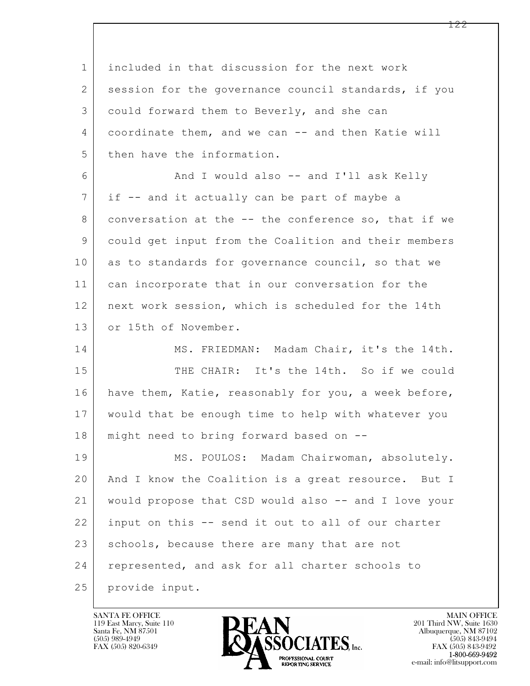$\mathbf{L}$  1 included in that discussion for the next work 2 session for the governance council standards, if you 3 could forward them to Beverly, and she can 4 coordinate them, and we can -- and then Katie will 5 then have the information. 6 And I would also -- and I'll ask Kelly 7 if -- and it actually can be part of maybe a 8 conversation at the -- the conference so, that if we 9 could get input from the Coalition and their members 10 as to standards for governance council, so that we 11 can incorporate that in our conversation for the 12 next work session, which is scheduled for the 14th 13 or 15th of November. 14 MS. FRIEDMAN: Madam Chair, it's the 14th. 15 THE CHAIR: It's the 14th. So if we could 16 have them, Katie, reasonably for you, a week before, 17 would that be enough time to help with whatever you 18 might need to bring forward based on -- 19 | MS. POULOS: Madam Chairwoman, absolutely. 20 And I know the Coalition is a great resource. But I 21 would propose that CSD would also -- and I love your 22 input on this -- send it out to all of our charter 23 schools, because there are many that are not 24 represented, and ask for all charter schools to 25 provide input.

119 East Marcy, Suite 110<br>Santa Fe, NM 87501

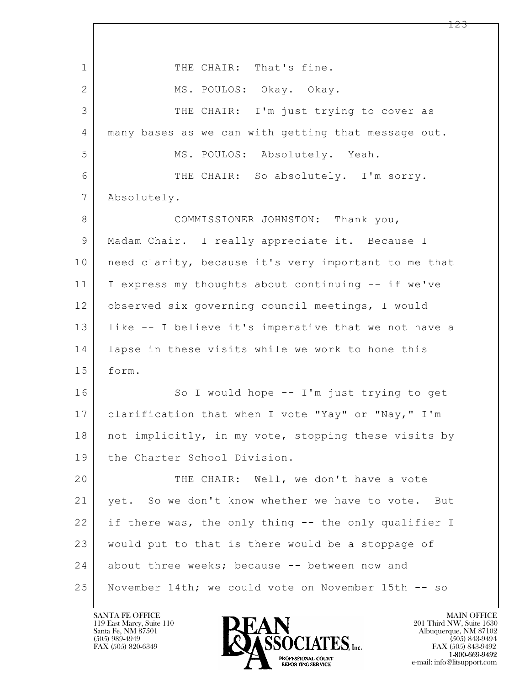$\mathbf{L}$  1 THE CHAIR: That's fine. 2 MS. POULOS: Okay. Okay. 3 THE CHAIR: I'm just trying to cover as 4 many bases as we can with getting that message out. 5 MS. POULOS: Absolutely. Yeah. 6 THE CHAIR: So absolutely. I'm sorry. 7 Absolutely. 8 COMMISSIONER JOHNSTON: Thank you, 9 Madam Chair. I really appreciate it. Because I 10 | need clarity, because it's very important to me that 11 I express my thoughts about continuing -- if we've 12 observed six governing council meetings, I would 13 like -- I believe it's imperative that we not have a 14 lapse in these visits while we work to hone this 15 form. 16 So I would hope -- I'm just trying to get 17 | clarification that when I vote "Yay" or "Nay," I'm 18 | not implicitly, in my vote, stopping these visits by 19 the Charter School Division. 20 THE CHAIR: Well, we don't have a vote 21 yet. So we don't know whether we have to vote. But 22 if there was, the only thing -- the only qualifier I 23 would put to that is there would be a stoppage of 24 about three weeks; because -- between now and 25 November 14th; we could vote on November 15th -- so

119 East Marcy, Suite 110<br>Santa Fe, NM 87501

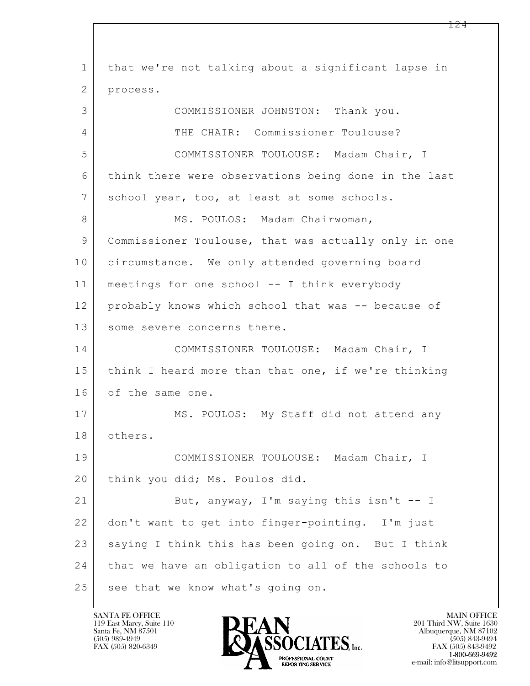$\mathbf{L}$  1 that we're not talking about a significant lapse in 2 process. 3 COMMISSIONER JOHNSTON: Thank you. 4 THE CHAIR: Commissioner Toulouse? 5 COMMISSIONER TOULOUSE: Madam Chair, I 6 think there were observations being done in the last 7 | school year, too, at least at some schools. 8 | MS. POULOS: Madam Chairwoman, 9 Commissioner Toulouse, that was actually only in one 10 circumstance. We only attended governing board 11 meetings for one school -- I think everybody 12 probably knows which school that was -- because of 13 some severe concerns there. 14 COMMISSIONER TOULOUSE: Madam Chair, I 15 think I heard more than that one, if we're thinking 16 of the same one. 17 | MS. POULOS: My Staff did not attend any 18 others. 19 COMMISSIONER TOULOUSE: Madam Chair, I 20 | think you did; Ms. Poulos did. 21 But, anyway, I'm saying this isn't -- I 22 don't want to get into finger-pointing. I'm just 23 saying I think this has been going on. But I think 24 that we have an obligation to all of the schools to 25 see that we know what's going on.

119 East Marcy, Suite 110<br>Santa Fe, NM 87501

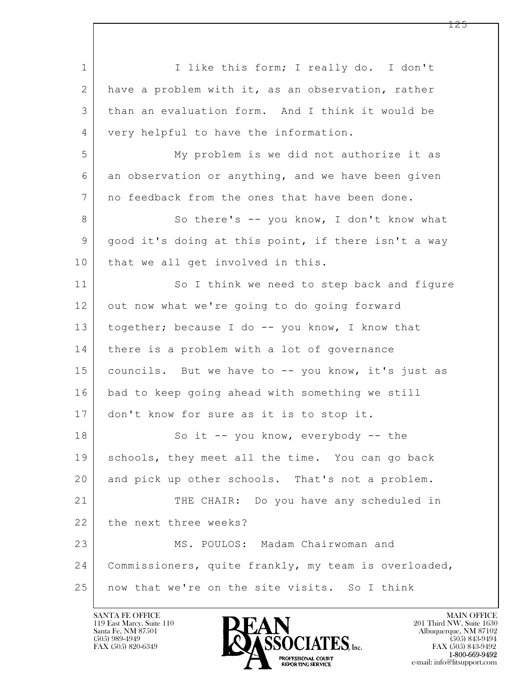$\mathbf{L}$  1 | I like this form; I really do. I don't 2 have a problem with it, as an observation, rather 3 than an evaluation form. And I think it would be 4 very helpful to have the information. 5 My problem is we did not authorize it as 6 an observation or anything, and we have been given 7 no feedback from the ones that have been done. 8 | So there's -- you know, I don't know what 9 good it's doing at this point, if there isn't a way 10 | that we all get involved in this. 11 So I think we need to step back and figure 12 out now what we're going to do going forward 13 | together; because I do -- you know, I know that 14 | there is a problem with a lot of governance 15 | councils. But we have to -- you know, it's just as 16 bad to keep going ahead with something we still 17 don't know for sure as it is to stop it. 18 So it -- you know, everybody -- the 19 schools, they meet all the time. You can go back 20 and pick up other schools. That's not a problem. 21 THE CHAIR: Do you have any scheduled in 22 the next three weeks? 23 MS. POULOS: Madam Chairwoman and 24 Commissioners, quite frankly, my team is overloaded, 25 now that we're on the site visits. So I think

119 East Marcy, Suite 110<br>Santa Fe, NM 87501

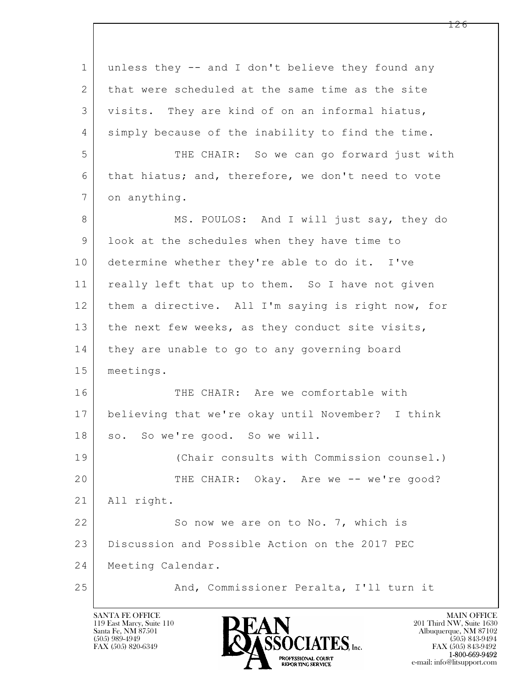$\mathbf{L}$  1 unless they -- and I don't believe they found any 2 that were scheduled at the same time as the site 3 visits. They are kind of on an informal hiatus, 4 simply because of the inability to find the time. 5 THE CHAIR: So we can go forward just with 6 that hiatus; and, therefore, we don't need to vote 7 on anything. 8 MS. POULOS: And I will just say, they do 9 look at the schedules when they have time to 10 determine whether they're able to do it. I've 11 | really left that up to them. So I have not given 12 them a directive. All I'm saying is right now, for 13 | the next few weeks, as they conduct site visits, 14 they are unable to go to any governing board 15 meetings. 16 THE CHAIR: Are we comfortable with 17 believing that we're okay until November? I think 18 so. So we're good. So we will. 19 (Chair consults with Commission counsel.) 20 THE CHAIR: Okay. Are we -- we're good? 21 All right. 22 So now we are on to No. 7, which is 23 Discussion and Possible Action on the 2017 PEC 24 Meeting Calendar. 25 And, Commissioner Peralta, I'll turn it

119 East Marcy, Suite 110<br>Santa Fe, NM 87501



FAX (505) 843-9492 e-mail: info@litsupport.com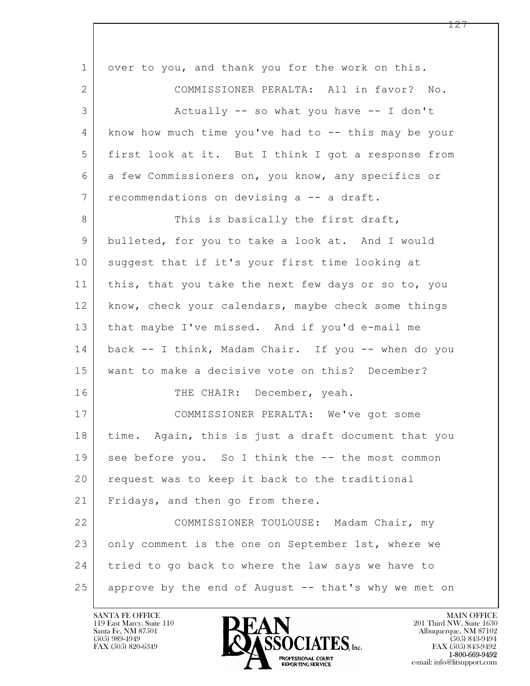| $\mathbf 1$    | over to you, and thank you for the work on this.     |
|----------------|------------------------------------------------------|
| $\mathbf{2}$   | COMMISSIONER PERALTA: All in favor? No.              |
| 3              | Actually $--$ so what you have $--$ I don't          |
| 4              | know how much time you've had to -- this may be your |
| 5              | first look at it. But I think I got a response from  |
| 6              | a few Commissioners on, you know, any specifics or   |
| $7\phantom{.}$ | recommendations on devising a -- a draft.            |
| 8              | This is basically the first draft,                   |
| 9              | bulleted, for you to take a look at. And I would     |
| 10             | suggest that if it's your first time looking at      |
| 11             | this, that you take the next few days or so to, you  |
| 12             | know, check your calendars, maybe check some things  |
| 13             | that maybe I've missed. And if you'd e-mail me       |
| 14             | back -- I think, Madam Chair. If you -- when do you  |
| 15             | want to make a decisive vote on this? December?      |
| 16             | THE CHAIR: December, yeah.                           |
| 17             | COMMISSIONER PERALTA: We've got some                 |
| 18             | time. Again, this is just a draft document that you  |
| 19             | see before you. So I think the -- the most common    |
| 20             | request was to keep it back to the traditional       |
| 21             | Fridays, and then go from there.                     |
| 22             | COMMISSIONER TOULOUSE: Madam Chair, my               |
| 23             | only comment is the one on September 1st, where we   |
| 24             | tried to go back to where the law says we have to    |
| 25             | approve by the end of August -- that's why we met on |

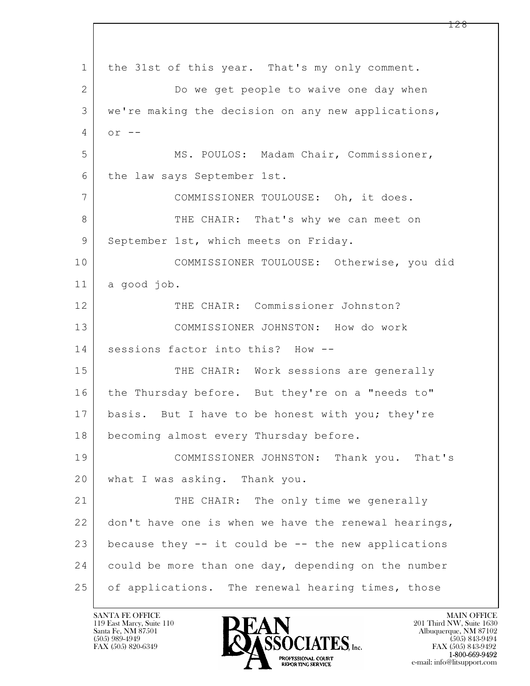$\mathbf{L}$  1 the 31st of this year. That's my only comment. 2 Do we get people to waive one day when 3 we're making the decision on any new applications,  $4 \vert$  or  $-$ 5 MS. POULOS: Madam Chair, Commissioner, 6 the law says September 1st. 7 COMMISSIONER TOULOUSE: Oh, it does. 8 THE CHAIR: That's why we can meet on 9 September 1st, which meets on Friday. 10 COMMISSIONER TOULOUSE: Otherwise, you did 11 a good job. 12 | THE CHAIR: Commissioner Johnston? 13 COMMISSIONER JOHNSTON: How do work 14 sessions factor into this? How -- 15 THE CHAIR: Work sessions are generally 16 | the Thursday before. But they're on a "needs to" 17 basis. But I have to be honest with you; they're 18 | becoming almost every Thursday before. 19 COMMISSIONER JOHNSTON: Thank you. That's 20 | what I was asking. Thank you. 21 THE CHAIR: The only time we generally 22 don't have one is when we have the renewal hearings, 23 because they  $-$  it could be  $-$  the new applications 24 could be more than one day, depending on the number 25 | of applications. The renewal hearing times, those

119 East Marcy, Suite 110<br>Santa Fe, NM 87501



FAX (505) 843-9492 e-mail: info@litsupport.com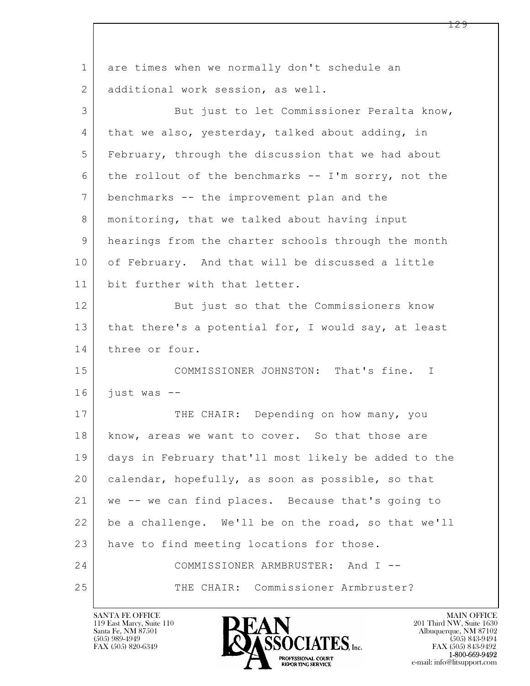| $\mathbf 1$ | are times when we normally don't schedule an         |
|-------------|------------------------------------------------------|
| 2           | additional work session, as well.                    |
| 3           | But just to let Commissioner Peralta know,           |
| 4           | that we also, yesterday, talked about adding, in     |
| 5           | February, through the discussion that we had about   |
| 6           | the rollout of the benchmarks -- I'm sorry, not the  |
| 7           | benchmarks -- the improvement plan and the           |
| 8           | monitoring, that we talked about having input        |
| 9           | hearings from the charter schools through the month  |
| 10          | of February. And that will be discussed a little     |
| 11          | bit further with that letter.                        |
| 12          | But just so that the Commissioners know              |
| 13          | that there's a potential for, I would say, at least  |
| 14          | three or four.                                       |
| 15          | COMMISSIONER JOHNSTON: That's fine. I                |
| 16          | just was $-$                                         |
| 17          | THE CHAIR: Depending on how many, you                |
| 18          | know, areas we want to cover. So that those are      |
| 19          | days in February that'll most likely be added to the |
| 20          | calendar, hopefully, as soon as possible, so that    |
| 21          | we -- we can find places. Because that's going to    |
| 22          | be a challenge. We'll be on the road, so that we'll  |
| 23          | have to find meeting locations for those.            |
| 24          | COMMISSIONER ARMBRUSTER: And I --                    |
| 25          | THE CHAIR: Commissioner Armbruster?                  |

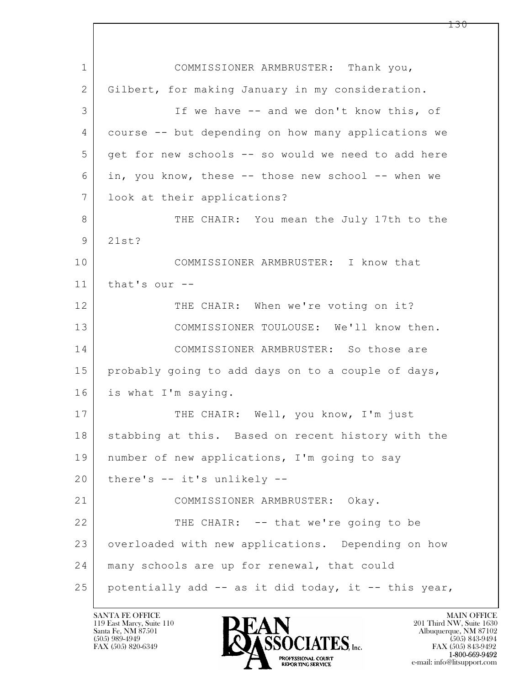$\mathbf{L}$  1 COMMISSIONER ARMBRUSTER: Thank you, 2 Gilbert, for making January in my consideration. 3 If we have -- and we don't know this, of 4 course -- but depending on how many applications we 5 get for new schools -- so would we need to add here 6 in, you know, these -- those new school -- when we 7 look at their applications? 8 THE CHAIR: You mean the July 17th to the 9 21st? 10 COMMISSIONER ARMBRUSTER: I know that 11 that's our -- 12 THE CHAIR: When we're voting on it? 13 COMMISSIONER TOULOUSE: We'll know then. 14 COMMISSIONER ARMBRUSTER: So those are 15 probably going to add days on to a couple of days, 16 is what I'm saying. 17 | THE CHAIR: Well, you know, I'm just 18 | stabbing at this. Based on recent history with the 19 number of new applications, I'm going to say 20 there's -- it's unlikely -- 21 COMMISSIONER ARMBRUSTER: Okay. 22 THE CHAIR: -- that we're going to be 23 overloaded with new applications. Depending on how 24 | many schools are up for renewal, that could 25 potentially add  $-$  as it did today, it  $-$  this year,

119 East Marcy, Suite 110<br>Santa Fe, NM 87501

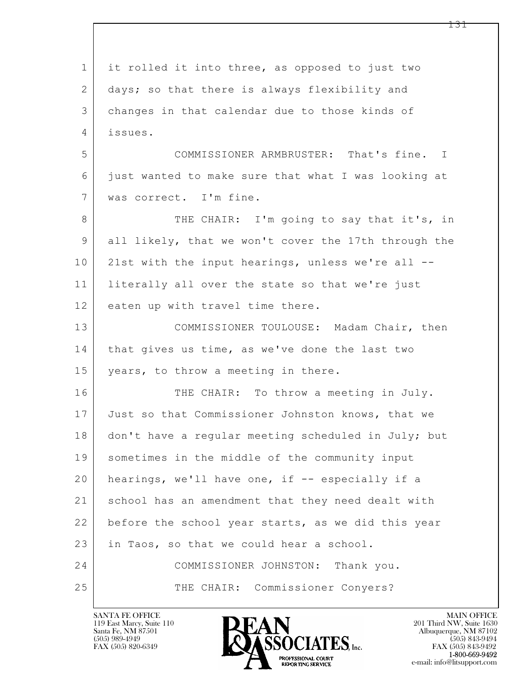$\mathbf{L}$  1 it rolled it into three, as opposed to just two 2 days; so that there is always flexibility and 3 changes in that calendar due to those kinds of 4 issues. 5 COMMISSIONER ARMBRUSTER: That's fine. I 6 just wanted to make sure that what I was looking at 7 was correct. I'm fine. 8 THE CHAIR: I'm going to say that it's, in 9 all likely, that we won't cover the 17th through the 10 21st with the input hearings, unless we're all --11 literally all over the state so that we're just 12 eaten up with travel time there. 13 | COMMISSIONER TOULOUSE: Madam Chair, then 14 that gives us time, as we've done the last two 15 years, to throw a meeting in there. 16 THE CHAIR: To throw a meeting in July. 17 Just so that Commissioner Johnston knows, that we 18 don't have a regular meeting scheduled in July; but 19 sometimes in the middle of the community input 20 | hearings, we'll have one, if -- especially if a 21 school has an amendment that they need dealt with 22 before the school year starts, as we did this year 23 in Taos, so that we could hear a school. 24 COMMISSIONER JOHNSTON: Thank you. 25 THE CHAIR: Commissioner Conyers?

119 East Marcy, Suite 110<br>Santa Fe, NM 87501



FAX (505) 843-9492 e-mail: info@litsupport.com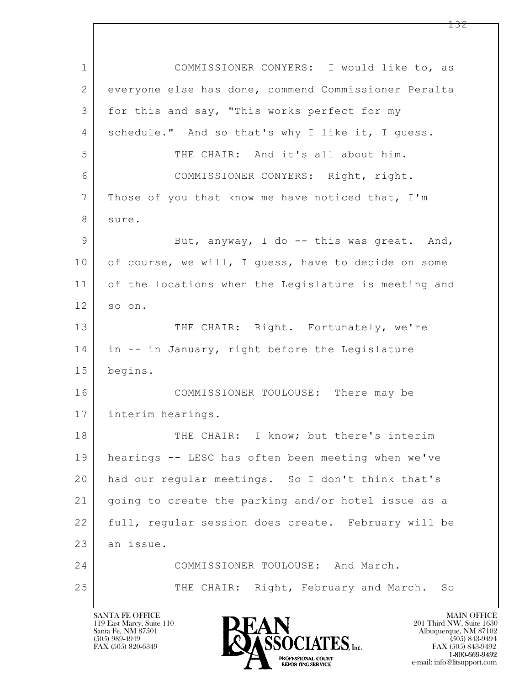$\mathbf{L}$  1 COMMISSIONER CONYERS: I would like to, as 2 everyone else has done, commend Commissioner Peralta 3 | for this and say, "This works perfect for my 4 schedule." And so that's why I like it, I guess. 5 THE CHAIR: And it's all about him. 6 COMMISSIONER CONYERS: Right, right. 7 Those of you that know me have noticed that, I'm 8 sure. 9 But, anyway, I do -- this was great. And, 10 of course, we will, I quess, have to decide on some 11 of the locations when the Legislature is meeting and 12 so on. 13 THE CHAIR: Right. Fortunately, we're 14 in -- in January, right before the Legislature 15 begins. 16 COMMISSIONER TOULOUSE: There may be 17 interim hearings. 18 THE CHAIR: I know; but there's interim 19 hearings -- LESC has often been meeting when we've 20 had our regular meetings. So I don't think that's 21 going to create the parking and/or hotel issue as a 22 full, regular session does create. February will be 23 an issue. 24 COMMISSIONER TOULOUSE: And March. 25 THE CHAIR: Right, February and March. So

119 East Marcy, Suite 110<br>Santa Fe, NM 87501

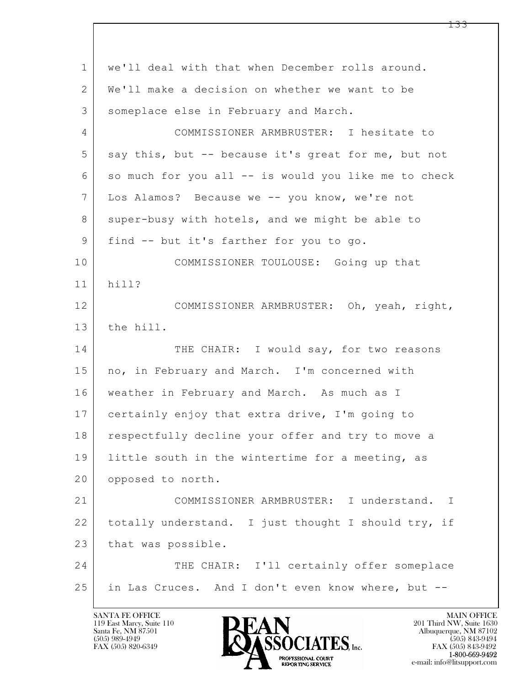| $\mathbf 1$    | we'll deal with that when December rolls around.     |
|----------------|------------------------------------------------------|
| 2              | We'll make a decision on whether we want to be       |
| 3              | someplace else in February and March.                |
| $\overline{4}$ | COMMISSIONER ARMBRUSTER: I hesitate to               |
| 5              | say this, but -- because it's great for me, but not  |
| 6              | so much for you all -- is would you like me to check |
| 7              | Los Alamos? Because we -- you know, we're not        |
| 8              | super-busy with hotels, and we might be able to      |
| 9              | find -- but it's farther for you to go.              |
| 10             | COMMISSIONER TOULOUSE: Going up that                 |
| 11             | hill?                                                |
| 12             | COMMISSIONER ARMBRUSTER: Oh, yeah, right,            |
| 13             | the hill.                                            |
| 14             | THE CHAIR: I would say, for two reasons              |
| 15             | no, in February and March. I'm concerned with        |
| 16             | weather in February and March. As much as I          |
| 17             | certainly enjoy that extra drive, I'm going to       |
| 18             | respectfully decline your offer and try to move a    |
| 19             | little south in the wintertime for a meeting, as     |
| 20             | opposed to north.                                    |
| 21             | COMMISSIONER ARMBRUSTER: I understand. I             |
| 22             | totally understand. I just thought I should try, if  |
| 23             | that was possible.                                   |
| 24             | THE CHAIR: I'll certainly offer someplace            |
| 25             | in Las Cruces. And I don't even know where, but --   |
|                |                                                      |

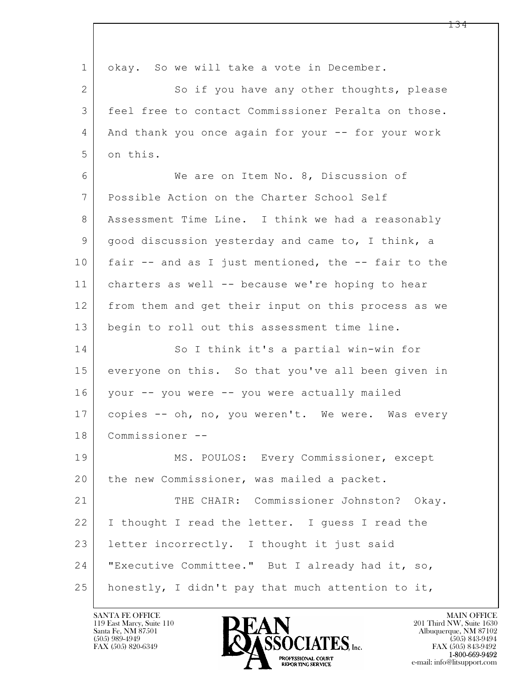$\mathbf{L}$  1 okay. So we will take a vote in December. 2 So if you have any other thoughts, please 3 feel free to contact Commissioner Peralta on those. 4 And thank you once again for your -- for your work 5 on this. 6 We are on Item No. 8, Discussion of 7 Possible Action on the Charter School Self 8 Assessment Time Line. I think we had a reasonably 9 good discussion yesterday and came to, I think, a 10 fair -- and as I just mentioned, the -- fair to the 11 charters as well -- because we're hoping to hear 12 from them and get their input on this process as we 13 begin to roll out this assessment time line. 14 So I think it's a partial win-win for 15 everyone on this. So that you've all been given in 16 your -- you were -- you were actually mailed 17 | copies -- oh, no, you weren't. We were. Was every 18 Commissioner -- 19 | MS. POULOS: Every Commissioner, except 20 the new Commissioner, was mailed a packet. 21 THE CHAIR: Commissioner Johnston? Okay. 22 I thought I read the letter. I guess I read the 23 | letter incorrectly. I thought it just said 24 "Executive Committee." But I already had it, so, 25 honestly, I didn't pay that much attention to it,

119 East Marcy, Suite 110<br>Santa Fe, NM 87501



FAX (505) 843-9492 e-mail: info@litsupport.com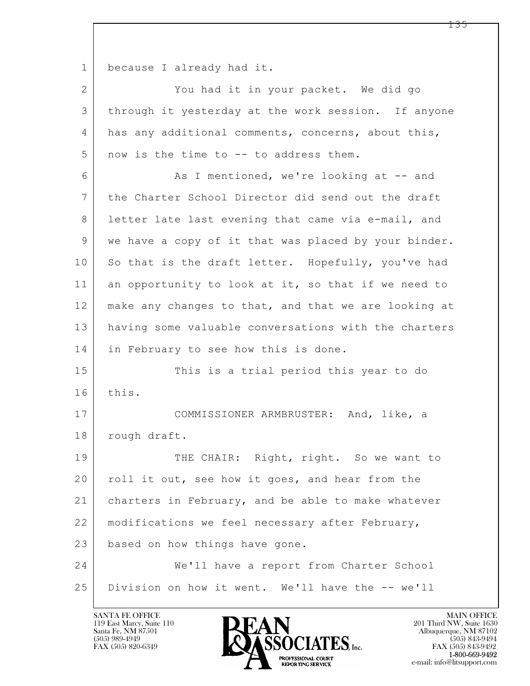1 because I already had it.

 $\mathbf{L}$  2 You had it in your packet. We did go 3 through it yesterday at the work session. If anyone 4 has any additional comments, concerns, about this,  $5$  now is the time to  $-$  to address them. 6 As I mentioned, we're looking at -- and 7 the Charter School Director did send out the draft 8 letter late last evening that came via e-mail, and 9 we have a copy of it that was placed by your binder. 10 So that is the draft letter. Hopefully, you've had 11 | an opportunity to look at it, so that if we need to 12 make any changes to that, and that we are looking at 13 having some valuable conversations with the charters 14 in February to see how this is done. 15 This is a trial period this year to do 16 this. 17 COMMISSIONER ARMBRUSTER: And, like, a 18 | rough draft. 19 THE CHAIR: Right, right. So we want to 20 roll it out, see how it goes, and hear from the 21 charters in February, and be able to make whatever 22 modifications we feel necessary after February, 23 based on how things have gone. 24 We'll have a report from Charter School 25 Division on how it went. We'll have the -- we'll

119 East Marcy, Suite 110<br>Santa Fe, NM 87501



FAX (505) 843-9492 e-mail: info@litsupport.com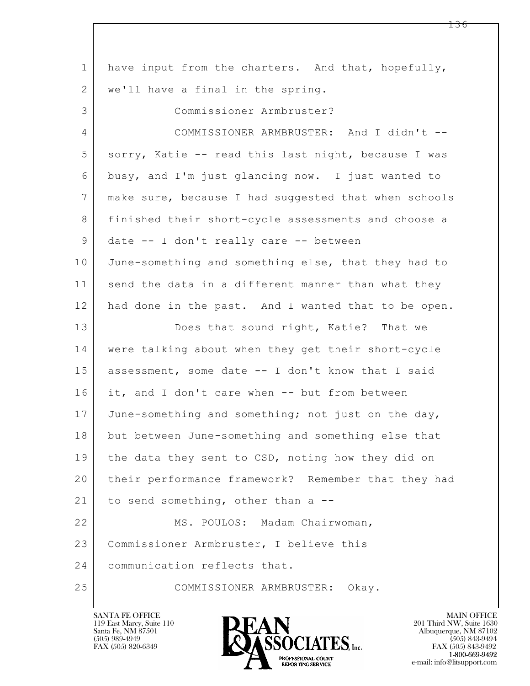| $\mathbf{1}$ | have input from the charters. And that, hopefully,   |
|--------------|------------------------------------------------------|
| 2            | we'll have a final in the spring.                    |
| 3            | Commissioner Armbruster?                             |
| 4            | COMMISSIONER ARMBRUSTER: And I didn't --             |
| 5            | sorry, Katie -- read this last night, because I was  |
| 6            | busy, and I'm just glancing now. I just wanted to    |
| 7            | make sure, because I had suggested that when schools |
| 8            | finished their short-cycle assessments and choose a  |
| $\mathsf 9$  | date -- I don't really care -- between               |
| 10           | June-something and something else, that they had to  |
| 11           | send the data in a different manner than what they   |
| 12           | had done in the past. And I wanted that to be open.  |
| 13           | Does that sound right, Katie? That we                |
| 14           | were talking about when they get their short-cycle   |
| 15           | assessment, some date -- I don't know that I said    |
| 16           | it, and I don't care when -- but from between        |
| 17           | June-something and something; not just on the day,   |
| 18           | but between June-something and something else that   |
| 19           | the data they sent to CSD, noting how they did on    |
| 20           | their performance framework? Remember that they had  |
| 21           | to send something, other than a --                   |
| 22           | MS. POULOS: Madam Chairwoman,                        |
| 23           | Commissioner Armbruster, I believe this              |
| 24           | communication reflects that.                         |
| 25           | COMMISSIONER ARMBRUSTER:<br>Okay.                    |

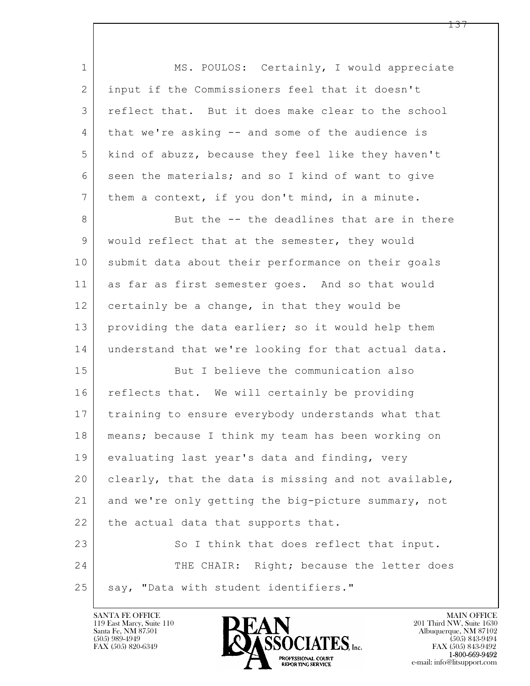| $\mathbf 1$    | MS. POULOS: Certainly, I would appreciate            |
|----------------|------------------------------------------------------|
| $\overline{2}$ | input if the Commissioners feel that it doesn't      |
| 3              | reflect that. But it does make clear to the school   |
| 4              | that we're asking -- and some of the audience is     |
| 5              | kind of abuzz, because they feel like they haven't   |
| 6              | seen the materials; and so I kind of want to give    |
| $\overline{7}$ | them a context, if you don't mind, in a minute.      |
| 8              | But the -- the deadlines that are in there           |
| 9              | would reflect that at the semester, they would       |
| 10             | submit data about their performance on their goals   |
| 11             | as far as first semester goes. And so that would     |
| 12             | certainly be a change, in that they would be         |
| 13             | providing the data earlier; so it would help them    |
| 14             | understand that we're looking for that actual data.  |
| 15             | But I believe the communication also                 |
| 16             | reflects that. We will certainly be providing        |
| 17             | training to ensure everybody understands what that   |
| 18             | means; because I think my team has been working on   |
| 19             | evaluating last year's data and finding, very        |
| 20             | clearly, that the data is missing and not available, |
| 21             | and we're only getting the big-picture summary, not  |
| 22             | the actual data that supports that.                  |
| 23             | So I think that does reflect that input.             |
| 24             | THE CHAIR: Right; because the letter does            |
| 25             | say, "Data with student identifiers."                |

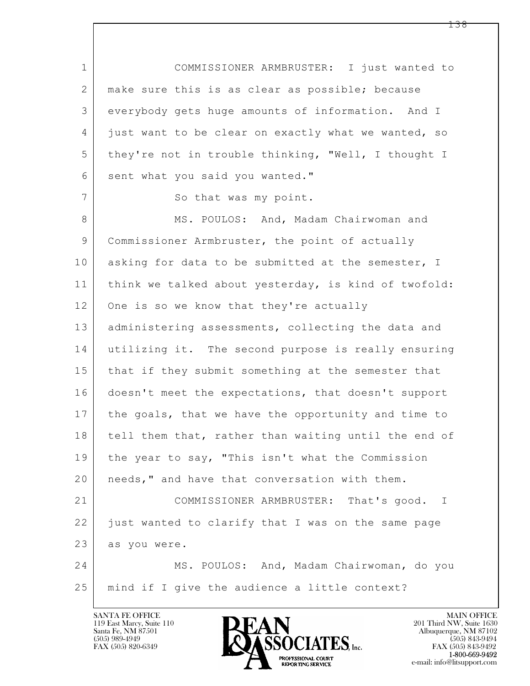$\mathbf{L}$  1 COMMISSIONER ARMBRUSTER: I just wanted to 2 | make sure this is as clear as possible; because 3 everybody gets huge amounts of information. And I 4 just want to be clear on exactly what we wanted, so 5 they're not in trouble thinking, "Well, I thought I 6 sent what you said you wanted." 7 So that was my point. 8 MS. POULOS: And, Madam Chairwoman and 9 Commissioner Armbruster, the point of actually 10 asking for data to be submitted at the semester, I 11 | think we talked about yesterday, is kind of twofold: 12 One is so we know that they're actually 13 | administering assessments, collecting the data and 14 utilizing it. The second purpose is really ensuring 15 | that if they submit something at the semester that 16 doesn't meet the expectations, that doesn't support 17 the goals, that we have the opportunity and time to 18 tell them that, rather than waiting until the end of 19 the year to say, "This isn't what the Commission 20 | needs," and have that conversation with them. 21 COMMISSIONER ARMBRUSTER: That's good. I 22 just wanted to clarify that I was on the same page 23 as you were. 24 MS. POULOS: And, Madam Chairwoman, do you 25 mind if I give the audience a little context?

119 East Marcy, Suite 110<br>Santa Fe, NM 87501

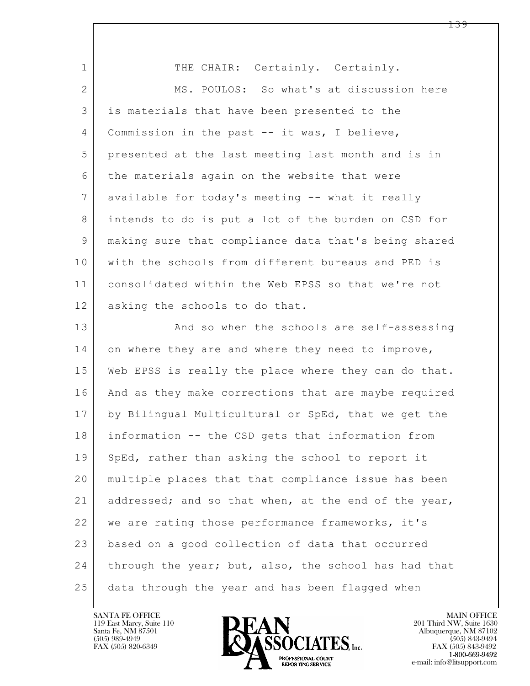| $\mathbf{1}$ | THE CHAIR: Certainly. Certainly.                     |
|--------------|------------------------------------------------------|
| $\mathbf{2}$ | MS. POULOS: So what's at discussion here             |
| 3            | is materials that have been presented to the         |
| 4            | Commission in the past -- it was, I believe,         |
| 5            | presented at the last meeting last month and is in   |
| 6            | the materials again on the website that were         |
| 7            | available for today's meeting -- what it really      |
| 8            | intends to do is put a lot of the burden on CSD for  |
| 9            | making sure that compliance data that's being shared |
| 10           | with the schools from different bureaus and PED is   |
| 11           | consolidated within the Web EPSS so that we're not   |
| 12           | asking the schools to do that.                       |
| 13           | And so when the schools are self-assessing           |
| 14           | on where they are and where they need to improve,    |
| 15           | Web EPSS is really the place where they can do that. |
| 16           | And as they make corrections that are maybe required |
| 17           | by Bilingual Multicultural or SpEd, that we get the  |
| 18           | information -- the CSD gets that information from    |
| 19           | SpEd, rather than asking the school to report it     |
| 20           | multiple places that that compliance issue has been  |
| 21           | addressed; and so that when, at the end of the year, |
| 22           | we are rating those performance frameworks, it's     |
| 23           | based on a good collection of data that occurred     |
| 24           | through the year; but, also, the school has had that |
| 25           | data through the year and has been flagged when      |

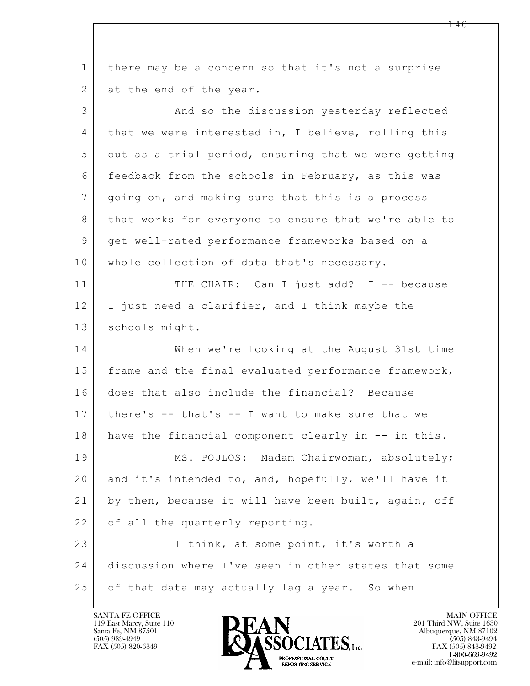$\mathbf{L}$  1 there may be a concern so that it's not a surprise 2 at the end of the year. 3 And so the discussion yesterday reflected 4 that we were interested in, I believe, rolling this  $5$  out as a trial period, ensuring that we were getting 6 feedback from the schools in February, as this was 7 going on, and making sure that this is a process 8 that works for everyone to ensure that we're able to 9 get well-rated performance frameworks based on a 10 whole collection of data that's necessary. 11 THE CHAIR: Can I just add? I -- because 12 I just need a clarifier, and I think maybe the 13 schools might. 14 When we're looking at the August 31st time 15 | frame and the final evaluated performance framework, 16 does that also include the financial? Because 17 there's -- that's -- I want to make sure that we 18 have the financial component clearly in -- in this. 19 | MS. POULOS: Madam Chairwoman, absolutely; 20 and it's intended to, and, hopefully, we'll have it 21 by then, because it will have been built, again, off 22 of all the quarterly reporting. 23 I think, at some point, it's worth a 24 discussion where I've seen in other states that some 25 of that data may actually lag a year. So when

119 East Marcy, Suite 110<br>Santa Fe, NM 87501

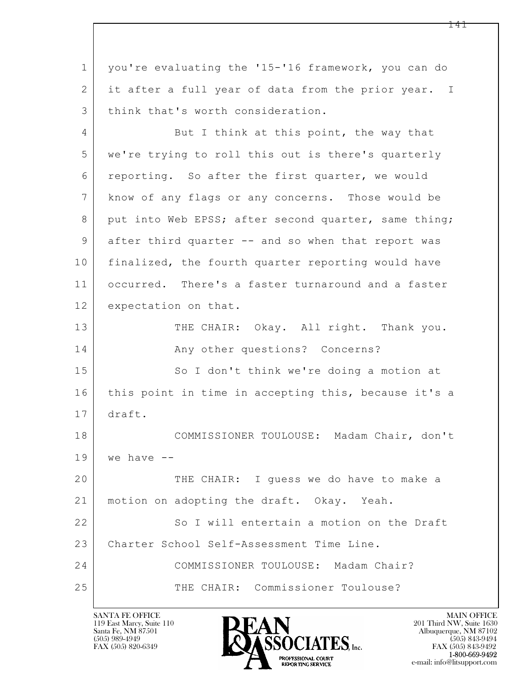$\mathbf{L}$  1 you're evaluating the '15-'16 framework, you can do 2 it after a full year of data from the prior year. I 3 think that's worth consideration. 4 But I think at this point, the way that 5 we're trying to roll this out is there's quarterly 6 reporting. So after the first quarter, we would 7 know of any flags or any concerns. Those would be 8 put into Web EPSS; after second quarter, same thing; 9 after third quarter -- and so when that report was 10 finalized, the fourth quarter reporting would have 11 occurred. There's a faster turnaround and a faster 12 expectation on that. 13 THE CHAIR: Okay. All right. Thank you. 14 Any other questions? Concerns? 15 | So I don't think we're doing a motion at 16 | this point in time in accepting this, because it's a 17 draft. 18 COMMISSIONER TOULOUSE: Madam Chair, don't  $19$  we have  $-$ 20 THE CHAIR: I guess we do have to make a 21 | motion on adopting the draft. Okay. Yeah. 22 So I will entertain a motion on the Draft 23 | Charter School Self-Assessment Time Line. 24 COMMISSIONER TOULOUSE: Madam Chair? 25 THE CHAIR: Commissioner Toulouse?

119 East Marcy, Suite 110<br>Santa Fe, NM 87501

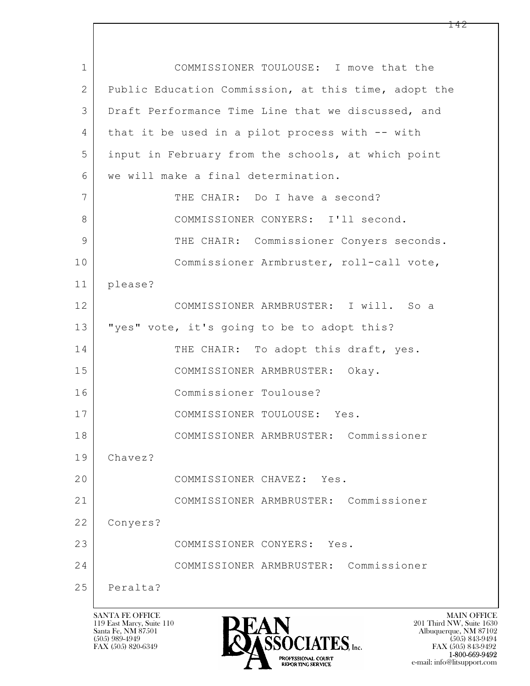| 1  | COMMISSIONER TOULOUSE: I move that the               |
|----|------------------------------------------------------|
| 2  | Public Education Commission, at this time, adopt the |
| 3  | Draft Performance Time Line that we discussed, and   |
| 4  | that it be used in a pilot process with -- with      |
| 5  | input in February from the schools, at which point   |
| 6  | we will make a final determination.                  |
| 7  | THE CHAIR: Do I have a second?                       |
| 8  | COMMISSIONER CONYERS: I'll second.                   |
| 9  | THE CHAIR: Commissioner Conyers seconds.             |
| 10 | Commissioner Armbruster, roll-call vote,             |
| 11 | please?                                              |
| 12 | COMMISSIONER ARMBRUSTER: I will. So a                |
| 13 | "yes" vote, it's going to be to adopt this?          |
| 14 | THE CHAIR: To adopt this draft, yes.                 |
| 15 | COMMISSIONER ARMBRUSTER: Okay.                       |
| 16 | Commissioner Toulouse?                               |
| 17 | COMMISSIONER TOULOUSE: Yes.                          |
| 18 | COMMISSIONER ARMBRUSTER: Commissioner                |
| 19 | Chavez?                                              |
| 20 | COMMISSIONER CHAVEZ: Yes.                            |
| 21 | COMMISSIONER ARMBRUSTER: Commissioner                |
| 22 | Conyers?                                             |
| 23 | COMMISSIONER CONYERS: Yes.                           |
| 24 | COMMISSIONER ARMBRUSTER: Commissioner                |
| 25 | Peralta?                                             |

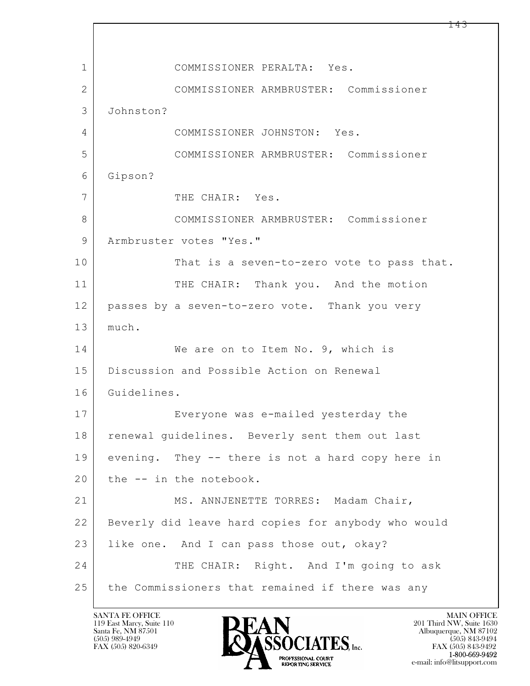$\mathbf{L}$  1 COMMISSIONER PERALTA: Yes. 2 COMMISSIONER ARMBRUSTER: Commissioner 3 Johnston? 4 COMMISSIONER JOHNSTON: Yes. 5 COMMISSIONER ARMBRUSTER: Commissioner 6 Gipson? 7 THE CHAIR: Yes. 8 COMMISSIONER ARMBRUSTER: Commissioner 9 | Armbruster votes "Yes." 10 That is a seven-to-zero vote to pass that. 11 THE CHAIR: Thank you. And the motion 12 passes by a seven-to-zero vote. Thank you very 13 much. 14 We are on to Item No. 9, which is 15 | Discussion and Possible Action on Renewal 16 Guidelines. 17 Everyone was e-mailed yesterday the 18 | renewal guidelines. Beverly sent them out last 19 evening. They -- there is not a hard copy here in 20 the -- in the notebook. 21 MS. ANNJENETTE TORRES: Madam Chair, 22 Beverly did leave hard copies for anybody who would 23 like one. And I can pass those out, okay? 24 THE CHAIR: Right. And I'm going to ask 25 the Commissioners that remained if there was any

119 East Marcy, Suite 110<br>Santa Fe, NM 87501

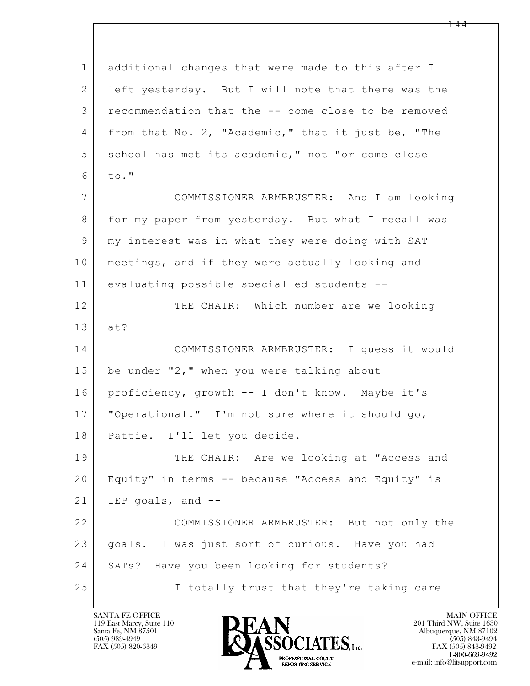$\mathbf{L}$  1 additional changes that were made to this after I 2 left yesterday. But I will note that there was the 3 recommendation that the -- come close to be removed 4 | from that No. 2, "Academic," that it just be, "The 5 school has met its academic," not "or come close  $6$  to." 7 COMMISSIONER ARMBRUSTER: And I am looking 8 for my paper from yesterday. But what I recall was 9 my interest was in what they were doing with SAT 10 | meetings, and if they were actually looking and 11 evaluating possible special ed students -- 12 THE CHAIR: Which number are we looking 13 at? 14 COMMISSIONER ARMBRUSTER: I guess it would 15 be under "2," when you were talking about 16 proficiency, growth -- I don't know. Maybe it's 17 "Operational." I'm not sure where it should go, 18 Pattie. I'll let you decide. 19 | THE CHAIR: Are we looking at "Access and 20 Equity" in terms -- because "Access and Equity" is  $21$  IEP goals, and  $-$ 22 COMMISSIONER ARMBRUSTER: But not only the 23 goals. I was just sort of curious. Have you had 24 | SATs? Have you been looking for students? 25 | I totally trust that they're taking care

119 East Marcy, Suite 110<br>Santa Fe, NM 87501

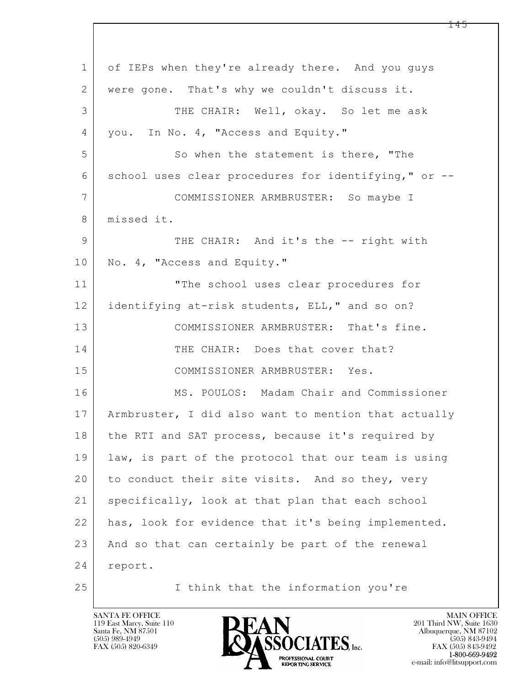$\mathbf{L}$  1 of IEPs when they're already there. And you guys 2 were gone. That's why we couldn't discuss it. 3 THE CHAIR: Well, okay. So let me ask 4 | you. In No. 4, "Access and Equity." 5 So when the statement is there, "The 6 school uses clear procedures for identifying," or -- 7 COMMISSIONER ARMBRUSTER: So maybe I 8 | missed it. 9 THE CHAIR: And it's the -- right with 10 No. 4, "Access and Equity." 11 "The school uses clear procedures for 12 identifying at-risk students, ELL," and so on? 13 COMMISSIONER ARMBRUSTER: That's fine. 14 THE CHAIR: Does that cover that? 15 COMMISSIONER ARMBRUSTER: Yes. 16 MS. POULOS: Madam Chair and Commissioner 17 Armbruster, I did also want to mention that actually 18 the RTI and SAT process, because it's required by 19 law, is part of the protocol that our team is using 20 to conduct their site visits. And so they, very 21 | specifically, look at that plan that each school 22 has, look for evidence that it's being implemented. 23 And so that can certainly be part of the renewal 24 report. 25 I think that the information you're

119 East Marcy, Suite 110<br>Santa Fe, NM 87501

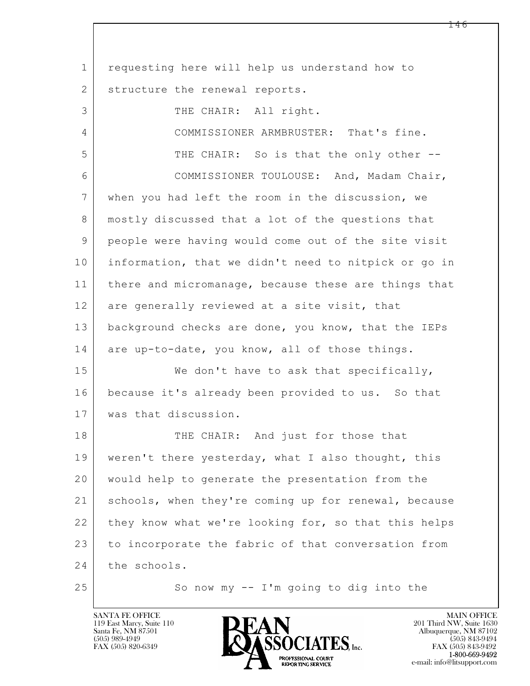$\mathbf{L}$  1 requesting here will help us understand how to 2 | structure the renewal reports. 3 THE CHAIR: All right. 4 COMMISSIONER ARMBRUSTER: That's fine. 5 THE CHAIR: So is that the only other --6 COMMISSIONER TOULOUSE: And, Madam Chair, 7 when you had left the room in the discussion, we 8 mostly discussed that a lot of the questions that 9 people were having would come out of the site visit 10 information, that we didn't need to nitpick or go in 11 | there and micromanage, because these are things that 12 are generally reviewed at a site visit, that 13 background checks are done, you know, that the IEPs 14 are up-to-date, you know, all of those things. 15 | We don't have to ask that specifically, 16 because it's already been provided to us. So that 17 was that discussion. 18 THE CHAIR: And just for those that 19 weren't there yesterday, what I also thought, this 20 would help to generate the presentation from the 21 schools, when they're coming up for renewal, because 22 they know what we're looking for, so that this helps 23 to incorporate the fabric of that conversation from 24 the schools. 25 So now my -- I'm going to dig into the

119 East Marcy, Suite 110<br>Santa Fe, NM 87501

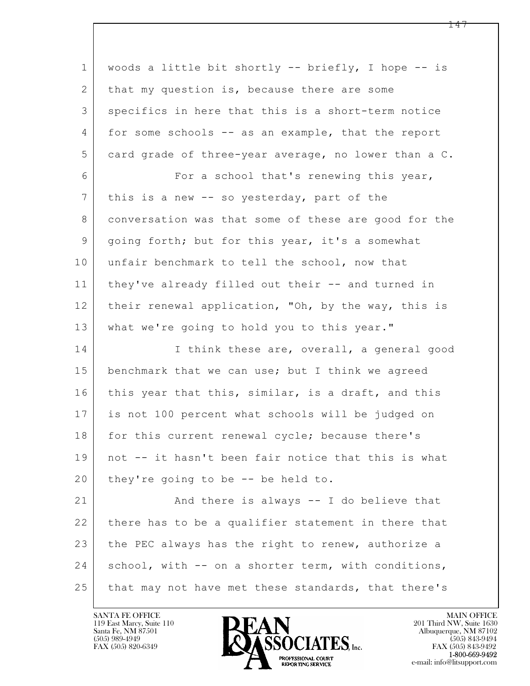| $\mathbf{1}$    | woods a little bit shortly -- briefly, I hope -- is  |
|-----------------|------------------------------------------------------|
| 2               | that my question is, because there are some          |
| 3               | specifics in here that this is a short-term notice   |
| 4               | for some schools -- as an example, that the report   |
| 5               | card grade of three-year average, no lower than a C. |
| 6               | For a school that's renewing this year,              |
| $7\phantom{.0}$ | this is a new -- so yesterday, part of the           |
| 8               | conversation was that some of these are good for the |
| 9               | going forth; but for this year, it's a somewhat      |
| 10              | unfair benchmark to tell the school, now that        |
| 11              | they've already filled out their -- and turned in    |
| 12              | their renewal application, "Oh, by the way, this is  |
| 13              | what we're going to hold you to this year."          |
| 14              | I think these are, overall, a general good           |
| 15              | benchmark that we can use; but I think we agreed     |
| 16              | this year that this, similar, is a draft, and this   |
| 17              | is not 100 percent what schools will be judged on    |
| 18              | for this current renewal cycle; because there's      |
| 19              | not -- it hasn't been fair notice that this is what  |
| 20              | they're going to be -- be held to.                   |
| 21              | And there is always -- I do believe that             |
| 22              | there has to be a qualifier statement in there that  |
| 23              | the PEC always has the right to renew, authorize a   |
| 24              | school, with -- on a shorter term, with conditions,  |
| 25              | that may not have met these standards, that there's  |

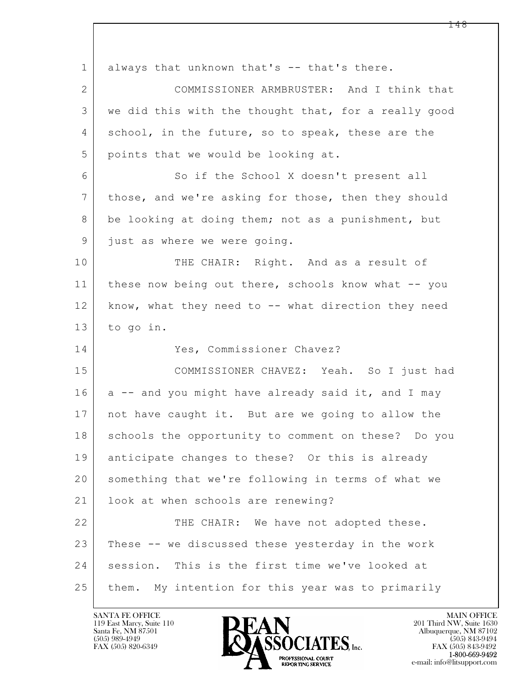| $\mathbf 1$    | always that unknown that's -- that's there.          |
|----------------|------------------------------------------------------|
| $\overline{2}$ | COMMISSIONER ARMBRUSTER: And I think that            |
| 3              | we did this with the thought that, for a really good |
| 4              | school, in the future, so to speak, these are the    |
| 5              | points that we would be looking at.                  |
| 6              | So if the School X doesn't present all               |
| $7\phantom{.}$ | those, and we're asking for those, then they should  |
| 8              | be looking at doing them; not as a punishment, but   |
| 9              | just as where we were going.                         |
| 10             | THE CHAIR: Right. And as a result of                 |
| 11             | these now being out there, schools know what -- you  |
| 12             | know, what they need to -- what direction they need  |
| 13             | to go in.                                            |
| 14             | Yes, Commissioner Chavez?                            |
| 15             | COMMISSIONER CHAVEZ: Yeah. So I just had             |
| 16             | a -- and you might have already said it, and I may   |
| 17             | not have caught it. But are we going to allow the    |
| 18             | schools the opportunity to comment on these? Do you  |
| 19             | anticipate changes to these? Or this is already      |
| 20             | something that we're following in terms of what we   |
| 21             | look at when schools are renewing?                   |
| 22             | THE CHAIR: We have not adopted these.                |
| 23             | These -- we discussed these yesterday in the work    |
| 24             | session. This is the first time we've looked at      |
| 25             | them. My intention for this year was to primarily    |

 $\overline{\phantom{a}}$ 

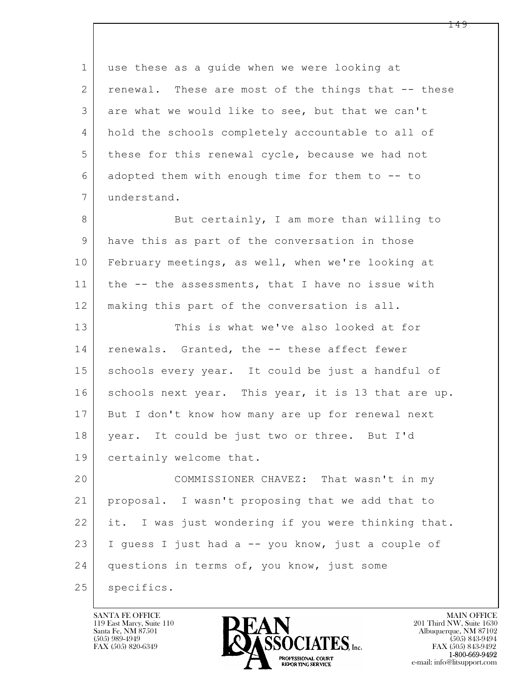$\mathbf{L}$  1 use these as a guide when we were looking at 2 renewal. These are most of the things that -- these 3 are what we would like to see, but that we can't 4 hold the schools completely accountable to all of 5 | these for this renewal cycle, because we had not 6 adopted them with enough time for them to -- to 7 understand. 8 But certainly, I am more than willing to 9 have this as part of the conversation in those 10 February meetings, as well, when we're looking at 11 | the -- the assessments, that I have no issue with 12 making this part of the conversation is all. 13 This is what we've also looked at for 14 renewals. Granted, the -- these affect fewer 15 | schools every year. It could be just a handful of 16 schools next year. This year, it is 13 that are up. 17 But I don't know how many are up for renewal next 18 year. It could be just two or three. But I'd 19 certainly welcome that. 20 COMMISSIONER CHAVEZ: That wasn't in my 21 proposal. I wasn't proposing that we add that to 22 it. I was just wondering if you were thinking that. 23 I guess I just had a -- you know, just a couple of 24 questions in terms of, you know, just some 25 | specifics.

119 East Marcy, Suite 110<br>Santa Fe, NM 87501



FAX (505) 843-9492 e-mail: info@litsupport.com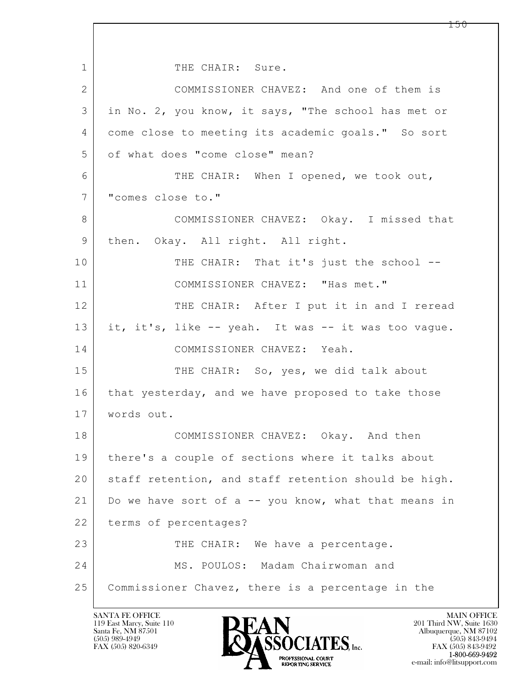$\mathbf{L}$  1 THE CHAIR: Sure. 2 COMMISSIONER CHAVEZ: And one of them is 3 in No. 2, you know, it says, "The school has met or 4 come close to meeting its academic goals." So sort 5 of what does "come close" mean? 6 THE CHAIR: When I opened, we took out, 7 "comes close to." 8 COMMISSIONER CHAVEZ: Okay. I missed that 9 | then. Okay. All right. All right. 10 THE CHAIR: That it's just the school --11 COMMISSIONER CHAVEZ: "Has met." 12 THE CHAIR: After I put it in and I reread 13 it, it's, like -- yeah. It was -- it was too vague. 14 COMMISSIONER CHAVEZ: Yeah. 15 THE CHAIR: So, yes, we did talk about 16 that yesterday, and we have proposed to take those 17 words out. 18 COMMISSIONER CHAVEZ: Okay. And then 19 there's a couple of sections where it talks about 20 staff retention, and staff retention should be high. 21 | Do we have sort of a  $-$  you know, what that means in 22 terms of percentages? 23 THE CHAIR: We have a percentage. 24 | MS. POULOS: Madam Chairwoman and 25 Commissioner Chavez, there is a percentage in the

119 East Marcy, Suite 110<br>Santa Fe, NM 87501

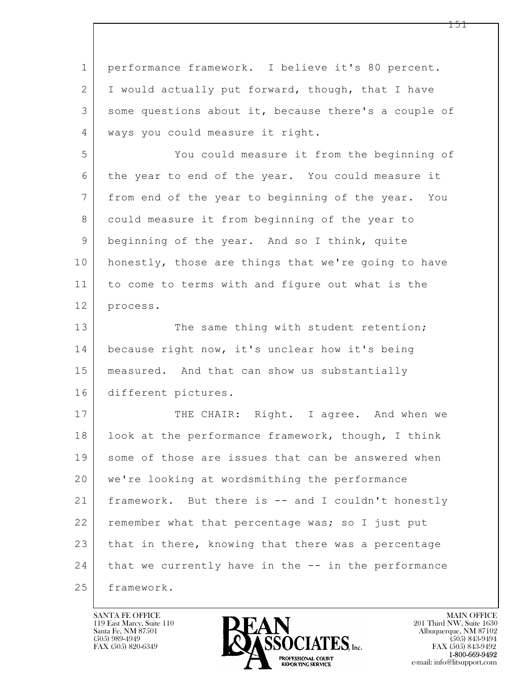| $\mathbf 1$ | performance framework. I believe it's 80 percent.    |
|-------------|------------------------------------------------------|
| 2           | I would actually put forward, though, that I have    |
| 3           | some questions about it, because there's a couple of |
| 4           | ways you could measure it right.                     |
| 5           | You could measure it from the beginning of           |
| 6           | the year to end of the year. You could measure it    |
| 7           | from end of the year to beginning of the year. You   |
| 8           | could measure it from beginning of the year to       |
| 9           | beginning of the year. And so I think, quite         |
| 10          | honestly, those are things that we're going to have  |
| 11          | to come to terms with and figure out what is the     |
| 12          | process.                                             |
| 13          | The same thing with student retention;               |
| 14          | because right now, it's unclear how it's being       |
| 15          | measured. And that can show us substantially         |
| 16          | different pictures.                                  |
| 17          | THE CHAIR: Right. I agree. And when we               |
| 18          | look at the performance framework, though, I think   |
| 19          | some of those are issues that can be answered when   |
| 20          | we're looking at wordsmithing the performance        |
| 21          | framework. But there is -- and I couldn't honestly   |
| 22          | remember what that percentage was; so I just put     |
| 23          | that in there, knowing that there was a percentage   |
| 24          | that we currently have in the -- in the performance  |
| 25          | framework.                                           |

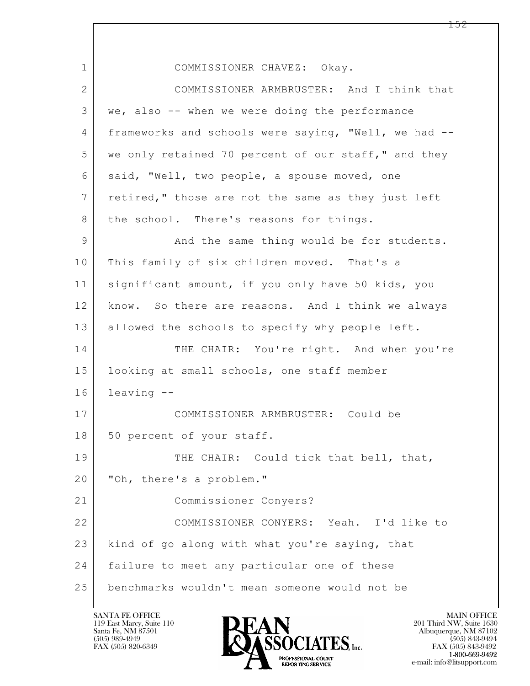$\mathbf{L}$  1 COMMISSIONER CHAVEZ: Okay. 2 COMMISSIONER ARMBRUSTER: And I think that 3 we, also -- when we were doing the performance 4 frameworks and schools were saying, "Well, we had -- 5 we only retained 70 percent of our staff," and they 6 | said, "Well, two people, a spouse moved, one 7 retired," those are not the same as they just left 8 | the school. There's reasons for things. 9 And the same thing would be for students. 10 This family of six children moved. That's a 11 | significant amount, if you only have 50 kids, you 12 | know. So there are reasons. And I think we always 13 allowed the schools to specify why people left. 14 THE CHAIR: You're right. And when you're 15 looking at small schools, one staff member 16 leaving -- 17 COMMISSIONER ARMBRUSTER: Could be 18 | 50 percent of your staff. 19 THE CHAIR: Could tick that bell, that, 20 "Oh, there's a problem." 21 Commissioner Conyers? 22 COMMISSIONER CONYERS: Yeah. I'd like to 23 kind of go along with what you're saying, that 24 | failure to meet any particular one of these 25 benchmarks wouldn't mean someone would not be

119 East Marcy, Suite 110<br>Santa Fe, NM 87501

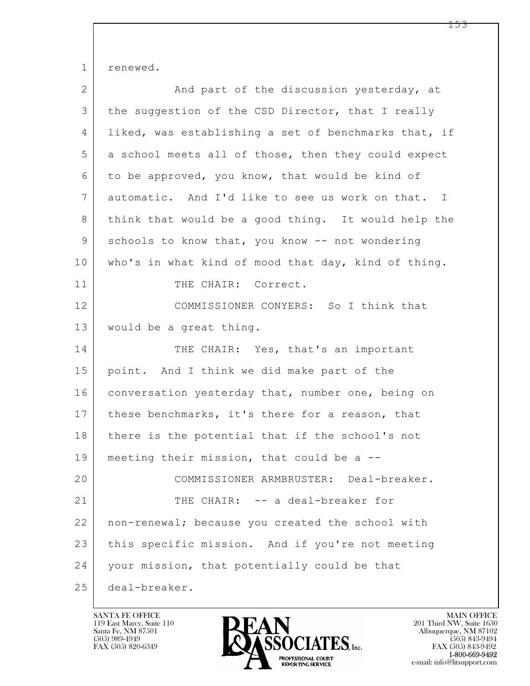1 renewed.

| $\overline{2}$ | And part of the discussion yesterday, at             |
|----------------|------------------------------------------------------|
| 3              | the suggestion of the CSD Director, that I really    |
| 4              | liked, was establishing a set of benchmarks that, if |
| 5              | a school meets all of those, then they could expect  |
| 6              | to be approved, you know, that would be kind of      |
| 7              | automatic. And I'd like to see us work on that. I    |
| 8              | think that would be a good thing. It would help the  |
| 9              | schools to know that, you know -- not wondering      |
| 10             | who's in what kind of mood that day, kind of thing.  |
| 11             | THE CHAIR: Correct.                                  |
| 12             | COMMISSIONER CONYERS: So I think that                |
| 13             | would be a great thing.                              |
| 14             | THE CHAIR: Yes, that's an important                  |
| 15             | point. And I think we did make part of the           |
| 16             | conversation yesterday that, number one, being on    |
| 17             | these benchmarks, it's there for a reason, that      |
| 18             | there is the potential that if the school's not      |
| 19             | meeting their mission, that could be a --            |
| 20             | COMMISSIONER ARMBRUSTER: Deal-breaker.               |
| 21             | THE CHAIR: -- a deal-breaker for                     |
| 22             | non-renewal; because you created the school with     |
| 23             | this specific mission. And if you're not meeting     |
| 24             | your mission, that potentially could be that         |
| 25             | deal-breaker.                                        |

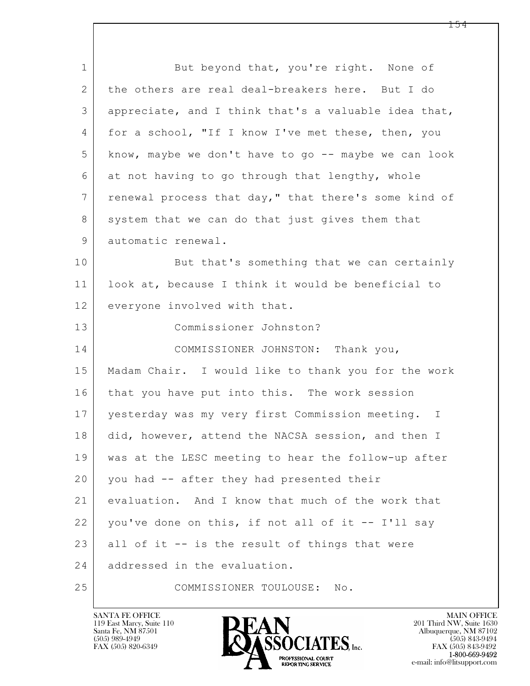$\mathbf{L}$  1 But beyond that, you're right. None of 2 the others are real deal-breakers here. But I do 3 appreciate, and I think that's a valuable idea that, 4 | for a school, "If I know I've met these, then, you 5 know, maybe we don't have to go -- maybe we can look 6 at not having to go through that lengthy, whole 7 | renewal process that day," that there's some kind of 8 system that we can do that just gives them that 9 automatic renewal. 10 But that's something that we can certainly 11 look at, because I think it would be beneficial to 12 everyone involved with that. 13 Commissioner Johnston? 14 COMMISSIONER JOHNSTON: Thank you, 15 Madam Chair. I would like to thank you for the work 16 that you have put into this. The work session 17 yesterday was my very first Commission meeting. I 18 did, however, attend the NACSA session, and then I 19 was at the LESC meeting to hear the follow-up after 20 you had -- after they had presented their 21 evaluation. And I know that much of the work that 22 you've done on this, if not all of it -- I'll say 23 all of it  $-$  is the result of things that were 24 addressed in the evaluation. 25 COMMISSIONER TOULOUSE: No.

119 East Marcy, Suite 110<br>Santa Fe, NM 87501



FAX (505) 843-9492 e-mail: info@litsupport.com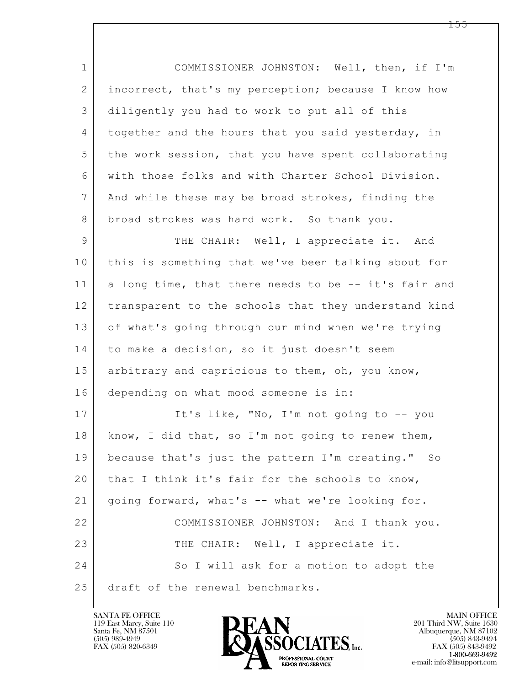$\mathbf{L}$  1 COMMISSIONER JOHNSTON: Well, then, if I'm 2 incorrect, that's my perception; because I know how 3 diligently you had to work to put all of this 4 together and the hours that you said yesterday, in 5 the work session, that you have spent collaborating 6 with those folks and with Charter School Division. 7 And while these may be broad strokes, finding the 8 broad strokes was hard work. So thank you. 9 | THE CHAIR: Well, I appreciate it. And 10 this is something that we've been talking about for 11 a long time, that there needs to be -- it's fair and 12 transparent to the schools that they understand kind 13 of what's going through our mind when we're trying 14 to make a decision, so it just doesn't seem 15 | arbitrary and capricious to them, oh, you know, 16 depending on what mood someone is in: 17 It's like, "No, I'm not going to -- you 18 | know, I did that, so I'm not going to renew them, 19 because that's just the pattern I'm creating." So 20 | that I think it's fair for the schools to know, 21 going forward, what's -- what we're looking for. 22 COMMISSIONER JOHNSTON: And I thank you. 23 THE CHAIR: Well, I appreciate it. 24 So I will ask for a motion to adopt the 25 draft of the renewal benchmarks.

119 East Marcy, Suite 110<br>Santa Fe, NM 87501

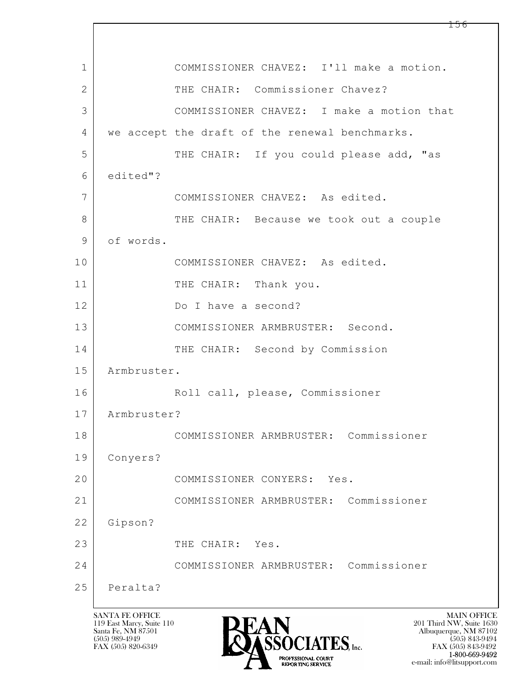| 1              |             | COMMISSIONER CHAVEZ: I'll make a motion.       |
|----------------|-------------|------------------------------------------------|
| $\overline{2}$ |             | THE CHAIR: Commissioner Chavez?                |
| 3              |             | COMMISSIONER CHAVEZ: I make a motion that      |
| 4              |             | we accept the draft of the renewal benchmarks. |
| 5              |             | THE CHAIR: If you could please add, "as        |
| 6              | edited"?    |                                                |
| 7              |             | COMMISSIONER CHAVEZ: As edited.                |
| 8              |             | THE CHAIR: Because we took out a couple        |
| 9              | of words.   |                                                |
| 10             |             | COMMISSIONER CHAVEZ: As edited.                |
| 11             |             | THE CHAIR: Thank you.                          |
| 12             |             | Do I have a second?                            |
| 13             |             | COMMISSIONER ARMBRUSTER: Second.               |
| 14             |             | THE CHAIR: Second by Commission                |
| 15             | Armbruster. |                                                |
| 16             |             | Roll call, please, Commissioner                |
| 17             | Armbruster? |                                                |
| 18             |             | COMMISSIONER ARMBRUSTER: Commissioner          |
| 19             | Conyers?    |                                                |
| 20             |             | COMMISSIONER CONYERS: Yes.                     |
| 21             |             | COMMISSIONER ARMBRUSTER: Commissioner          |
| 22             | Gipson?     |                                                |
| 23             |             | THE CHAIR: Yes.                                |
| 24             |             | Commissioner<br>COMMISSIONER ARMBRUSTER:       |
| 25             | Peralta?    |                                                |

 $\lceil$ 

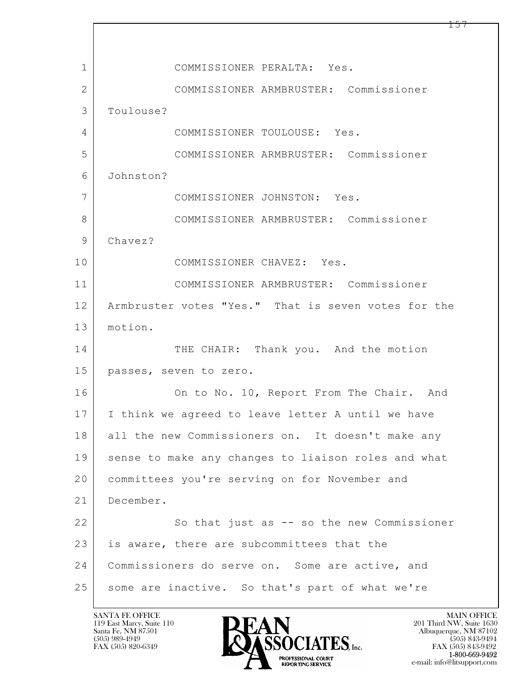$\mathbf{L}$  1 COMMISSIONER PERALTA: Yes. 2 COMMISSIONER ARMBRUSTER: Commissioner 3 Toulouse? 4 COMMISSIONER TOULOUSE: Yes. 5 COMMISSIONER ARMBRUSTER: Commissioner 6 Johnston? 7 COMMISSIONER JOHNSTON: Yes. 8 COMMISSIONER ARMBRUSTER: Commissioner 9 Chavez? 10 COMMISSIONER CHAVEZ: Yes. 11 COMMISSIONER ARMBRUSTER: Commissioner 12 Armbruster votes "Yes." That is seven votes for the 13 motion. 14 THE CHAIR: Thank you. And the motion 15 passes, seven to zero. 16 On to No. 10, Report From The Chair. And 17 I think we agreed to leave letter A until we have 18 all the new Commissioners on. It doesn't make any 19 sense to make any changes to liaison roles and what 20 committees you're serving on for November and 21 December. 22 So that just as -- so the new Commissioner 23 is aware, there are subcommittees that the 24 Commissioners do serve on. Some are active, and 25 some are inactive. So that's part of what we're

119 East Marcy, Suite 110<br>Santa Fe, NM 87501



FAX (505) 843-9492 e-mail: info@litsupport.com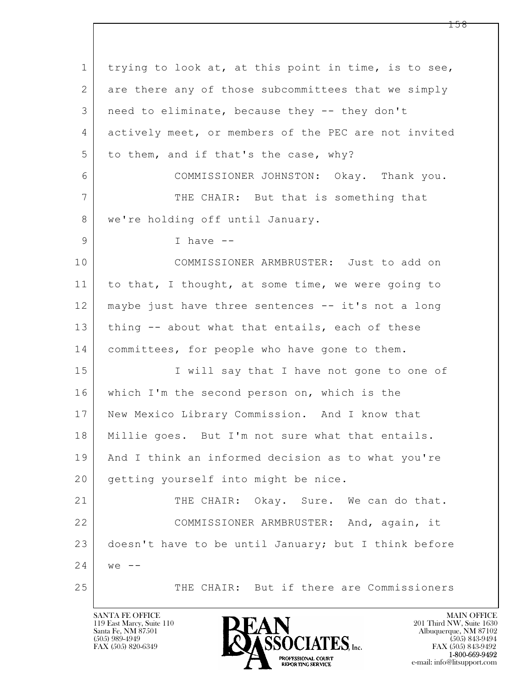$\mathbf{L}$  1 trying to look at, at this point in time, is to see, 2 are there any of those subcommittees that we simply 3 need to eliminate, because they -- they don't 4 actively meet, or members of the PEC are not invited  $5$  to them, and if that's the case, why? 6 COMMISSIONER JOHNSTON: Okay. Thank you. 7 THE CHAIR: But that is something that 8 | we're holding off until January. 9 | 1 have --10 COMMISSIONER ARMBRUSTER: Just to add on 11 to that, I thought, at some time, we were going to 12 maybe just have three sentences -- it's not a long 13 | thing -- about what that entails, each of these 14 committees, for people who have gone to them. 15 | I will say that I have not gone to one of 16 which I'm the second person on, which is the 17 New Mexico Library Commission. And I know that 18 | Millie goes. But I'm not sure what that entails. 19 And I think an informed decision as to what you're 20 getting yourself into might be nice. 21 THE CHAIR: Okay. Sure. We can do that. 22 COMMISSIONER ARMBRUSTER: And, again, it 23 doesn't have to be until January; but I think before  $24$  we  $-$ 25 THE CHAIR: But if there are Commissioners

119 East Marcy, Suite 110<br>Santa Fe, NM 87501

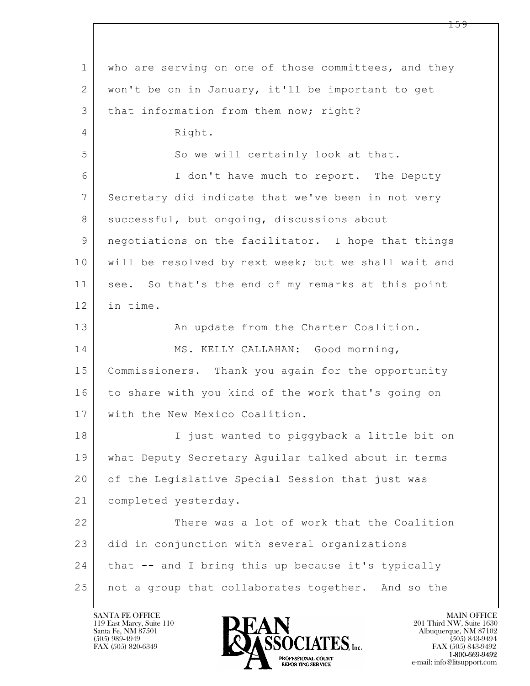$\mathbf{L}$  1 who are serving on one of those committees, and they 2 | won't be on in January, it'll be important to get 3 | that information from them now; right? 4 Right. 5 So we will certainly look at that. 6 I don't have much to report. The Deputy 7 Secretary did indicate that we've been in not very 8 successful, but ongoing, discussions about 9 negotiations on the facilitator. I hope that things 10 will be resolved by next week; but we shall wait and 11 see. So that's the end of my remarks at this point 12 in time. 13 | An update from the Charter Coalition. 14 | MS. KELLY CALLAHAN: Good morning, 15 Commissioners. Thank you again for the opportunity 16 to share with you kind of the work that's going on 17 with the New Mexico Coalition. 18 I just wanted to piggyback a little bit on 19 what Deputy Secretary Aguilar talked about in terms 20 of the Legislative Special Session that just was 21 completed yesterday. 22 There was a lot of work that the Coalition 23 did in conjunction with several organizations 24 | that -- and I bring this up because it's typically 25 not a group that collaborates together. And so the

119 East Marcy, Suite 110<br>Santa Fe, NM 87501



FAX (505) 843-9492 e-mail: info@litsupport.com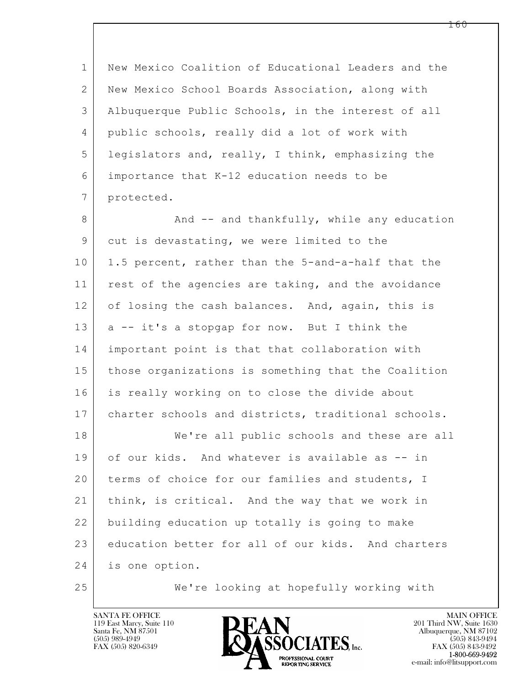1 New Mexico Coalition of Educational Leaders and the 2 New Mexico School Boards Association, along with 3 Albuquerque Public Schools, in the interest of all 4 | public schools, really did a lot of work with 5 legislators and, really, I think, emphasizing the 6 importance that K-12 education needs to be 7 protected.

8 And -- and thankfully, while any education 9 cut is devastating, we were limited to the 10 1.5 percent, rather than the 5-and-a-half that the 11 rest of the agencies are taking, and the avoidance 12 of losing the cash balances. And, again, this is 13 a -- it's a stopgap for now. But I think the 14 important point is that that collaboration with 15 those organizations is something that the Coalition 16 is really working on to close the divide about 17 charter schools and districts, traditional schools. 18 We're all public schools and these are all

 $\mathbf{L}$  19 of our kids. And whatever is available as -- in 20 terms of choice for our families and students, I 21 think, is critical. And the way that we work in 22 building education up totally is going to make 23 education better for all of our kids. And charters 24 is one option.

25 We're looking at hopefully working with

119 East Marcy, Suite 110<br>Santa Fe, NM 87501

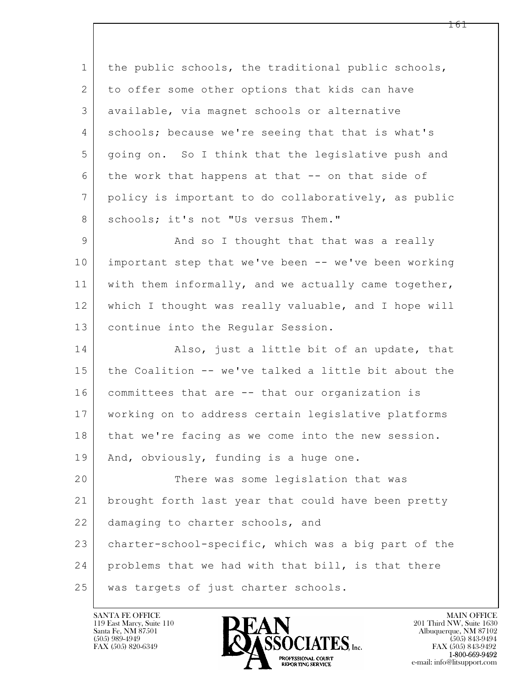$\mathbf{L}$  1 the public schools, the traditional public schools, 2 to offer some other options that kids can have 3 available, via magnet schools or alternative 4 schools; because we're seeing that that is what's 5 going on. So I think that the legislative push and 6 the work that happens at that -- on that side of 7 policy is important to do collaboratively, as public 8 schools; it's not "Us versus Them." 9 And so I thought that that was a really 10 important step that we've been -- we've been working 11 with them informally, and we actually came together, 12 which I thought was really valuable, and I hope will 13 continue into the Regular Session. 14 Also, just a little bit of an update, that 15 the Coalition -- we've talked a little bit about the 16 committees that are -- that our organization is 17 working on to address certain legislative platforms 18 that we're facing as we come into the new session. 19 | And, obviously, funding is a huge one. 20 There was some legislation that was 21 brought forth last year that could have been pretty 22 damaging to charter schools, and 23 charter-school-specific, which was a big part of the 24 problems that we had with that bill, is that there 25 was targets of just charter schools.

119 East Marcy, Suite 110<br>Santa Fe, NM 87501

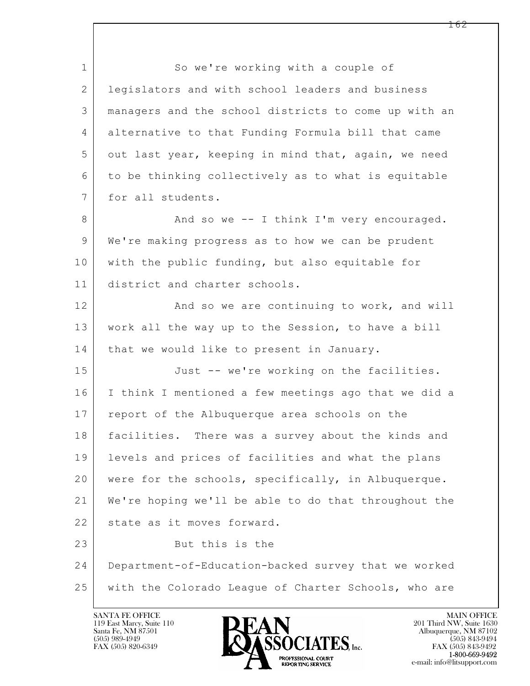$\mathbf{L}$  1 So we're working with a couple of 2 | legislators and with school leaders and business 3 managers and the school districts to come up with an 4 alternative to that Funding Formula bill that came 5 out last year, keeping in mind that, again, we need  $6$  to be thinking collectively as to what is equitable 7 for all students. 8 And so we -- I think I'm very encouraged. 9 We're making progress as to how we can be prudent 10 with the public funding, but also equitable for 11 district and charter schools. 12 And so we are continuing to work, and will 13 work all the way up to the Session, to have a bill 14 that we would like to present in January. 15 Just -- we're working on the facilities. 16 I think I mentioned a few meetings ago that we did a 17 report of the Albuquerque area schools on the 18 facilities. There was a survey about the kinds and 19 levels and prices of facilities and what the plans 20 were for the schools, specifically, in Albuquerque. 21 We're hoping we'll be able to do that throughout the 22 state as it moves forward. 23 But this is the 24 Department-of-Education-backed survey that we worked 25 with the Colorado League of Charter Schools, who are

119 East Marcy, Suite 110<br>Santa Fe, NM 87501



FAX (505) 843-9492 e-mail: info@litsupport.com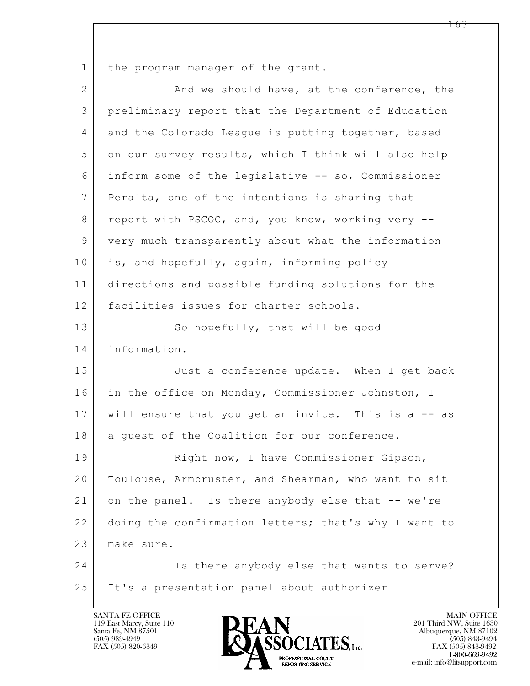1 the program manager of the grant.

| $\overline{2}$ | And we should have, at the conference, the           |
|----------------|------------------------------------------------------|
| 3              | preliminary report that the Department of Education  |
| 4              | and the Colorado League is putting together, based   |
| 5              | on our survey results, which I think will also help  |
| 6              | inform some of the legislative -- so, Commissioner   |
| 7              | Peralta, one of the intentions is sharing that       |
| 8              | report with PSCOC, and, you know, working very --    |
| 9              | very much transparently about what the information   |
| 10             | is, and hopefully, again, informing policy           |
| 11             | directions and possible funding solutions for the    |
| 12             | facilities issues for charter schools.               |
| 13             | So hopefully, that will be good                      |
| 14             | information.                                         |
| 15             | Just a conference update. When I get back            |
| 16             | in the office on Monday, Commissioner Johnston, I    |
| 17             | will ensure that you get an invite. This is a -- as  |
| 18             | a guest of the Coalition for our conference.         |
| 19             | Right now, I have Commissioner Gipson,               |
| 20             | Toulouse, Armbruster, and Shearman, who want to sit  |
| 21             | on the panel. Is there anybody else that -- we're    |
| 22             | doing the confirmation letters; that's why I want to |
| 23             | make sure.                                           |
| 24             | Is there anybody else that wants to serve?           |
| 25             | It's a presentation panel about authorizer           |

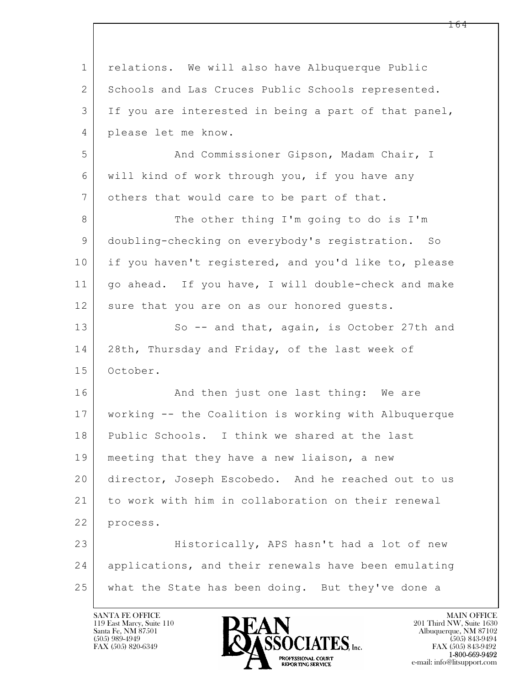| $\mathbf 1$  | relations. We will also have Albuquerque Public      |
|--------------|------------------------------------------------------|
| $\mathbf{2}$ | Schools and Las Cruces Public Schools represented.   |
| 3            | If you are interested in being a part of that panel, |
| 4            | please let me know.                                  |
| 5            | And Commissioner Gipson, Madam Chair, I              |
| 6            | will kind of work through you, if you have any       |
| 7            | others that would care to be part of that.           |
| 8            | The other thing I'm going to do is I'm               |
| $\mathsf 9$  | doubling-checking on everybody's registration. So    |
| 10           | if you haven't registered, and you'd like to, please |
| 11           | go ahead. If you have, I will double-check and make  |
| 12           | sure that you are on as our honored guests.          |
| 13           | So -- and that, again, is October 27th and           |
| 14           | 28th, Thursday and Friday, of the last week of       |
| 15           | October.                                             |
| 16           | And then just one last thing: We are                 |
| 17           | working -- the Coalition is working with Albuquerque |
| 18           | Public Schools. I think we shared at the last        |
| 19           | meeting that they have a new liaison, a new          |
| 20           | director, Joseph Escobedo. And he reached out to us  |
| 21           | to work with him in collaboration on their renewal   |
| 22           | process.                                             |
| 23           | Historically, APS hasn't had a lot of new            |
| 24           | applications, and their renewals have been emulating |
| 25           | what the State has been doing. But they've done a    |

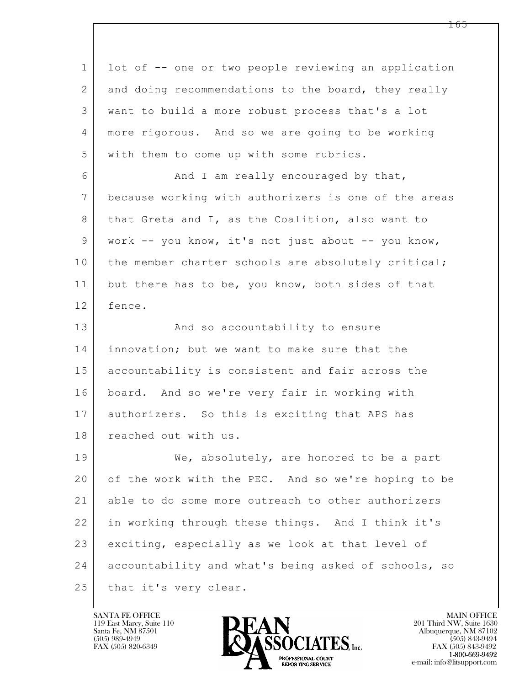| $\mathbf{1}$ | lot of -- one or two people reviewing an application |
|--------------|------------------------------------------------------|
| $\mathbf{2}$ | and doing recommendations to the board, they really  |
| 3            | want to build a more robust process that's a lot     |
| 4            | more rigorous. And so we are going to be working     |
| 5            | with them to come up with some rubrics.              |
| 6            | And I am really encouraged by that,                  |
| 7            | because working with authorizers is one of the areas |
| 8            | that Greta and I, as the Coalition, also want to     |
| 9            | work -- you know, it's not just about -- you know,   |
| 10           | the member charter schools are absolutely critical;  |
| 11           | but there has to be, you know, both sides of that    |
| 12           | fence.                                               |
| 13           | And so accountability to ensure                      |
| 14           | innovation; but we want to make sure that the        |
| 15           | accountability is consistent and fair across the     |
| 16           | board. And so we're very fair in working with        |
| 17           | authorizers. So this is exciting that APS has        |
| 18           | reached out with us.                                 |
| 19           | We, absolutely, are honored to be a part             |
| 20           | of the work with the PEC. And so we're hoping to be  |
| 21           | able to do some more outreach to other authorizers   |
| 22           | in working through these things. And I think it's    |
| 23           | exciting, especially as we look at that level of     |
| 24           | accountability and what's being asked of schools, so |
| 25           | that it's very clear.                                |

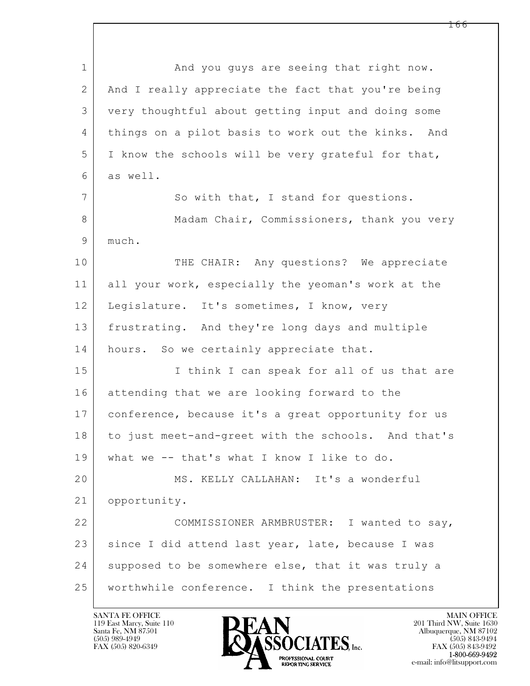$\mathbf{L}$  1 and you guys are seeing that right now. 2 And I really appreciate the fact that you're being 3 very thoughtful about getting input and doing some 4 things on a pilot basis to work out the kinks. And 5 I know the schools will be very grateful for that, 6 as well. 7 So with that, I stand for questions. 8 Madam Chair, Commissioners, thank you very 9 much. 10 THE CHAIR: Any questions? We appreciate 11 all your work, especially the yeoman's work at the 12 | Legislature. It's sometimes, I know, very 13 frustrating. And they're long days and multiple 14 | hours. So we certainly appreciate that. 15 | I think I can speak for all of us that are 16 attending that we are looking forward to the 17 conference, because it's a great opportunity for us 18 to just meet-and-greet with the schools. And that's 19 what we -- that's what I know I like to do. 20 MS. KELLY CALLAHAN: It's a wonderful 21 opportunity. 22 COMMISSIONER ARMBRUSTER: I wanted to say, 23 | since I did attend last year, late, because I was 24 supposed to be somewhere else, that it was truly a 25 worthwhile conference. I think the presentations

119 East Marcy, Suite 110<br>Santa Fe, NM 87501



FAX (505) 843-9492 e-mail: info@litsupport.com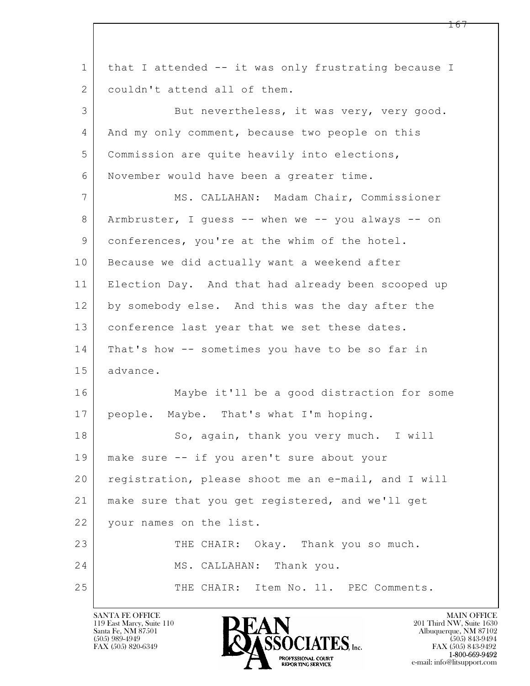$\mathbf{L}$  1 that I attended -- it was only frustrating because I 2 couldn't attend all of them. 3 But nevertheless, it was very, very good. 4 And my only comment, because two people on this 5 Commission are quite heavily into elections, 6 November would have been a greater time. 7 MS. CALLAHAN: Madam Chair, Commissioner 8 Armbruster, I guess -- when we -- you always -- on 9 | conferences, you're at the whim of the hotel. 10 Because we did actually want a weekend after 11 Election Day. And that had already been scooped up 12 by somebody else. And this was the day after the 13 | conference last year that we set these dates. 14 | That's how -- sometimes you have to be so far in 15 advance. 16 Maybe it'll be a good distraction for some 17 | people. Maybe. That's what I'm hoping. 18 So, again, thank you very much. I will 19 make sure -- if you aren't sure about your 20 registration, please shoot me an e-mail, and I will 21 make sure that you get registered, and we'll get 22 your names on the list. 23 THE CHAIR: Okay. Thank you so much. 24 MS. CALLAHAN: Thank you. 25 THE CHAIR: Item No. 11. PEC Comments.

119 East Marcy, Suite 110<br>Santa Fe, NM 87501

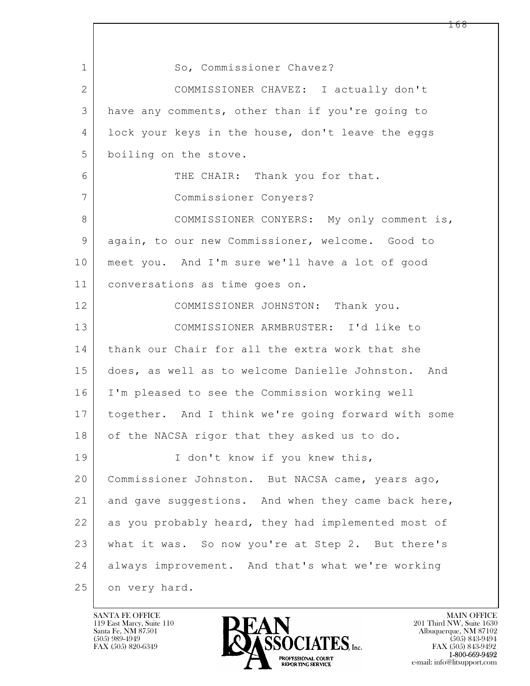$\mathbf{L}$  1 So, Commissioner Chavez? 2 COMMISSIONER CHAVEZ: I actually don't 3 have any comments, other than if you're going to 4 lock your keys in the house, don't leave the eggs 5 boiling on the stove. 6 THE CHAIR: Thank you for that. 7 Commissioner Conyers? 8 COMMISSIONER CONYERS: My only comment is, 9 again, to our new Commissioner, welcome. Good to 10 meet you. And I'm sure we'll have a lot of good 11 conversations as time goes on. 12 COMMISSIONER JOHNSTON: Thank you. 13 COMMISSIONER ARMBRUSTER: I'd like to 14 thank our Chair for all the extra work that she 15 does, as well as to welcome Danielle Johnston. And 16 I'm pleased to see the Commission working well 17 together. And I think we're going forward with some 18 | of the NACSA rigor that they asked us to do. 19 | I don't know if you knew this, 20 Commissioner Johnston. But NACSA came, years ago, 21 and gave suggestions. And when they came back here, 22 as you probably heard, they had implemented most of 23 what it was. So now you're at Step 2. But there's 24 always improvement. And that's what we're working 25 on very hard.

119 East Marcy, Suite 110<br>Santa Fe, NM 87501



FAX (505) 843-9492 e-mail: info@litsupport.com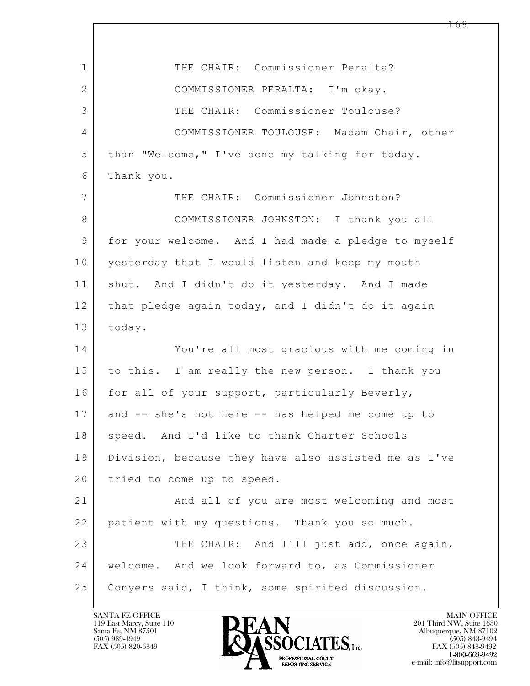| $\mathbf 1$ | THE CHAIR: Commissioner Peralta?                     |
|-------------|------------------------------------------------------|
| 2           | COMMISSIONER PERALTA: I'm okay.                      |
| 3           | THE CHAIR: Commissioner Toulouse?                    |
| 4           | COMMISSIONER TOULOUSE: Madam Chair, other            |
| 5           | than "Welcome," I've done my talking for today.      |
| 6           | Thank you.                                           |
| 7           | THE CHAIR: Commissioner Johnston?                    |
| 8           | COMMISSIONER JOHNSTON: I thank you all               |
| 9           | for your welcome. And I had made a pledge to myself  |
| 10          | yesterday that I would listen and keep my mouth      |
| 11          | shut. And I didn't do it yesterday. And I made       |
| 12          | that pledge again today, and I didn't do it again    |
| 13          | today.                                               |
| 14          | You're all most gracious with me coming in           |
| 15          | to this. I am really the new person. I thank you     |
| 16          | for all of your support, particularly Beverly,       |
| 17          | and -- she's not here -- has helped me come up to    |
| 18          | speed. And I'd like to thank Charter Schools         |
| 19          | Division, because they have also assisted me as I've |
| 20          | tried to come up to speed.                           |
| 21          | And all of you are most welcoming and most           |
| 22          | patient with my questions. Thank you so much.        |
| 23          | THE CHAIR: And I'll just add, once again,            |
| 24          | welcome. And we look forward to, as Commissioner     |
| 25          | Conyers said, I think, some spirited discussion.     |

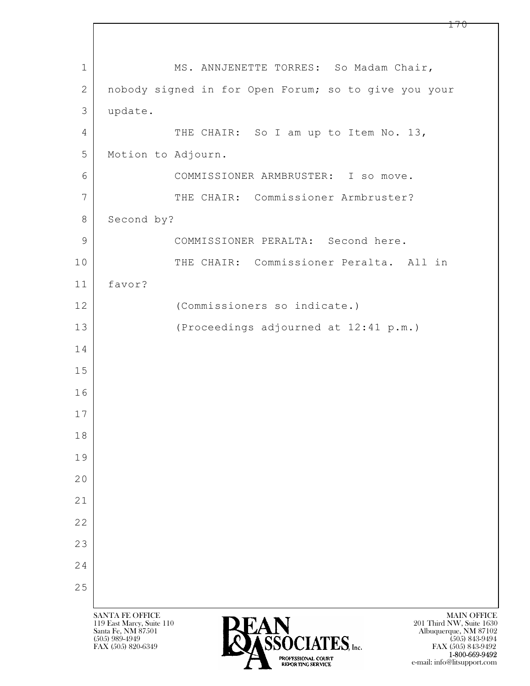$\mathbf{L}$  SANTA FE OFFICE MAIN OFFICE MAIN OFFICE MAIN OFFICE MAIN OFFICE 119 East Marcy, Suite 110<br>Santa Fe, NM 87501 Santa Fe, NM 87501 Albuquerque, NM 87102  $\sum_{\text{FAX (505) 889-4949}} \sum_{\text{FAX (505) 843-9492}} \sum_{\text{FAX (505) 843-9492}} \sum_{\text{FAX (505) 843-9492}}$ 1 | MS. ANNJENETTE TORRES: So Madam Chair, 2 nobody signed in for Open Forum; so to give you your 3 update. 4 THE CHAIR: So I am up to Item No. 13, 5 Motion to Adjourn. 6 COMMISSIONER ARMBRUSTER: I so move. 7 THE CHAIR: Commissioner Armbruster? 8 Second by? 9 COMMISSIONER PERALTA: Second here. 10 THE CHAIR: Commissioner Peralta. All in 11 favor? 12 (Commissioners so indicate.) 13 (Proceedings adjourned at 12:41 p.m.) 14 15 16 17 18 19 20 21 22 23 24 25

FAX (505) 843-9492 1-800-669-9492 e-mail: info@litsupport.com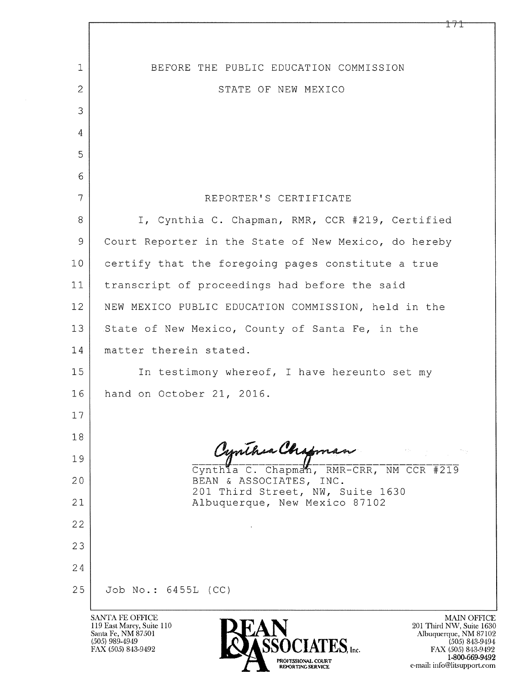| 1              | BEFORE THE PUBLIC EDUCATION COMMISSION                                                                                                                                                                                                                                                                                             |
|----------------|------------------------------------------------------------------------------------------------------------------------------------------------------------------------------------------------------------------------------------------------------------------------------------------------------------------------------------|
| $\overline{2}$ | STATE OF NEW MEXICO                                                                                                                                                                                                                                                                                                                |
| 3              |                                                                                                                                                                                                                                                                                                                                    |
| $\overline{4}$ |                                                                                                                                                                                                                                                                                                                                    |
| 5              |                                                                                                                                                                                                                                                                                                                                    |
| 6              |                                                                                                                                                                                                                                                                                                                                    |
| 7              | REPORTER'S CERTIFICATE                                                                                                                                                                                                                                                                                                             |
| 8              | I, Cynthia C. Chapman, RMR, CCR #219, Certified                                                                                                                                                                                                                                                                                    |
| 9              | Court Reporter in the State of New Mexico, do hereby                                                                                                                                                                                                                                                                               |
| 10             | certify that the foregoing pages constitute a true                                                                                                                                                                                                                                                                                 |
| 11             | transcript of proceedings had before the said                                                                                                                                                                                                                                                                                      |
| 12             | NEW MEXICO PUBLIC EDUCATION COMMISSION, held in the                                                                                                                                                                                                                                                                                |
| 13             | State of New Mexico, County of Santa Fe, in the                                                                                                                                                                                                                                                                                    |
| 14             | matter therein stated.                                                                                                                                                                                                                                                                                                             |
| 15             | In testimony whereof, I have hereunto set my                                                                                                                                                                                                                                                                                       |
| 16             | hand on October 21, 2016.                                                                                                                                                                                                                                                                                                          |
| 17             |                                                                                                                                                                                                                                                                                                                                    |
| 18             |                                                                                                                                                                                                                                                                                                                                    |
| 19             | Cynthia C. Chapman<br>Cynthia C. Chapman, RMR-CRR, NM CCR #219                                                                                                                                                                                                                                                                     |
| 20             | BEAN & ASSOCIATES, INC.<br>201 Third Street, NW, Suite 1630                                                                                                                                                                                                                                                                        |
| 21             | Albuquerque, New Mexico 87102                                                                                                                                                                                                                                                                                                      |
| 22             |                                                                                                                                                                                                                                                                                                                                    |
| 23             |                                                                                                                                                                                                                                                                                                                                    |
| 24             |                                                                                                                                                                                                                                                                                                                                    |
| 25             | Job No.: 6455L (CC)                                                                                                                                                                                                                                                                                                                |
|                | <b>SANTA FE OFFICE</b><br><b>MAIN OFFICE</b><br>119 East Marcy, Suite 110<br>201 Third NW, Suite 1630<br>Santa Fe, NM 87501<br>Albuquerque, NM 87102<br>(505) 989-4949<br>$(505)$ 843-9494<br>FAX (505) 843-9492<br>FAX (505) 843-9492<br>1-800-669-9492<br>PROFESSIONAL COURT<br>e-mail: info@litsupport.com<br>REPORTING SERVICE |

 $\sqrt{ }$